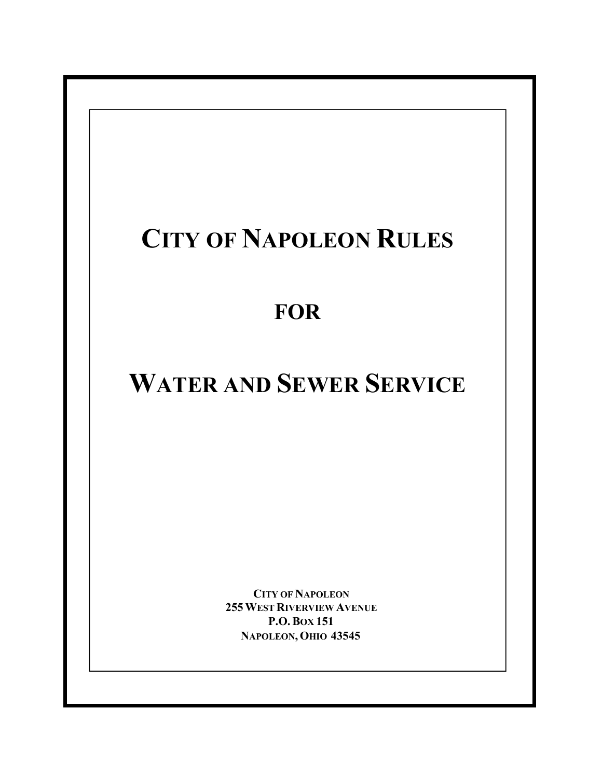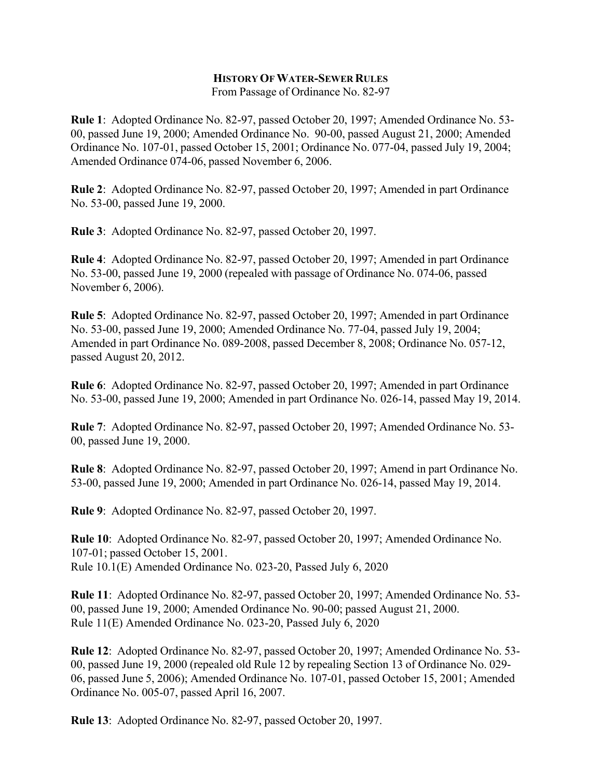#### **HISTORY OF WATER-SEWER RULES**

From Passage of Ordinance No. 82-97

**Rule 1**: Adopted Ordinance No. 82-97, passed October 20, 1997; Amended Ordinance No. 53- 00, passed June 19, 2000; Amended Ordinance No. 90-00, passed August 21, 2000; Amended Ordinance No. 107-01, passed October 15, 2001; Ordinance No. 077-04, passed July 19, 2004; Amended Ordinance 074-06, passed November 6, 2006.

**Rule 2**: Adopted Ordinance No. 82-97, passed October 20, 1997; Amended in part Ordinance No. 53-00, passed June 19, 2000.

**Rule 3**: Adopted Ordinance No. 82-97, passed October 20, 1997.

**Rule 4**: Adopted Ordinance No. 82-97, passed October 20, 1997; Amended in part Ordinance No. 53-00, passed June 19, 2000 (repealed with passage of Ordinance No. 074-06, passed November 6, 2006).

**Rule 5**: Adopted Ordinance No. 82-97, passed October 20, 1997; Amended in part Ordinance No. 53-00, passed June 19, 2000; Amended Ordinance No. 77-04, passed July 19, 2004; Amended in part Ordinance No. 089-2008, passed December 8, 2008; Ordinance No. 057-12, passed August 20, 2012.

**Rule 6**: Adopted Ordinance No. 82-97, passed October 20, 1997; Amended in part Ordinance No. 53-00, passed June 19, 2000; Amended in part Ordinance No. 026-14, passed May 19, 2014.

**Rule 7**: Adopted Ordinance No. 82-97, passed October 20, 1997; Amended Ordinance No. 53- 00, passed June 19, 2000.

**Rule 8**: Adopted Ordinance No. 82-97, passed October 20, 1997; Amend in part Ordinance No. 53-00, passed June 19, 2000; Amended in part Ordinance No. 026-14, passed May 19, 2014.

**Rule 9**: Adopted Ordinance No. 82-97, passed October 20, 1997.

**Rule 10**: Adopted Ordinance No. 82-97, passed October 20, 1997; Amended Ordinance No. 107-01; passed October 15, 2001. Rule 10.1(E) Amended Ordinance No. 023-20, Passed July 6, 2020

**Rule 11**: Adopted Ordinance No. 82-97, passed October 20, 1997; Amended Ordinance No. 53- 00, passed June 19, 2000; Amended Ordinance No. 90-00; passed August 21, 2000. Rule 11(E) Amended Ordinance No. 023-20, Passed July 6, 2020

**Rule 12**: Adopted Ordinance No. 82-97, passed October 20, 1997; Amended Ordinance No. 53- 00, passed June 19, 2000 (repealed old Rule 12 by repealing Section 13 of Ordinance No. 029- 06, passed June 5, 2006); Amended Ordinance No. 107-01, passed October 15, 2001; Amended Ordinance No. 005-07, passed April 16, 2007.

**Rule 13**: Adopted Ordinance No. 82-97, passed October 20, 1997.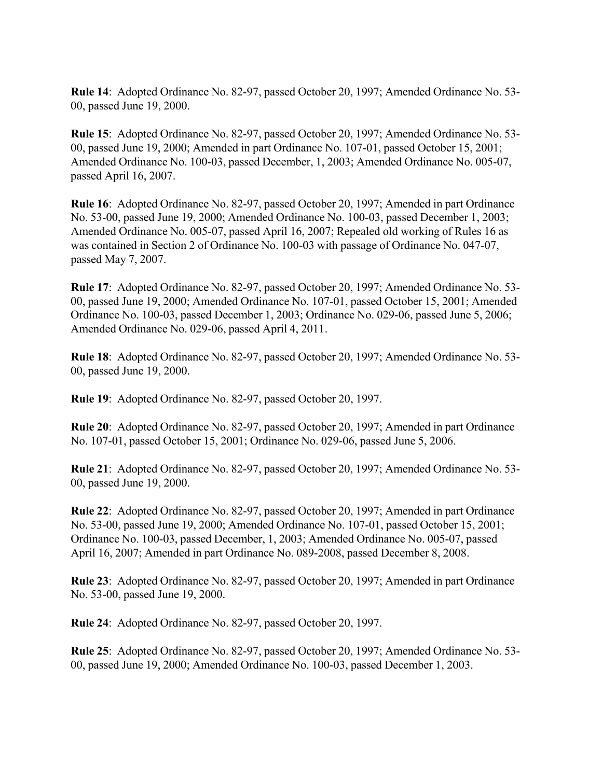**Rule 14**: Adopted Ordinance No. 82-97, passed October 20, 1997; Amended Ordinance No. 53- 00, passed June 19, 2000.

**Rule 15**: Adopted Ordinance No. 82-97, passed October 20, 1997; Amended Ordinance No. 53- 00, passed June 19, 2000; Amended in part Ordinance No. 107-01, passed October 15, 2001; Amended Ordinance No. 100-03, passed December, 1, 2003; Amended Ordinance No. 005-07, passed April 16, 2007.

**Rule 16**: Adopted Ordinance No. 82-97, passed October 20, 1997; Amended in part Ordinance No. 53-00, passed June 19, 2000; Amended Ordinance No. 100-03, passed December 1, 2003; Amended Ordinance No. 005-07, passed April 16, 2007; Repealed old working of Rules 16 as was contained in Section 2 of Ordinance No. 100-03 with passage of Ordinance No. 047-07, passed May 7, 2007.

**Rule 17**: Adopted Ordinance No. 82-97, passed October 20, 1997; Amended Ordinance No. 53- 00, passed June 19, 2000; Amended Ordinance No. 107-01, passed October 15, 2001; Amended Ordinance No. 100-03, passed December 1, 2003; Ordinance No. 029-06, passed June 5, 2006; Amended Ordinance No. 029-06, passed April 4, 2011.

**Rule 18**: Adopted Ordinance No. 82-97, passed October 20, 1997; Amended Ordinance No. 53- 00, passed June 19, 2000.

**Rule 19**: Adopted Ordinance No. 82-97, passed October 20, 1997.

**Rule 20**: Adopted Ordinance No. 82-97, passed October 20, 1997; Amended in part Ordinance No. 107-01, passed October 15, 2001; Ordinance No. 029-06, passed June 5, 2006.

**Rule 21**: Adopted Ordinance No. 82-97, passed October 20, 1997; Amended Ordinance No. 53- 00, passed June 19, 2000.

**Rule 22**: Adopted Ordinance No. 82-97, passed October 20, 1997; Amended in part Ordinance No. 53-00, passed June 19, 2000; Amended Ordinance No. 107-01, passed October 15, 2001; Ordinance No. 100-03, passed December, 1, 2003; Amended Ordinance No. 005-07, passed April 16, 2007; Amended in part Ordinance No. 089-2008, passed December 8, 2008.

**Rule 23**: Adopted Ordinance No. 82-97, passed October 20, 1997; Amended in part Ordinance No. 53-00, passed June 19, 2000.

**Rule 24**: Adopted Ordinance No. 82-97, passed October 20, 1997.

**Rule 25**: Adopted Ordinance No. 82-97, passed October 20, 1997; Amended Ordinance No. 53- 00, passed June 19, 2000; Amended Ordinance No. 100-03, passed December 1, 2003.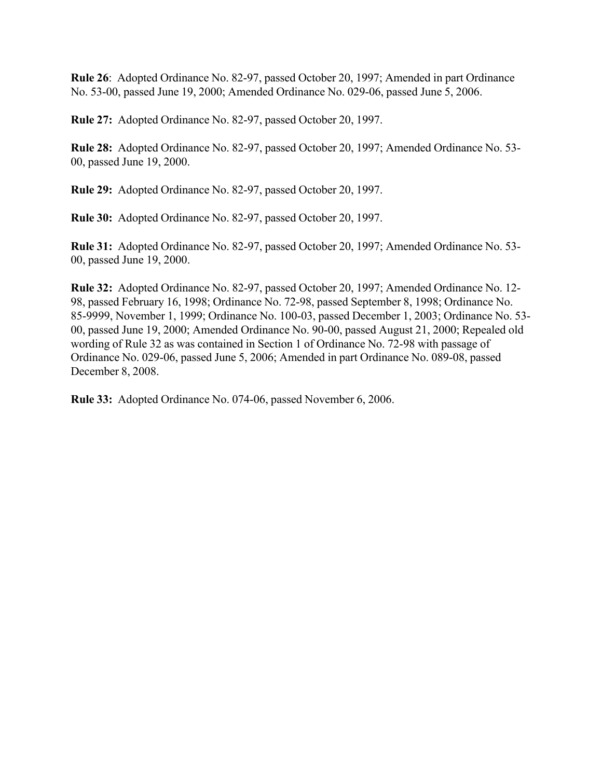**Rule 26**: Adopted Ordinance No. 82-97, passed October 20, 1997; Amended in part Ordinance No. 53-00, passed June 19, 2000; Amended Ordinance No. 029-06, passed June 5, 2006.

**Rule 27:** Adopted Ordinance No. 82-97, passed October 20, 1997.

**Rule 28:** Adopted Ordinance No. 82-97, passed October 20, 1997; Amended Ordinance No. 53- 00, passed June 19, 2000.

**Rule 29:** Adopted Ordinance No. 82-97, passed October 20, 1997.

**Rule 30:** Adopted Ordinance No. 82-97, passed October 20, 1997.

**Rule 31:** Adopted Ordinance No. 82-97, passed October 20, 1997; Amended Ordinance No. 53- 00, passed June 19, 2000.

**Rule 32:** Adopted Ordinance No. 82-97, passed October 20, 1997; Amended Ordinance No. 12- 98, passed February 16, 1998; Ordinance No. 72-98, passed September 8, 1998; Ordinance No. 85-9999, November 1, 1999; Ordinance No. 100-03, passed December 1, 2003; Ordinance No. 53- 00, passed June 19, 2000; Amended Ordinance No. 90-00, passed August 21, 2000; Repealed old wording of Rule 32 as was contained in Section 1 of Ordinance No. 72-98 with passage of Ordinance No. 029-06, passed June 5, 2006; Amended in part Ordinance No. 089-08, passed December 8, 2008.

**Rule 33:** Adopted Ordinance No. 074-06, passed November 6, 2006.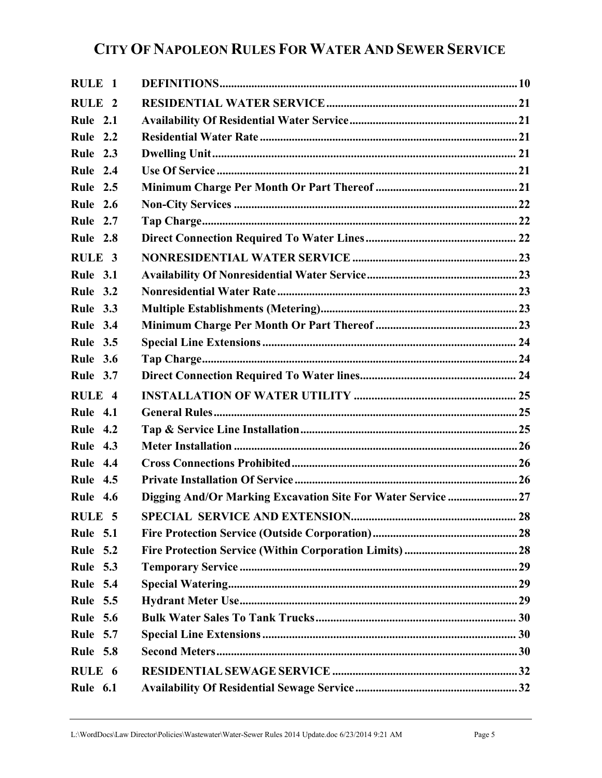| RULE 1            |                                                              |  |
|-------------------|--------------------------------------------------------------|--|
| RULE <sub>2</sub> |                                                              |  |
| <b>Rule 2.1</b>   |                                                              |  |
| Rule 2.2          |                                                              |  |
| Rule 2.3          |                                                              |  |
| Rule 2.4          |                                                              |  |
| <b>Rule 2.5</b>   |                                                              |  |
| <b>Rule 2.6</b>   |                                                              |  |
| <b>Rule 2.7</b>   |                                                              |  |
| <b>Rule 2.8</b>   |                                                              |  |
| RULE <sub>3</sub> |                                                              |  |
| <b>Rule 3.1</b>   |                                                              |  |
| <b>Rule 3.2</b>   |                                                              |  |
| Rule 3.3          |                                                              |  |
| <b>Rule 3.4</b>   |                                                              |  |
| <b>Rule 3.5</b>   |                                                              |  |
| <b>Rule 3.6</b>   |                                                              |  |
| Rule 3.7          |                                                              |  |
| RULE <sub>4</sub> |                                                              |  |
| <b>Rule 4.1</b>   |                                                              |  |
| <b>Rule 4.2</b>   |                                                              |  |
| <b>Rule 4.3</b>   |                                                              |  |
| <b>Rule 4.4</b>   |                                                              |  |
| <b>Rule 4.5</b>   |                                                              |  |
| <b>Rule 4.6</b>   | Digging And/Or Marking Excavation Site For Water Service  27 |  |
| <b>RULE 5</b>     |                                                              |  |
| <b>Rule 5.1</b>   |                                                              |  |
| <b>Rule 5.2</b>   |                                                              |  |
| <b>Rule 5.3</b>   |                                                              |  |
| <b>Rule 5.4</b>   |                                                              |  |
| <b>Rule 5.5</b>   |                                                              |  |
| <b>Rule 5.6</b>   |                                                              |  |
| <b>Rule 5.7</b>   |                                                              |  |
| <b>Rule 5.8</b>   |                                                              |  |
| RULE 6            |                                                              |  |
| <b>Rule 6.1</b>   |                                                              |  |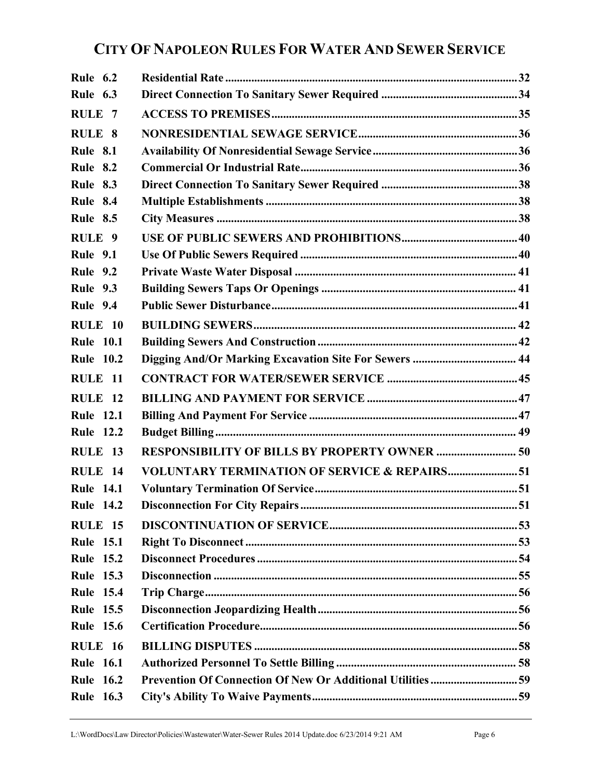| <b>Rule 6.2</b>   |                                                         |  |
|-------------------|---------------------------------------------------------|--|
| <b>Rule 6.3</b>   |                                                         |  |
| RULE <sub>7</sub> |                                                         |  |
| RULE 8            |                                                         |  |
| <b>Rule 8.1</b>   |                                                         |  |
| <b>Rule 8.2</b>   |                                                         |  |
| <b>Rule 8.3</b>   |                                                         |  |
| <b>Rule 8.4</b>   |                                                         |  |
| <b>Rule 8.5</b>   |                                                         |  |
| RULE <sub>9</sub> |                                                         |  |
| <b>Rule 9.1</b>   |                                                         |  |
| <b>Rule 9.2</b>   |                                                         |  |
| <b>Rule 9.3</b>   |                                                         |  |
| <b>Rule 9.4</b>   |                                                         |  |
| <b>RULE 10</b>    |                                                         |  |
| <b>Rule 10.1</b>  |                                                         |  |
| <b>Rule 10.2</b>  | Digging And/Or Marking Excavation Site For Sewers  44   |  |
| RULE 11           |                                                         |  |
| <b>RULE 12</b>    |                                                         |  |
| <b>Rule 12.1</b>  |                                                         |  |
| <b>Rule 12.2</b>  |                                                         |  |
| RULE 13           | <b>RESPONSIBILITY OF BILLS BY PROPERTY OWNER  50</b>    |  |
| RULE 14           | <b>VOLUNTARY TERMINATION OF SERVICE &amp; REPAIRS51</b> |  |
| <b>Rule 14.1</b>  |                                                         |  |
| <b>Rule 14.2</b>  |                                                         |  |
| <b>RULE 15</b>    |                                                         |  |
| <b>Rule 15.1</b>  |                                                         |  |
| <b>Rule 15.2</b>  |                                                         |  |
| <b>Rule 15.3</b>  |                                                         |  |
| <b>Rule 15.4</b>  |                                                         |  |
| <b>Rule 15.5</b>  |                                                         |  |
| <b>Rule 15.6</b>  |                                                         |  |
| <b>RULE 16</b>    |                                                         |  |
| <b>Rule 16.1</b>  |                                                         |  |
| <b>Rule 16.2</b>  |                                                         |  |
| <b>Rule 16.3</b>  |                                                         |  |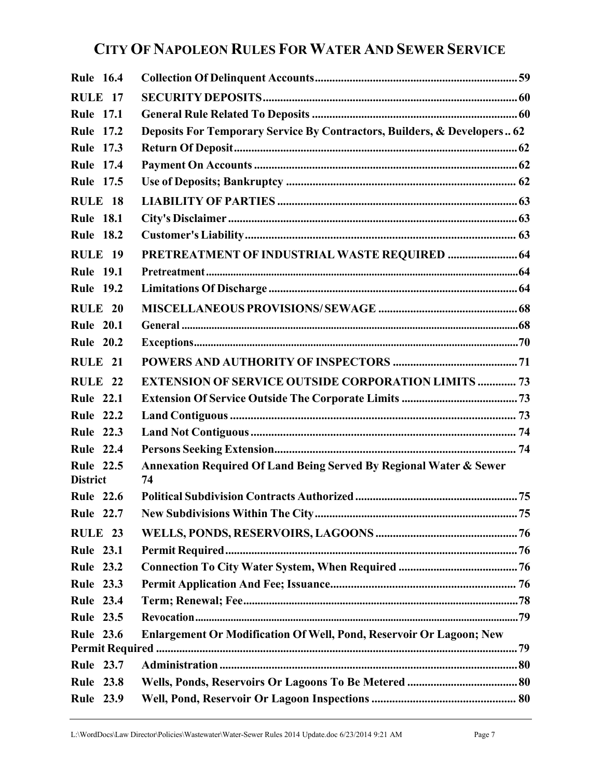| <b>Rule 16.4</b>                    |                                                                          |  |
|-------------------------------------|--------------------------------------------------------------------------|--|
| <b>RULE 17</b>                      |                                                                          |  |
| <b>Rule 17.1</b>                    |                                                                          |  |
| <b>Rule 17.2</b>                    | Deposits For Temporary Service By Contractors, Builders, & Developers 62 |  |
| <b>Rule 17.3</b>                    |                                                                          |  |
| <b>Rule 17.4</b>                    |                                                                          |  |
| <b>Rule 17.5</b>                    |                                                                          |  |
| RULE 18                             |                                                                          |  |
| <b>Rule 18.1</b>                    |                                                                          |  |
| <b>Rule 18.2</b>                    |                                                                          |  |
| <b>RULE 19</b>                      | PRETREATMENT OF INDUSTRIAL WASTE REQUIRED  64                            |  |
| <b>Rule 19.1</b>                    |                                                                          |  |
| <b>Rule 19.2</b>                    |                                                                          |  |
| <b>RULE 20</b>                      |                                                                          |  |
| <b>Rule 20.1</b>                    |                                                                          |  |
| <b>Rule 20.2</b>                    |                                                                          |  |
| RULE <sub>21</sub>                  |                                                                          |  |
| RULE <sub>22</sub>                  | <b>EXTENSION OF SERVICE OUTSIDE CORPORATION LIMITS  73</b>               |  |
| <b>Rule 22.1</b>                    |                                                                          |  |
| <b>Rule 22.2</b>                    |                                                                          |  |
| <b>Rule 22.3</b>                    |                                                                          |  |
| <b>Rule 22.4</b>                    |                                                                          |  |
| <b>Rule 22.5</b><br><b>District</b> | Annexation Required Of Land Being Served By Regional Water & Sewer<br>74 |  |
| <b>Rule 22.6</b>                    |                                                                          |  |
| <b>Rule 22.7</b>                    |                                                                          |  |
| RULE 23                             |                                                                          |  |
| <b>Rule 23.1</b>                    |                                                                          |  |
| <b>Rule 23.2</b>                    |                                                                          |  |
| <b>Rule 23.3</b>                    |                                                                          |  |
| <b>Rule 23.4</b>                    |                                                                          |  |
| <b>Rule 23.5</b>                    |                                                                          |  |
| <b>Rule 23.6</b>                    | Enlargement Or Modification Of Well, Pond, Reservoir Or Lagoon; New      |  |
|                                     |                                                                          |  |
| <b>Rule 23.7</b>                    |                                                                          |  |
| <b>Rule 23.8</b>                    |                                                                          |  |
| <b>Rule 23.9</b>                    |                                                                          |  |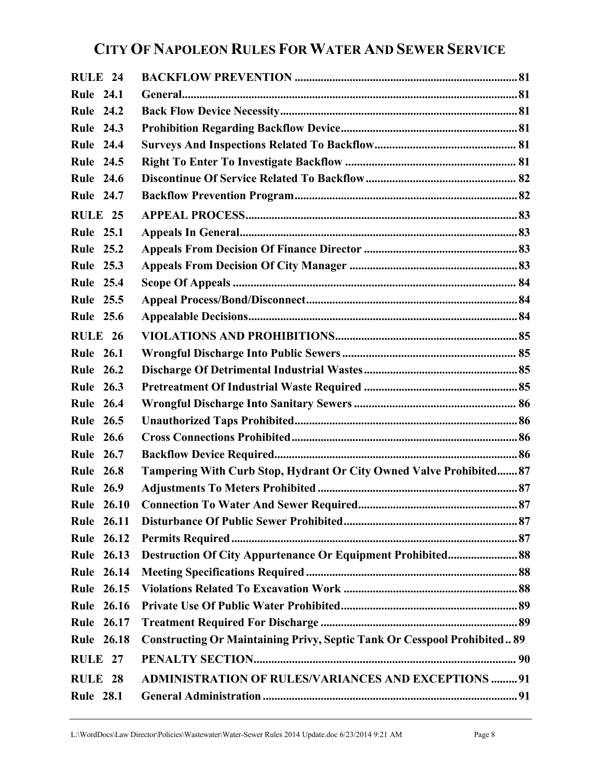| RULE <sub>24</sub> |                                                                                 |  |
|--------------------|---------------------------------------------------------------------------------|--|
| <b>Rule 24.1</b>   |                                                                                 |  |
| <b>Rule 24.2</b>   |                                                                                 |  |
| <b>Rule 24.3</b>   |                                                                                 |  |
| <b>Rule 24.4</b>   |                                                                                 |  |
| <b>Rule 24.5</b>   |                                                                                 |  |
| <b>Rule 24.6</b>   |                                                                                 |  |
| <b>Rule 24.7</b>   |                                                                                 |  |
| <b>RULE 25</b>     |                                                                                 |  |
| <b>Rule 25.1</b>   |                                                                                 |  |
| <b>Rule 25.2</b>   |                                                                                 |  |
| <b>Rule 25.3</b>   |                                                                                 |  |
| <b>Rule 25.4</b>   |                                                                                 |  |
| <b>Rule 25.5</b>   |                                                                                 |  |
| <b>Rule 25.6</b>   |                                                                                 |  |
| <b>RULE 26</b>     |                                                                                 |  |
| <b>Rule 26.1</b>   |                                                                                 |  |
| <b>Rule 26.2</b>   |                                                                                 |  |
| <b>Rule 26.3</b>   |                                                                                 |  |
| <b>Rule 26.4</b>   |                                                                                 |  |
| <b>Rule 26.5</b>   |                                                                                 |  |
| <b>Rule 26.6</b>   |                                                                                 |  |
| <b>Rule 26.7</b>   |                                                                                 |  |
| <b>Rule 26.8</b>   | Tampering With Curb Stop, Hydrant Or City Owned Valve Prohibited 87             |  |
| <b>Rule 26.9</b>   |                                                                                 |  |
| <b>Rule 26.10</b>  |                                                                                 |  |
| <b>Rule 26.11</b>  |                                                                                 |  |
| <b>Rule 26.12</b>  |                                                                                 |  |
| <b>Rule 26.13</b>  | <b>Destruction Of City Appurtenance Or Equipment Prohibited 88</b>              |  |
| <b>Rule 26.14</b>  |                                                                                 |  |
| <b>Rule 26.15</b>  |                                                                                 |  |
| <b>Rule 26.16</b>  |                                                                                 |  |
| Rule 26.17         |                                                                                 |  |
| <b>Rule 26.18</b>  | <b>Constructing Or Maintaining Privy, Septic Tank Or Cesspool Prohibited 89</b> |  |
| RULE 27            |                                                                                 |  |
| <b>RULE 28</b>     | <b>ADMINISTRATION OF RULES/VARIANCES AND EXCEPTIONS  91</b>                     |  |
| <b>Rule 28.1</b>   |                                                                                 |  |
|                    |                                                                                 |  |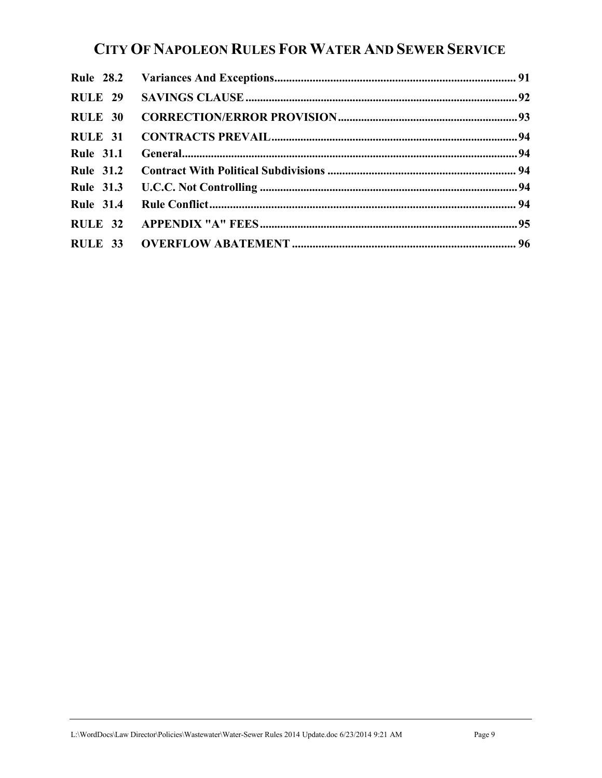| <b>RULE 29</b>   |  |
|------------------|--|
| <b>RULE 30</b>   |  |
| <b>RULE 31</b>   |  |
| <b>Rule 31.1</b> |  |
| <b>Rule 31.2</b> |  |
| <b>Rule 31.3</b> |  |
| <b>Rule 31.4</b> |  |
| <b>RULE 32</b>   |  |
|                  |  |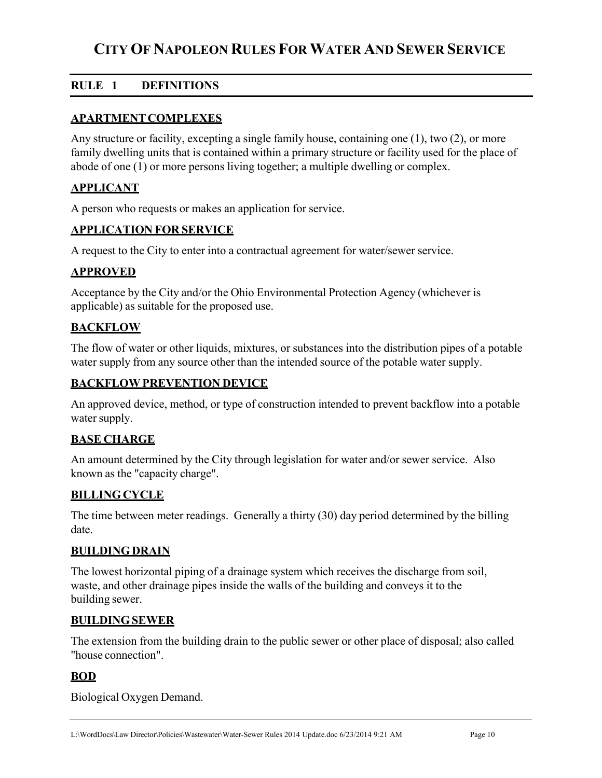## **RULE 1 DEFINITIONS**

#### **APARTMENT COMPLEXES**

Any structure or facility, excepting a single family house, containing one (1), two (2), or more family dwelling units that is contained within a primary structure or facility used for the place of abode of one (1) or more persons living together; a multiple dwelling or complex.

#### **APPLICANT**

A person who requests or makes an application for service.

#### **APPLICATION FOR SERVICE**

A request to the City to enter into a contractual agreement for water/sewer service.

#### **APPROVED**

Acceptance by the City and/or the Ohio Environmental Protection Agency (whichever is applicable) as suitable for the proposed use.

#### **BACKFLOW**

The flow of water or other liquids, mixtures, or substances into the distribution pipes of a potable water supply from any source other than the intended source of the potable water supply.

#### **BACKFLOW PREVENTION DEVICE**

An approved device, method, or type of construction intended to prevent backflow into a potable water supply.

#### **BASE CHARGE**

An amount determined by the City through legislation for water and/or sewer service. Also known as the "capacity charge".

#### **BILLING CYCLE**

The time between meter readings. Generally a thirty (30) day period determined by the billing date.

#### **BUILDING DRAIN**

The lowest horizontal piping of a drainage system which receives the discharge from soil, waste, and other drainage pipes inside the walls of the building and conveys it to the building sewer.

#### **BUILDING SEWER**

The extension from the building drain to the public sewer or other place of disposal; also called "house connection".

#### **BOD**

Biological Oxygen Demand.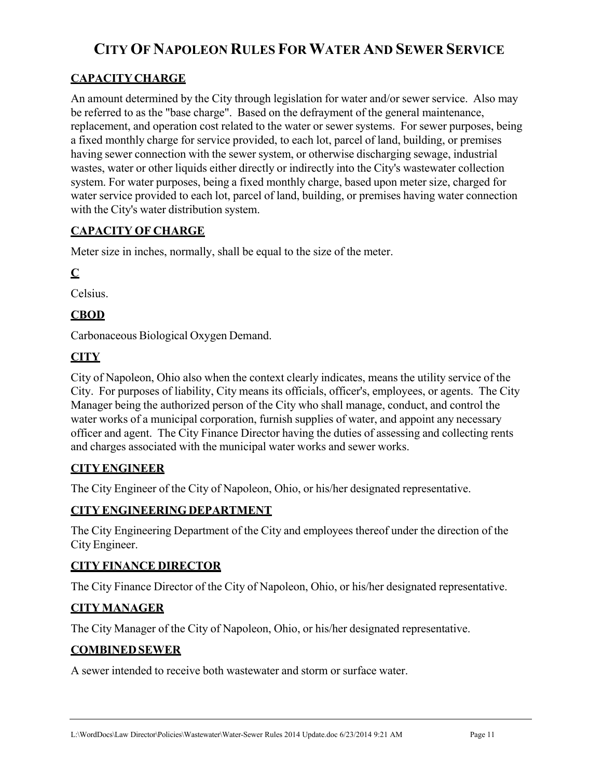## **CAPACITY CHARGE**

An amount determined by the City through legislation for water and/or sewer service. Also may be referred to as the "base charge". Based on the defrayment of the general maintenance, replacement, and operation cost related to the water or sewer systems. For sewer purposes, being a fixed monthly charge for service provided, to each lot, parcel of land, building, or premises having sewer connection with the sewer system, or otherwise discharging sewage, industrial wastes, water or other liquids either directly or indirectly into the City's wastewater collection system. For water purposes, being a fixed monthly charge, based upon meter size, charged for water service provided to each lot, parcel of land, building, or premises having water connection with the City's water distribution system.

### **CAPACITY OF CHARGE**

Meter size in inches, normally, shall be equal to the size of the meter.

## **C**

Celsius.

## **CBOD**

Carbonaceous Biological Oxygen Demand.

## **CITY**

City of Napoleon, Ohio also when the context clearly indicates, means the utility service of the City. For purposes of liability, City means its officials, officer's, employees, or agents. The City Manager being the authorized person of the City who shall manage, conduct, and control the water works of a municipal corporation, furnish supplies of water, and appoint any necessary officer and agent. The City Finance Director having the duties of assessing and collecting rents and charges associated with the municipal water works and sewer works.

#### **CITY ENGINEER**

The City Engineer of the City of Napoleon, Ohio, or his/her designated representative.

## **CITY ENGINEERING DEPARTMENT**

The City Engineering Department of the City and employees thereof under the direction of the City Engineer.

#### **CITY FINANCE DIRECTOR**

The City Finance Director of the City of Napoleon, Ohio, or his/her designated representative.

## **CITY MANAGER**

The City Manager of the City of Napoleon, Ohio, or his/her designated representative.

#### **COMBINED SEWER**

A sewer intended to receive both wastewater and storm or surface water.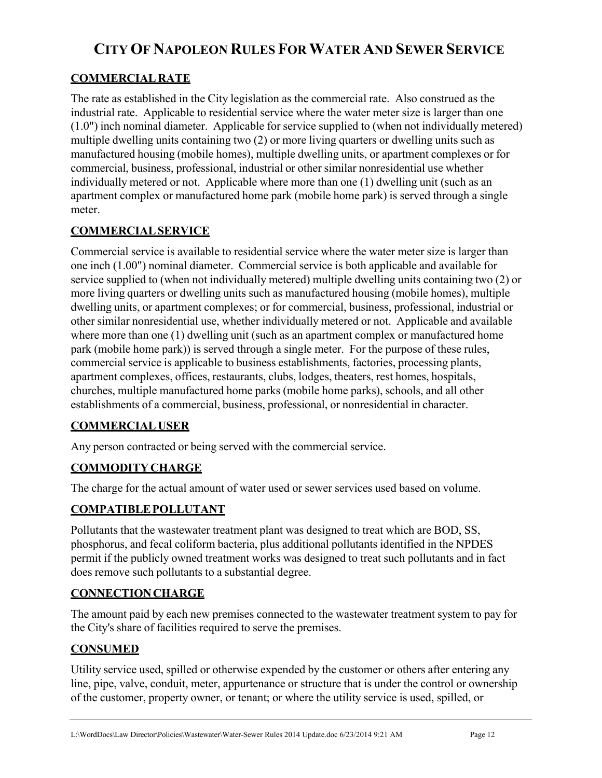## **COMMERCIAL RATE**

The rate as established in the City legislation as the commercial rate. Also construed as the industrial rate. Applicable to residential service where the water meter size is larger than one (1.0") inch nominal diameter. Applicable for service supplied to (when not individually metered) multiple dwelling units containing two (2) or more living quarters or dwelling units such as manufactured housing (mobile homes), multiple dwelling units, or apartment complexes or for commercial, business, professional, industrial or other similar nonresidential use whether individually metered or not. Applicable where more than one (1) dwelling unit (such as an apartment complex or manufactured home park (mobile home park) is served through a single meter.

## **COMMERCIAL SERVICE**

Commercial service is available to residential service where the water meter size is larger than one inch (1.00") nominal diameter. Commercial service is both applicable and available for service supplied to (when not individually metered) multiple dwelling units containing two (2) or more living quarters or dwelling units such as manufactured housing (mobile homes), multiple dwelling units, or apartment complexes; or for commercial, business, professional, industrial or other similar nonresidential use, whether individually metered or not. Applicable and available where more than one (1) dwelling unit (such as an apartment complex or manufactured home park (mobile home park)) is served through a single meter. For the purpose of these rules, commercial service is applicable to business establishments, factories, processing plants, apartment complexes, offices, restaurants, clubs, lodges, theaters, rest homes, hospitals, churches, multiple manufactured home parks (mobile home parks), schools, and all other establishments of a commercial, business, professional, or nonresidential in character.

## **COMMERCIAL USER**

Any person contracted or being served with the commercial service.

## **COMMODITY CHARGE**

The charge for the actual amount of water used or sewer services used based on volume.

#### **COMPATIBLE POLLUTANT**

Pollutants that the wastewater treatment plant was designed to treat which are BOD, SS, phosphorus, and fecal coliform bacteria, plus additional pollutants identified in the NPDES permit if the publicly owned treatment works was designed to treat such pollutants and in fact does remove such pollutants to a substantial degree.

#### **CONNECTION CHARGE**

The amount paid by each new premises connected to the wastewater treatment system to pay for the City's share of facilities required to serve the premises.

#### **CONSUMED**

Utility service used, spilled or otherwise expended by the customer or others after entering any line, pipe, valve, conduit, meter, appurtenance or structure that is under the control or ownership of the customer, property owner, or tenant; or where the utility service is used, spilled, or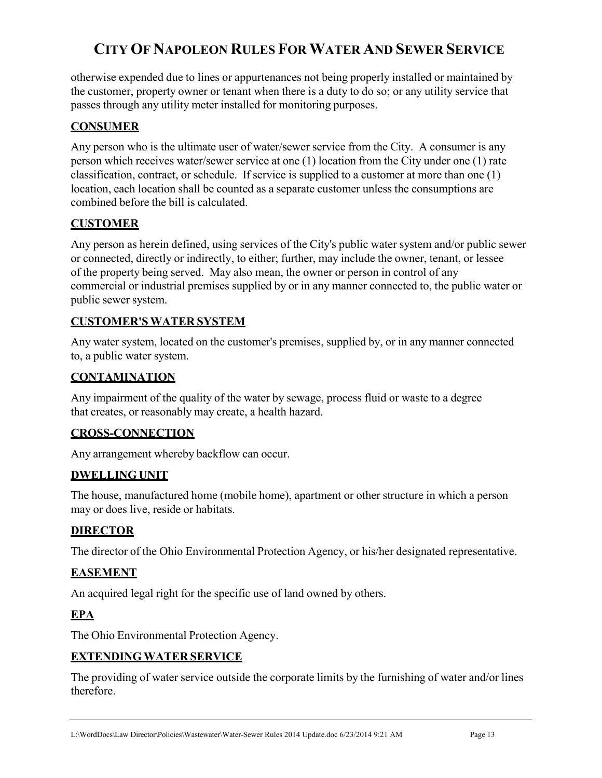otherwise expended due to lines or appurtenances not being properly installed or maintained by the customer, property owner or tenant when there is a duty to do so; or any utility service that passes through any utility meter installed for monitoring purposes.

### **CONSUMER**

Any person who is the ultimate user of water/sewer service from the City. A consumer is any person which receives water/sewer service at one (1) location from the City under one (1) rate classification, contract, or schedule. If service is supplied to a customer at more than one (1) location, each location shall be counted as a separate customer unless the consumptions are combined before the bill is calculated.

#### **CUSTOMER**

Any person as herein defined, using services of the City's public water system and/or public sewer or connected, directly or indirectly, to either; further, may include the owner, tenant, or lessee of the property being served. May also mean, the owner or person in control of any commercial or industrial premises supplied by or in any manner connected to, the public water or public sewer system.

### **CUSTOMER'S WATER SYSTEM**

Any water system, located on the customer's premises, supplied by, or in any manner connected to, a public water system.

### **CONTAMINATION**

Any impairment of the quality of the water by sewage, process fluid or waste to a degree that creates, or reasonably may create, a health hazard.

#### **CROSS-CONNECTION**

Any arrangement whereby backflow can occur.

#### **DWELLING UNIT**

The house, manufactured home (mobile home), apartment or other structure in which a person may or does live, reside or habitats.

#### **DIRECTOR**

The director of the Ohio Environmental Protection Agency, or his/her designated representative.

#### **EASEMENT**

An acquired legal right for the specific use of land owned by others.

## **EPA**

The Ohio Environmental Protection Agency.

#### **EXTENDING WATER SERVICE**

The providing of water service outside the corporate limits by the furnishing of water and/or lines therefore.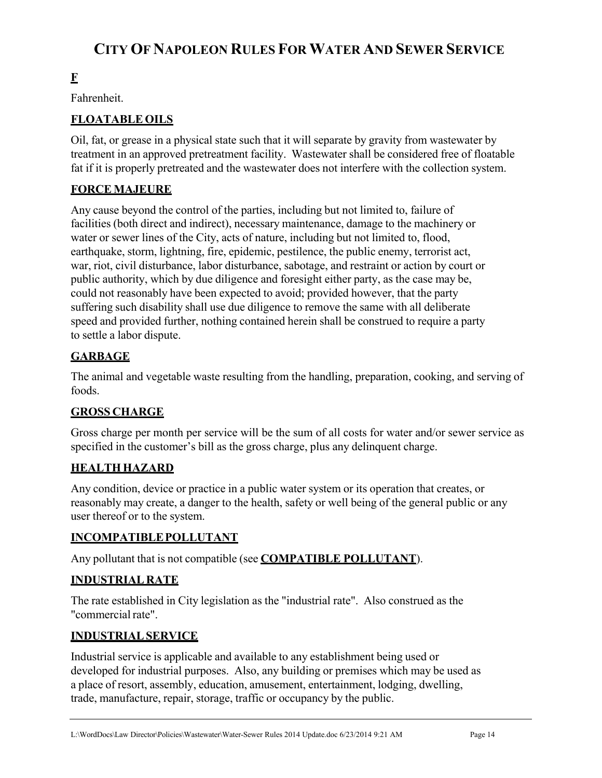## **F**

Fahrenheit.

## **FLOATABLE OILS**

Oil, fat, or grease in a physical state such that it will separate by gravity from wastewater by treatment in an approved pretreatment facility. Wastewater shall be considered free of floatable fat if it is properly pretreated and the wastewater does not interfere with the collection system.

## **FORCE MAJEURE**

Any cause beyond the control of the parties, including but not limited to, failure of facilities (both direct and indirect), necessary maintenance, damage to the machinery or water or sewer lines of the City, acts of nature, including but not limited to, flood, earthquake, storm, lightning, fire, epidemic, pestilence, the public enemy, terrorist act, war, riot, civil disturbance, labor disturbance, sabotage, and restraint or action by court or public authority, which by due diligence and foresight either party, as the case may be, could not reasonably have been expected to avoid; provided however, that the party suffering such disability shall use due diligence to remove the same with all deliberate speed and provided further, nothing contained herein shall be construed to require a party to settle a labor dispute.

## **GARBAGE**

The animal and vegetable waste resulting from the handling, preparation, cooking, and serving of foods.

#### **GROSS CHARGE**

Gross charge per month per service will be the sum of all costs for water and/or sewer service as specified in the customer's bill as the gross charge, plus any delinquent charge.

#### **HEALTH HAZARD**

Any condition, device or practice in a public water system or its operation that creates, or reasonably may create, a danger to the health, safety or well being of the general public or any user thereof or to the system.

#### **INCOMPATIBLE POLLUTANT**

Any pollutant that is not compatible (see **COMPATIBLE POLLUTANT**).

#### **INDUSTRIAL RATE**

The rate established in City legislation as the "industrial rate". Also construed as the "commercial rate".

#### **INDUSTRIAL SERVICE**

Industrial service is applicable and available to any establishment being used or developed for industrial purposes. Also, any building or premises which may be used as a place of resort, assembly, education, amusement, entertainment, lodging, dwelling, trade, manufacture, repair, storage, traffic or occupancy by the public.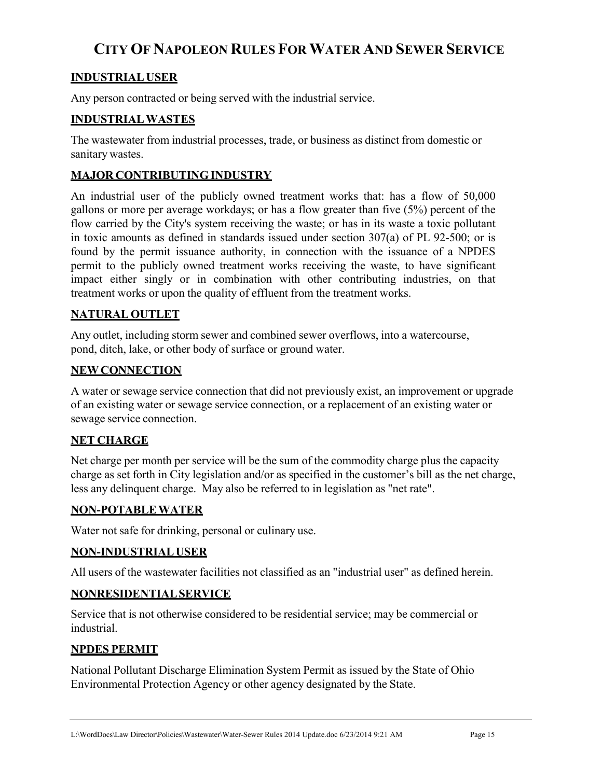### **INDUSTRIAL USER**

Any person contracted or being served with the industrial service.

#### **INDUSTRIAL WASTES**

The wastewater from industrial processes, trade, or business as distinct from domestic or sanitary wastes.

#### **MAJOR CONTRIBUTING INDUSTRY**

An industrial user of the publicly owned treatment works that: has a flow of 50,000 gallons or more per average workdays; or has a flow greater than five (5%) percent of the flow carried by the City's system receiving the waste; or has in its waste a toxic pollutant in toxic amounts as defined in standards issued under section 307(a) of PL 92-500; or is found by the permit issuance authority, in connection with the issuance of a NPDES permit to the publicly owned treatment works receiving the waste, to have significant impact either singly or in combination with other contributing industries, on that treatment works or upon the quality of effluent from the treatment works.

#### **NATURAL OUTLET**

Any outlet, including storm sewer and combined sewer overflows, into a watercourse, pond, ditch, lake, or other body of surface or ground water.

#### **NEW CONNECTION**

A water or sewage service connection that did not previously exist, an improvement or upgrade of an existing water or sewage service connection, or a replacement of an existing water or sewage service connection.

#### **NET CHARGE**

Net charge per month per service will be the sum of the commodity charge plus the capacity charge as set forth in City legislation and/or as specified in the customer's bill as the net charge, less any delinquent charge. May also be referred to in legislation as "net rate".

#### **NON-POTABLE WATER**

Water not safe for drinking, personal or culinary use.

#### **NON-INDUSTRIAL USER**

All users of the wastewater facilities not classified as an "industrial user" as defined herein.

#### **NONRESIDENTIAL SERVICE**

Service that is not otherwise considered to be residential service; may be commercial or industrial.

#### **NPDES PERMIT**

National Pollutant Discharge Elimination System Permit as issued by the State of Ohio Environmental Protection Agency or other agency designated by the State.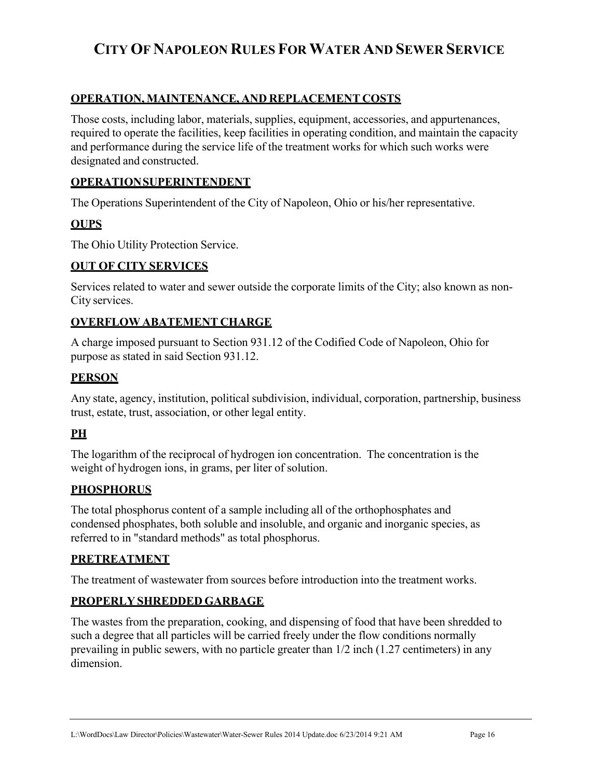### **OPERATION, MAINTENANCE, AND REPLACEMENT COSTS**

Those costs, including labor, materials, supplies, equipment, accessories, and appurtenances, required to operate the facilities, keep facilities in operating condition, and maintain the capacity and performance during the service life of the treatment works for which such works were designated and constructed.

### **OPERATION SUPERINTENDENT**

The Operations Superintendent of the City of Napoleon, Ohio or his/her representative.

### **OUPS**

The Ohio Utility Protection Service.

#### **OUT OF CITY SERVICES**

Services related to water and sewer outside the corporate limits of the City; also known as non-City services.

#### **OVERFLOW ABATEMENT CHARGE**

A charge imposed pursuant to Section 931.12 of the Codified Code of Napoleon, Ohio for purpose as stated in said Section 931.12.

#### **PERSON**

Any state, agency, institution, political subdivision, individual, corporation, partnership, business trust, estate, trust, association, or other legal entity.

#### **PH**

The logarithm of the reciprocal of hydrogen ion concentration. The concentration is the weight of hydrogen ions, in grams, per liter of solution.

#### **PHOSPHORUS**

The total phosphorus content of a sample including all of the orthophosphates and condensed phosphates, both soluble and insoluble, and organic and inorganic species, as referred to in "standard methods" as total phosphorus.

#### **PRETREATMENT**

The treatment of wastewater from sources before introduction into the treatment works.

#### **PROPERLY SHREDDED GARBAGE**

The wastes from the preparation, cooking, and dispensing of food that have been shredded to such a degree that all particles will be carried freely under the flow conditions normally prevailing in public sewers, with no particle greater than 1/2 inch (1.27 centimeters) in any dimension.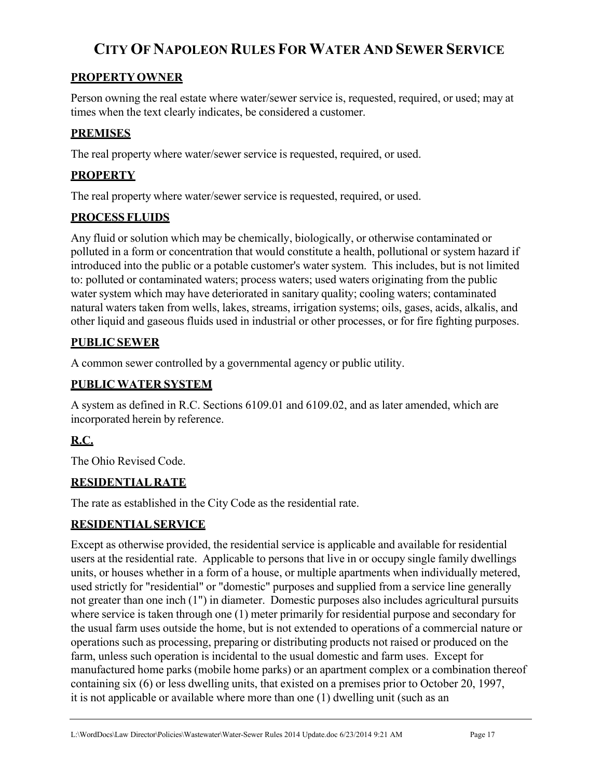## **PROPERTY OWNER**

Person owning the real estate where water/sewer service is, requested, required, or used; may at times when the text clearly indicates, be considered a customer.

## **PREMISES**

The real property where water/sewer service is requested, required, or used.

### **PROPERTY**

The real property where water/sewer service is requested, required, or used.

#### **PROCESS FLUIDS**

Any fluid or solution which may be chemically, biologically, or otherwise contaminated or polluted in a form or concentration that would constitute a health, pollutional or system hazard if introduced into the public or a potable customer's water system. This includes, but is not limited to: polluted or contaminated waters; process waters; used waters originating from the public water system which may have deteriorated in sanitary quality; cooling waters; contaminated natural waters taken from wells, lakes, streams, irrigation systems; oils, gases, acids, alkalis, and other liquid and gaseous fluids used in industrial or other processes, or for fire fighting purposes.

### **PUBLIC SEWER**

A common sewer controlled by a governmental agency or public utility.

### **PUBLIC WATER SYSTEM**

A system as defined in R.C. Sections 6109.01 and 6109.02, and as later amended, which are incorporated herein by reference.

## **R.C.**

The Ohio Revised Code.

#### **RESIDENTIAL RATE**

The rate as established in the City Code as the residential rate.

#### **RESIDENTIAL SERVICE**

Except as otherwise provided, the residential service is applicable and available for residential users at the residential rate. Applicable to persons that live in or occupy single family dwellings units, or houses whether in a form of a house, or multiple apartments when individually metered, used strictly for "residential" or "domestic" purposes and supplied from a service line generally not greater than one inch (1") in diameter. Domestic purposes also includes agricultural pursuits where service is taken through one (1) meter primarily for residential purpose and secondary for the usual farm uses outside the home, but is not extended to operations of a commercial nature or operations such as processing, preparing or distributing products not raised or produced on the farm, unless such operation is incidental to the usual domestic and farm uses. Except for manufactured home parks (mobile home parks) or an apartment complex or a combination thereof containing six (6) or less dwelling units, that existed on a premises prior to October 20, 1997, it is not applicable or available where more than one (1) dwelling unit (such as an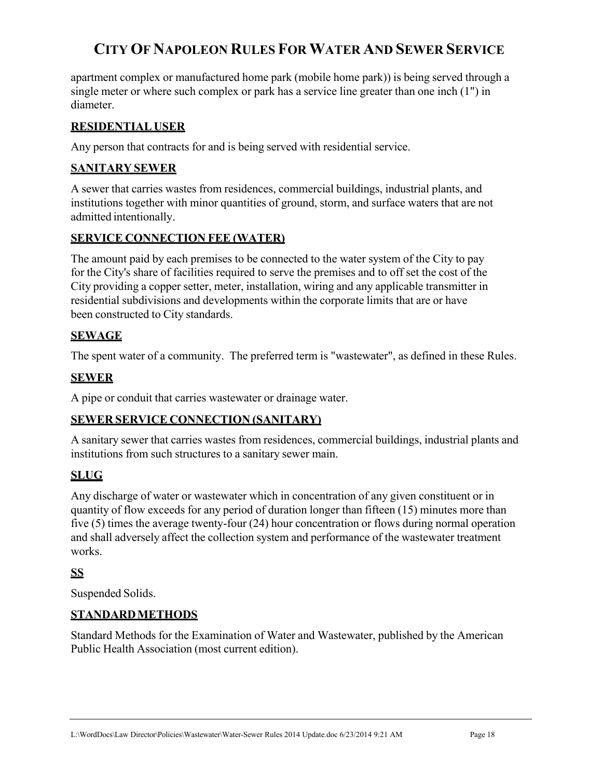apartment complex or manufactured home park (mobile home park)) is being served through a single meter or where such complex or park has a service line greater than one inch (1") in diameter.

#### **RESIDENTIAL USER**

Any person that contracts for and is being served with residential service.

#### **SANITARY SEWER**

A sewer that carries wastes from residences, commercial buildings, industrial plants, and institutions together with minor quantities of ground, storm, and surface waters that are not admitted intentionally.

#### **SERVICE CONNECTION FEE (WATER)**

The amount paid by each premises to be connected to the water system of the City to pay for the City's share of facilities required to serve the premises and to off set the cost of the City providing a copper setter, meter, installation, wiring and any applicable transmitter in residential subdivisions and developments within the corporate limits that are or have been constructed to City standards.

#### **SEWAGE**

The spent water of a community. The preferred term is "wastewater", as defined in these Rules.

#### **SEWER**

A pipe or conduit that carries wastewater or drainage water.

#### **SEWER SERVICE CONNECTION (SANITARY)**

A sanitary sewer that carries wastes from residences, commercial buildings, industrial plants and institutions from such structures to a sanitary sewer main.

## **SLUG**

Any discharge of water or wastewater which in concentration of any given constituent or in quantity of flow exceeds for any period of duration longer than fifteen (15) minutes more than five (5) times the average twenty-four (24) hour concentration or flows during normal operation and shall adversely affect the collection system and performance of the wastewater treatment works.

## **SS**

Suspended Solids.

#### **STANDARD METHODS**

Standard Methods for the Examination of Water and Wastewater, published by the American Public Health Association (most current edition).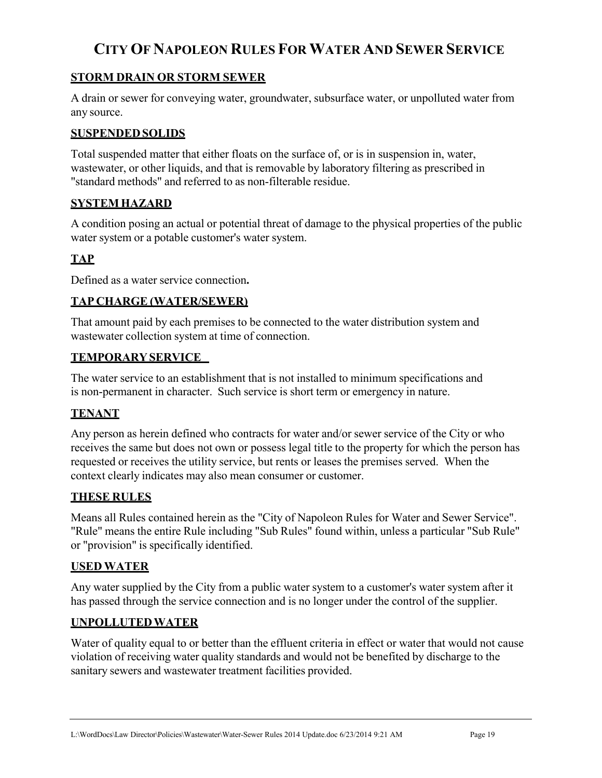#### **STORM DRAIN OR STORM SEWER**

A drain or sewer for conveying water, groundwater, subsurface water, or unpolluted water from any source.

### **SUSPENDED SOLIDS**

Total suspended matter that either floats on the surface of, or is in suspension in, water, wastewater, or other liquids, and that is removable by laboratory filtering as prescribed in "standard methods" and referred to as non-filterable residue.

### **SYSTEM HAZARD**

A condition posing an actual or potential threat of damage to the physical properties of the public water system or a potable customer's water system.

## **TAP**

Defined as a water service connection**.**

### **TAP CHARGE (WATER/SEWER)**

That amount paid by each premises to be connected to the water distribution system and wastewater collection system at time of connection.

#### **TEMPORARY SERVICE**

The water service to an establishment that is not installed to minimum specifications and is non-permanent in character. Such service is short term or emergency in nature.

#### **TENANT**

Any person as herein defined who contracts for water and/or sewer service of the City or who receives the same but does not own or possess legal title to the property for which the person has requested or receives the utility service, but rents or leases the premises served. When the context clearly indicates may also mean consumer or customer.

#### **THESE RULES**

Means all Rules contained herein as the "City of Napoleon Rules for Water and Sewer Service". "Rule" means the entire Rule including "Sub Rules" found within, unless a particular "Sub Rule" or "provision" is specifically identified.

#### **USED WATER**

Any water supplied by the City from a public water system to a customer's water system after it has passed through the service connection and is no longer under the control of the supplier.

#### **UNPOLLUTED WATER**

Water of quality equal to or better than the effluent criteria in effect or water that would not cause violation of receiving water quality standards and would not be benefited by discharge to the sanitary sewers and wastewater treatment facilities provided.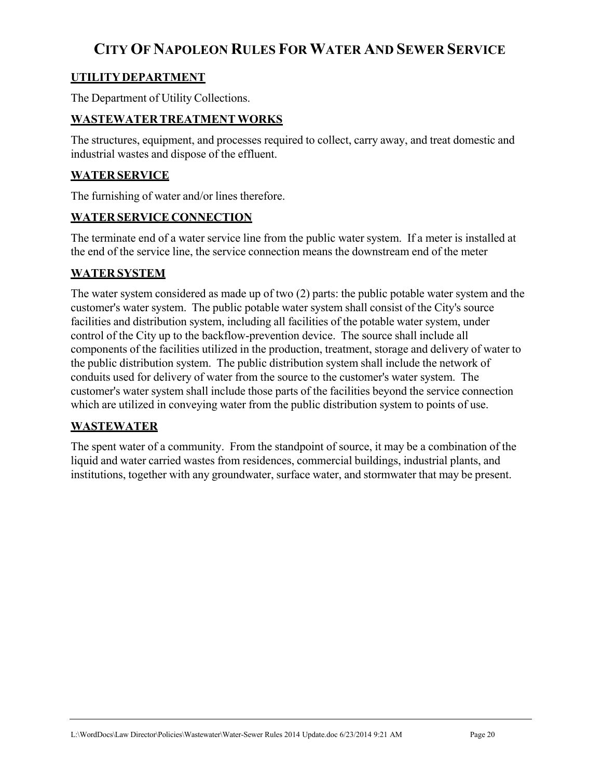## **UTILITY DEPARTMENT**

The Department of Utility Collections.

#### **WASTEWATER TREATMENT WORKS**

The structures, equipment, and processes required to collect, carry away, and treat domestic and industrial wastes and dispose of the effluent.

#### **WATER SERVICE**

The furnishing of water and/or lines therefore.

#### **WATER SERVICE CONNECTION**

The terminate end of a water service line from the public water system. If a meter is installed at the end of the service line, the service connection means the downstream end of the meter

#### **WATER SYSTEM**

The water system considered as made up of two (2) parts: the public potable water system and the customer's water system. The public potable water system shall consist of the City's source facilities and distribution system, including all facilities of the potable water system, under control of the City up to the backflow-prevention device. The source shall include all components of the facilities utilized in the production, treatment, storage and delivery of water to the public distribution system. The public distribution system shall include the network of conduits used for delivery of water from the source to the customer's water system. The customer's water system shall include those parts of the facilities beyond the service connection which are utilized in conveying water from the public distribution system to points of use.

#### **WASTEWATER**

The spent water of a community. From the standpoint of source, it may be a combination of the liquid and water carried wastes from residences, commercial buildings, industrial plants, and institutions, together with any groundwater, surface water, and stormwater that may be present.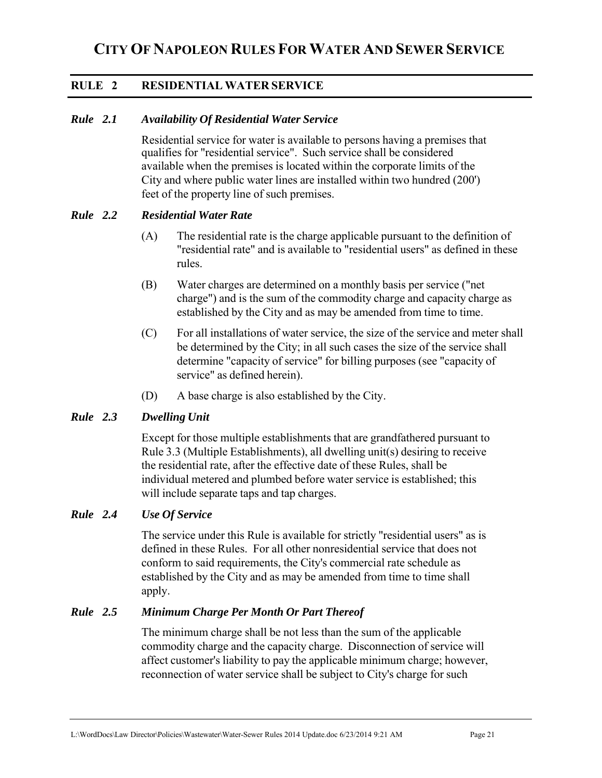### **RULE 2 RESIDENTIAL WATER SERVICE**

#### *Rule 2.1 Availability Of Residential Water Service*

Residential service for water is available to persons having a premises that qualifies for "residential service". Such service shall be considered available when the premises is located within the corporate limits of the City and where public water lines are installed within two hundred (200') feet of the property line of such premises.

#### *Rule 2.2 Residential Water Rate*

- (A) The residential rate is the charge applicable pursuant to the definition of "residential rate" and is available to "residential users" as defined in these rules.
- (B) Water charges are determined on a monthly basis per service ("net charge") and is the sum of the commodity charge and capacity charge as established by the City and as may be amended from time to time.
- (C) For all installations of water service, the size of the service and meter shall be determined by the City; in all such cases the size of the service shall determine "capacity of service" for billing purposes (see "capacity of service" as defined herein).
- (D) A base charge is also established by the City.

#### *Rule 2.3 Dwelling Unit*

Except for those multiple establishments that are grandfathered pursuant to Rule 3.3 (Multiple Establishments), all dwelling unit(s) desiring to receive the residential rate, after the effective date of these Rules, shall be individual metered and plumbed before water service is established; this will include separate taps and tap charges.

#### *Rule 2.4 Use Of Service*

 The service under this Rule is available for strictly "residential users" as is defined in these Rules. For all other nonresidential service that does not conform to said requirements, the City's commercial rate schedule as established by the City and as may be amended from time to time shall apply.

#### *Rule 2.5 Minimum Charge Per Month Or Part Thereof*

 The minimum charge shall be not less than the sum of the applicable commodity charge and the capacity charge. Disconnection of service will affect customer's liability to pay the applicable minimum charge; however, reconnection of water service shall be subject to City's charge for such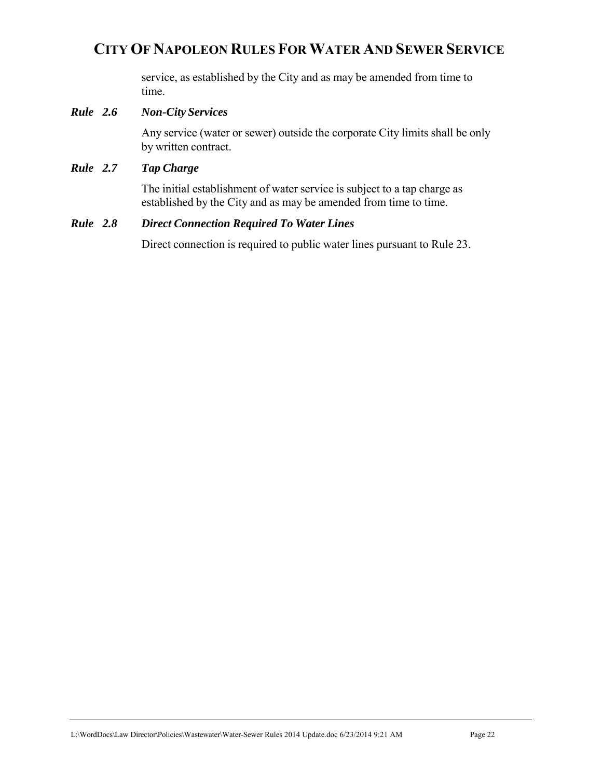service, as established by the City and as may be amended from time to time.

#### *Rule 2.6 Non-City Services*

 Any service (water or sewer) outside the corporate City limits shall be only by written contract.

#### *Rule 2.7 Tap Charge*

 The initial establishment of water service is subject to a tap charge as established by the City and as may be amended from time to time.

#### *Rule 2.8 Direct Connection Required To Water Lines*

Direct connection is required to public water lines pursuant to Rule 23.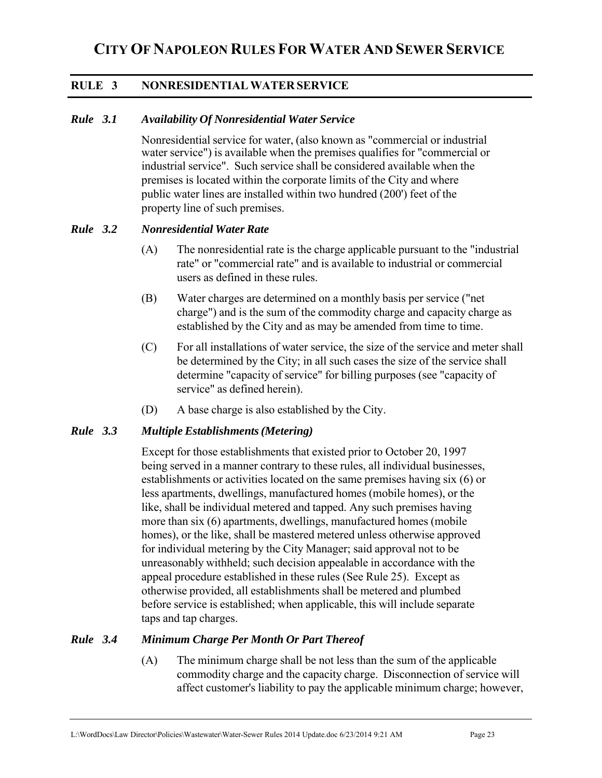### **RULE 3 NONRESIDENTIAL WATER SERVICE**

#### *Rule 3.1 Availability Of Nonresidential Water Service*

Nonresidential service for water, (also known as "commercial or industrial water service") is available when the premises qualifies for "commercial or industrial service". Such service shall be considered available when the premises is located within the corporate limits of the City and where public water lines are installed within two hundred (200') feet of the property line of such premises.

#### *Rule 3.2 Nonresidential Water Rate*

- (A) The nonresidential rate is the charge applicable pursuant to the "industrial rate" or "commercial rate" and is available to industrial or commercial users as defined in these rules.
- (B) Water charges are determined on a monthly basis per service ("net charge") and is the sum of the commodity charge and capacity charge as established by the City and as may be amended from time to time.
- (C) For all installations of water service, the size of the service and meter shall be determined by the City; in all such cases the size of the service shall determine "capacity of service" for billing purposes (see "capacity of service" as defined herein).
- (D) A base charge is also established by the City.

#### *Rule 3.3 Multiple Establishments (Metering)*

Except for those establishments that existed prior to October 20, 1997 being served in a manner contrary to these rules, all individual businesses, establishments or activities located on the same premises having six (6) or less apartments, dwellings, manufactured homes (mobile homes), or the like, shall be individual metered and tapped. Any such premises having more than six (6) apartments, dwellings, manufactured homes (mobile homes), or the like, shall be mastered metered unless otherwise approved for individual metering by the City Manager; said approval not to be unreasonably withheld; such decision appealable in accordance with the appeal procedure established in these rules (See Rule 25). Except as otherwise provided, all establishments shall be metered and plumbed before service is established; when applicable, this will include separate taps and tap charges.

#### *Rule 3.4 Minimum Charge Per Month Or Part Thereof*

(A) The minimum charge shall be not less than the sum of the applicable commodity charge and the capacity charge. Disconnection of service will affect customer's liability to pay the applicable minimum charge; however,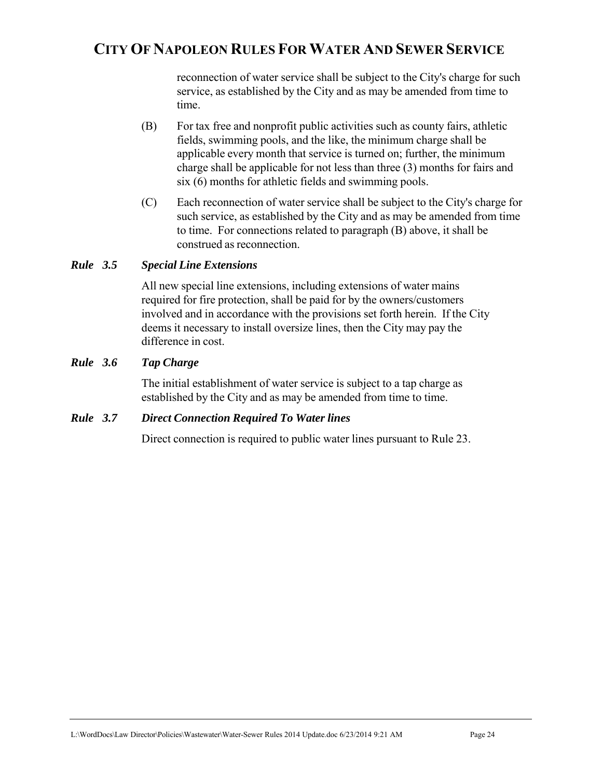reconnection of water service shall be subject to the City's charge for such service, as established by the City and as may be amended from time to time.

- (B) For tax free and nonprofit public activities such as county fairs, athletic fields, swimming pools, and the like, the minimum charge shall be applicable every month that service is turned on; further, the minimum charge shall be applicable for not less than three (3) months for fairs and six (6) months for athletic fields and swimming pools.
- (C) Each reconnection of water service shall be subject to the City's charge for such service, as established by the City and as may be amended from time to time. For connections related to paragraph (B) above, it shall be construed as reconnection.

#### *Rule 3.5 Special Line Extensions*

All new special line extensions, including extensions of water mains required for fire protection, shall be paid for by the owners/customers involved and in accordance with the provisions set forth herein. If the City deems it necessary to install oversize lines, then the City may pay the difference in cost.

#### *Rule 3.6 Tap Charge*

 The initial establishment of water service is subject to a tap charge as established by the City and as may be amended from time to time.

#### *Rule 3.7 Direct Connection Required To Water lines*

Direct connection is required to public water lines pursuant to Rule 23.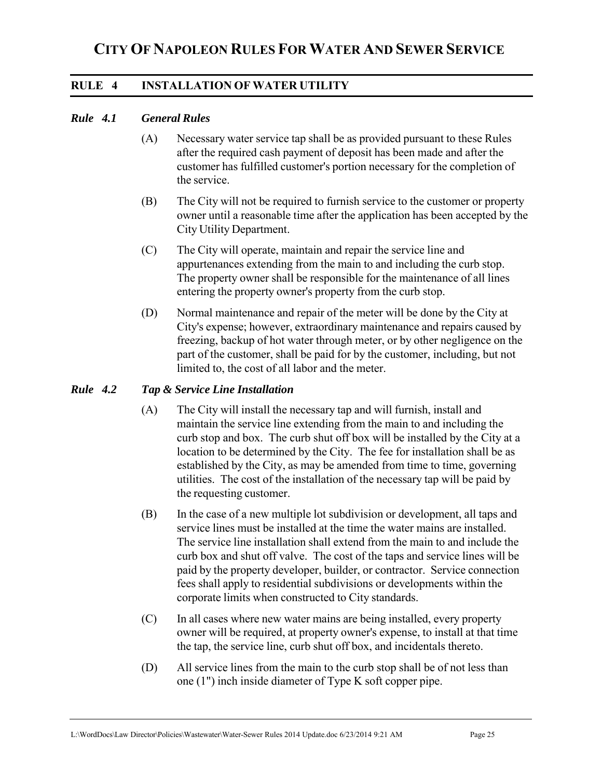#### **RULE 4 INSTALLATION OF WATER UTILITY**

#### *Rule 4.1 General Rules*

- (A) Necessary water service tap shall be as provided pursuant to these Rules after the required cash payment of deposit has been made and after the customer has fulfilled customer's portion necessary for the completion of the service.
- (B) The City will not be required to furnish service to the customer or property owner until a reasonable time after the application has been accepted by the City Utility Department.
- (C) The City will operate, maintain and repair the service line and appurtenances extending from the main to and including the curb stop. The property owner shall be responsible for the maintenance of all lines entering the property owner's property from the curb stop.
- (D) Normal maintenance and repair of the meter will be done by the City at City's expense; however, extraordinary maintenance and repairs caused by freezing, backup of hot water through meter, or by other negligence on the part of the customer, shall be paid for by the customer, including, but not limited to, the cost of all labor and the meter.

#### *Rule 4.2 Tap & Service Line Installation*

- (A) The City will install the necessary tap and will furnish, install and maintain the service line extending from the main to and including the curb stop and box. The curb shut off box will be installed by the City at a location to be determined by the City. The fee for installation shall be as established by the City, as may be amended from time to time, governing utilities. The cost of the installation of the necessary tap will be paid by the requesting customer.
- (B) In the case of a new multiple lot subdivision or development, all taps and service lines must be installed at the time the water mains are installed. The service line installation shall extend from the main to and include the curb box and shut off valve. The cost of the taps and service lines will be paid by the property developer, builder, or contractor. Service connection fees shall apply to residential subdivisions or developments within the corporate limits when constructed to City standards.
- (C) In all cases where new water mains are being installed, every property owner will be required, at property owner's expense, to install at that time the tap, the service line, curb shut off box, and incidentals thereto.
- (D) All service lines from the main to the curb stop shall be of not less than one (1") inch inside diameter of Type K soft copper pipe.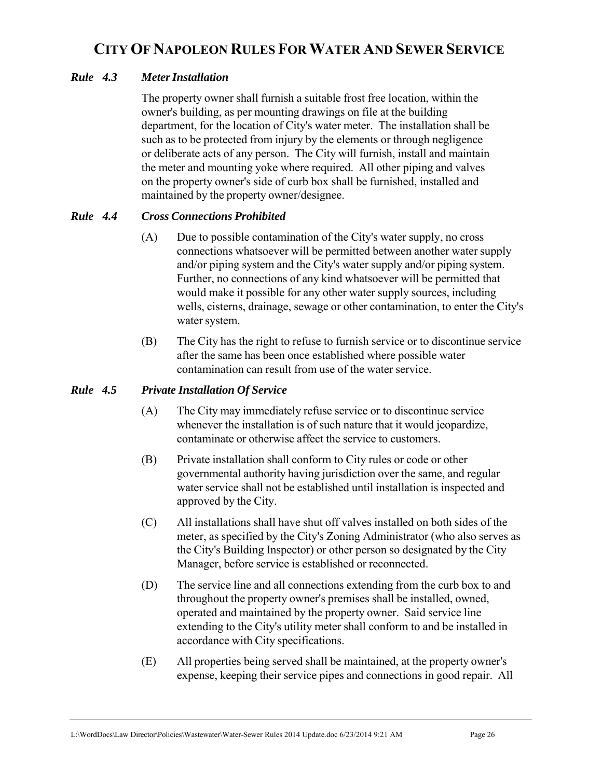#### *Rule 4.3 Meter Installation*

The property owner shall furnish a suitable frost free location, within the owner's building, as per mounting drawings on file at the building department, for the location of City's water meter. The installation shall be such as to be protected from injury by the elements or through negligence or deliberate acts of any person. The City will furnish, install and maintain the meter and mounting yoke where required. All other piping and valves on the property owner's side of curb box shall be furnished, installed and maintained by the property owner/designee.

#### *Rule 4.4 Cross Connections Prohibited*

- (A) Due to possible contamination of the City's water supply, no cross connections whatsoever will be permitted between another water supply and/or piping system and the City's water supply and/or piping system. Further, no connections of any kind whatsoever will be permitted that would make it possible for any other water supply sources, including wells, cisterns, drainage, sewage or other contamination, to enter the City's water system.
- (B) The City has the right to refuse to furnish service or to discontinue service after the same has been once established where possible water contamination can result from use of the water service.

#### *Rule 4.5 Private Installation Of Service*

- (A) The City may immediately refuse service or to discontinue service whenever the installation is of such nature that it would jeopardize, contaminate or otherwise affect the service to customers.
- (B) Private installation shall conform to City rules or code or other governmental authority having jurisdiction over the same, and regular water service shall not be established until installation is inspected and approved by the City.
- (C) All installations shall have shut off valves installed on both sides of the meter, as specified by the City's Zoning Administrator (who also serves as the City's Building Inspector) or other person so designated by the City Manager, before service is established or reconnected.
- (D) The service line and all connections extending from the curb box to and throughout the property owner's premises shall be installed, owned, operated and maintained by the property owner. Said service line extending to the City's utility meter shall conform to and be installed in accordance with City specifications.
- (E) All properties being served shall be maintained, at the property owner's expense, keeping their service pipes and connections in good repair. All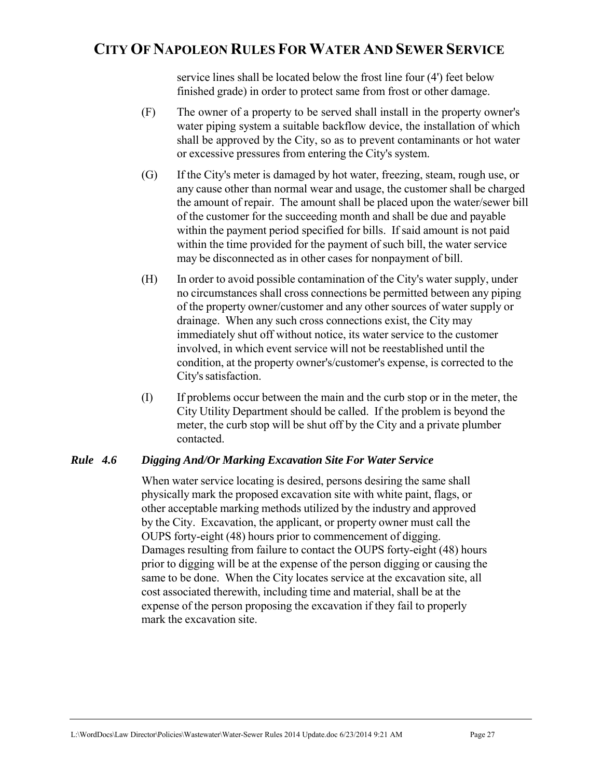service lines shall be located below the frost line four (4') feet below finished grade) in order to protect same from frost or other damage.

- (F) The owner of a property to be served shall install in the property owner's water piping system a suitable backflow device, the installation of which shall be approved by the City, so as to prevent contaminants or hot water or excessive pressures from entering the City's system.
- (G) If the City's meter is damaged by hot water, freezing, steam, rough use, or any cause other than normal wear and usage, the customer shall be charged the amount of repair. The amount shall be placed upon the water/sewer bill of the customer for the succeeding month and shall be due and payable within the payment period specified for bills. If said amount is not paid within the time provided for the payment of such bill, the water service may be disconnected as in other cases for nonpayment of bill.
- (H) In order to avoid possible contamination of the City's water supply, under no circumstances shall cross connections be permitted between any piping of the property owner/customer and any other sources of water supply or drainage. When any such cross connections exist, the City may immediately shut off without notice, its water service to the customer involved, in which event service will not be reestablished until the condition, at the property owner's/customer's expense, is corrected to the City's satisfaction.
- (I) If problems occur between the main and the curb stop or in the meter, the City Utility Department should be called. If the problem is beyond the meter, the curb stop will be shut off by the City and a private plumber contacted.

#### *Rule 4.6 Digging And/Or Marking Excavation Site For Water Service*

When water service locating is desired, persons desiring the same shall physically mark the proposed excavation site with white paint, flags, or other acceptable marking methods utilized by the industry and approved by the City. Excavation, the applicant, or property owner must call the OUPS forty-eight (48) hours prior to commencement of digging. Damages resulting from failure to contact the OUPS forty-eight (48) hours prior to digging will be at the expense of the person digging or causing the same to be done. When the City locates service at the excavation site, all cost associated therewith, including time and material, shall be at the expense of the person proposing the excavation if they fail to properly mark the excavation site.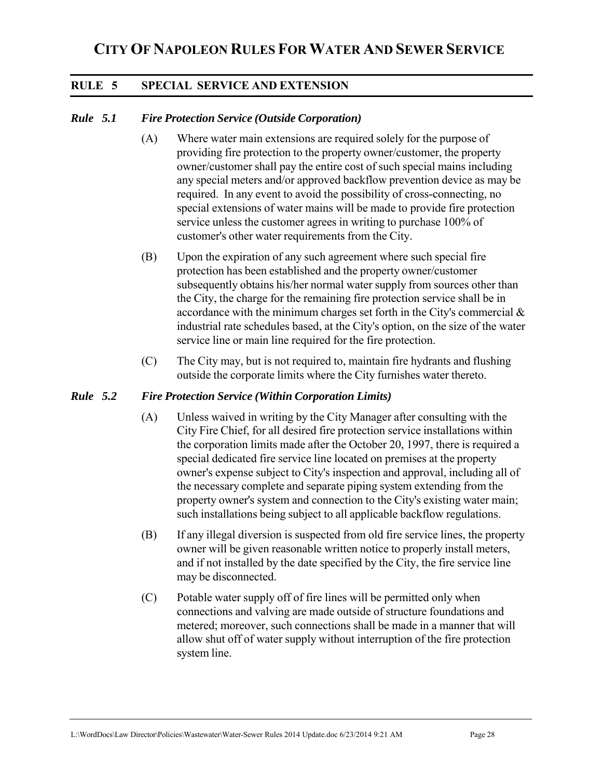#### **RULE 5 SPECIAL SERVICE AND EXTENSION**

#### *Rule 5.1 Fire Protection Service (Outside Corporation)*

- (A) Where water main extensions are required solely for the purpose of providing fire protection to the property owner/customer, the property owner/customer shall pay the entire cost of such special mains including any special meters and/or approved backflow prevention device as may be required. In any event to avoid the possibility of cross-connecting, no special extensions of water mains will be made to provide fire protection service unless the customer agrees in writing to purchase 100% of customer's other water requirements from the City.
- (B) Upon the expiration of any such agreement where such special fire protection has been established and the property owner/customer subsequently obtains his/her normal water supply from sources other than the City, the charge for the remaining fire protection service shall be in accordance with the minimum charges set forth in the City's commercial & industrial rate schedules based, at the City's option, on the size of the water service line or main line required for the fire protection.
- (C) The City may, but is not required to, maintain fire hydrants and flushing outside the corporate limits where the City furnishes water thereto.

#### *Rule 5.2 Fire Protection Service (Within Corporation Limits)*

- (A) Unless waived in writing by the City Manager after consulting with the City Fire Chief, for all desired fire protection service installations within the corporation limits made after the October 20, 1997, there is required a special dedicated fire service line located on premises at the property owner's expense subject to City's inspection and approval, including all of the necessary complete and separate piping system extending from the property owner's system and connection to the City's existing water main; such installations being subject to all applicable backflow regulations.
- (B) If any illegal diversion is suspected from old fire service lines, the property owner will be given reasonable written notice to properly install meters, and if not installed by the date specified by the City, the fire service line may be disconnected.
- (C) Potable water supply off of fire lines will be permitted only when connections and valving are made outside of structure foundations and metered; moreover, such connections shall be made in a manner that will allow shut off of water supply without interruption of the fire protection system line.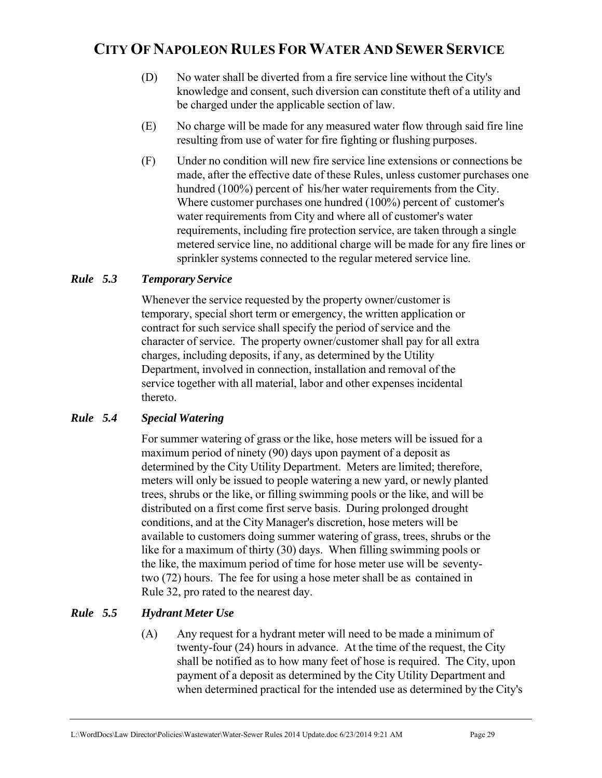- (D) No water shall be diverted from a fire service line without the City's knowledge and consent, such diversion can constitute theft of a utility and be charged under the applicable section of law.
- (E) No charge will be made for any measured water flow through said fire line resulting from use of water for fire fighting or flushing purposes.
- (F) Under no condition will new fire service line extensions or connections be made, after the effective date of these Rules, unless customer purchases one hundred (100%) percent of his/her water requirements from the City. Where customer purchases one hundred (100%) percent of customer's water requirements from City and where all of customer's water requirements, including fire protection service, are taken through a single metered service line, no additional charge will be made for any fire lines or sprinkler systems connected to the regular metered service line.

#### *Rule 5.3 Temporary Service*

Whenever the service requested by the property owner/customer is temporary, special short term or emergency, the written application or contract for such service shall specify the period of service and the character of service. The property owner/customer shall pay for all extra charges, including deposits, if any, as determined by the Utility Department, involved in connection, installation and removal of the service together with all material, labor and other expenses incidental thereto.

#### *Rule 5.4 Special Watering*

 For summer watering of grass or the like, hose meters will be issued for a maximum period of ninety (90) days upon payment of a deposit as determined by the City Utility Department. Meters are limited; therefore, meters will only be issued to people watering a new yard, or newly planted trees, shrubs or the like, or filling swimming pools or the like, and will be distributed on a first come first serve basis. During prolonged drought conditions, and at the City Manager's discretion, hose meters will be available to customers doing summer watering of grass, trees, shrubs or the like for a maximum of thirty (30) days. When filling swimming pools or the like, the maximum period of time for hose meter use will be seventytwo (72) hours. The fee for using a hose meter shall be as contained in Rule 32, pro rated to the nearest day.

#### *Rule 5.5 Hydrant Meter Use*

(A) Any request for a hydrant meter will need to be made a minimum of twenty-four (24) hours in advance. At the time of the request, the City shall be notified as to how many feet of hose is required. The City, upon payment of a deposit as determined by the City Utility Department and when determined practical for the intended use as determined by the City's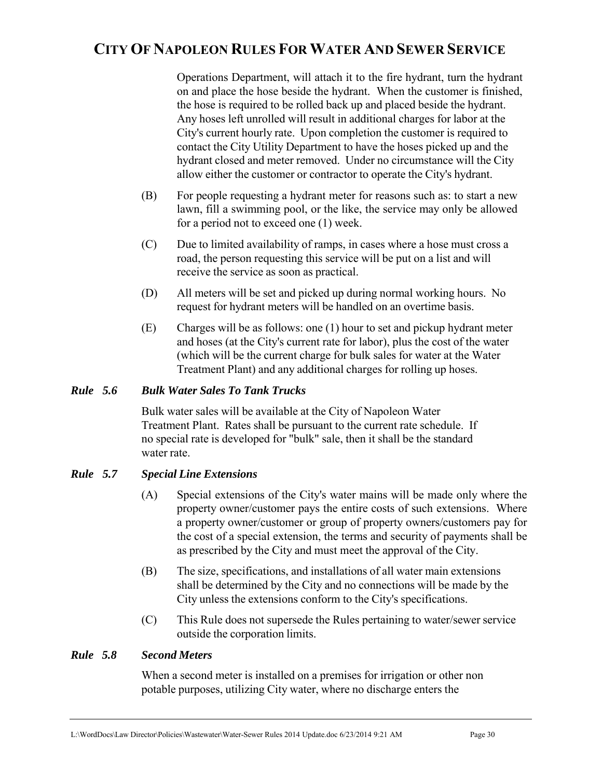Operations Department, will attach it to the fire hydrant, turn the hydrant on and place the hose beside the hydrant. When the customer is finished, the hose is required to be rolled back up and placed beside the hydrant. Any hoses left unrolled will result in additional charges for labor at the City's current hourly rate. Upon completion the customer is required to contact the City Utility Department to have the hoses picked up and the hydrant closed and meter removed. Under no circumstance will the City allow either the customer or contractor to operate the City's hydrant.

- (B) For people requesting a hydrant meter for reasons such as: to start a new lawn, fill a swimming pool, or the like, the service may only be allowed for a period not to exceed one (1) week.
- (C) Due to limited availability of ramps, in cases where a hose must cross a road, the person requesting this service will be put on a list and will receive the service as soon as practical.
- (D) All meters will be set and picked up during normal working hours. No request for hydrant meters will be handled on an overtime basis.
- (E) Charges will be as follows: one (1) hour to set and pickup hydrant meter and hoses (at the City's current rate for labor), plus the cost of the water (which will be the current charge for bulk sales for water at the Water Treatment Plant) and any additional charges for rolling up hoses.

#### *Rule 5.6 Bulk Water Sales To Tank Trucks*

Bulk water sales will be available at the City of Napoleon Water Treatment Plant. Rates shall be pursuant to the current rate schedule. If no special rate is developed for "bulk" sale, then it shall be the standard water rate.

#### *Rule 5.7 Special Line Extensions*

- (A) Special extensions of the City's water mains will be made only where the property owner/customer pays the entire costs of such extensions. Where a property owner/customer or group of property owners/customers pay for the cost of a special extension, the terms and security of payments shall be as prescribed by the City and must meet the approval of the City.
- (B) The size, specifications, and installations of all water main extensions shall be determined by the City and no connections will be made by the City unless the extensions conform to the City's specifications.
- (C) This Rule does not supersede the Rules pertaining to water/sewer service outside the corporation limits.

#### *Rule 5.8 Second Meters*

When a second meter is installed on a premises for irrigation or other non potable purposes, utilizing City water, where no discharge enters the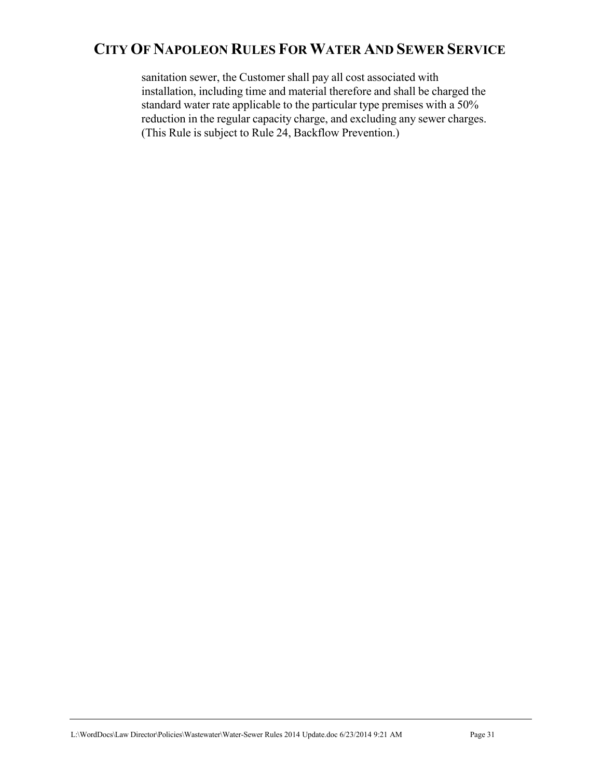sanitation sewer, the Customer shall pay all cost associated with installation, including time and material therefore and shall be charged the standard water rate applicable to the particular type premises with a 50% reduction in the regular capacity charge, and excluding any sewer charges. (This Rule is subject to Rule 24, Backflow Prevention.)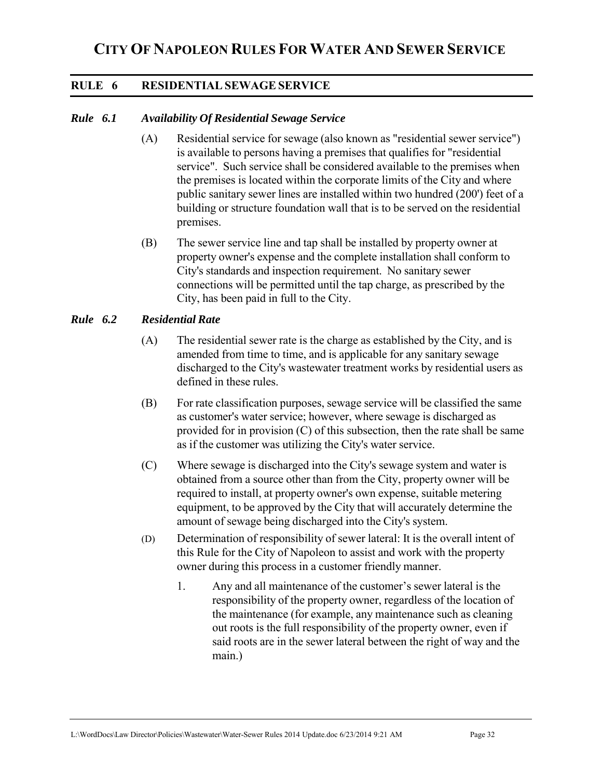#### **RULE 6 RESIDENTIAL SEWAGE SERVICE**

#### *Rule 6.1 Availability Of Residential Sewage Service*

- (A) Residential service for sewage (also known as "residential sewer service") is available to persons having a premises that qualifies for "residential service". Such service shall be considered available to the premises when the premises is located within the corporate limits of the City and where public sanitary sewer lines are installed within two hundred (200') feet of a building or structure foundation wall that is to be served on the residential premises.
- (B) The sewer service line and tap shall be installed by property owner at property owner's expense and the complete installation shall conform to City's standards and inspection requirement. No sanitary sewer connections will be permitted until the tap charge, as prescribed by the City, has been paid in full to the City.

#### *Rule 6.2 Residential Rate*

- (A) The residential sewer rate is the charge as established by the City, and is amended from time to time, and is applicable for any sanitary sewage discharged to the City's wastewater treatment works by residential users as defined in these rules.
- (B) For rate classification purposes, sewage service will be classified the same as customer's water service; however, where sewage is discharged as provided for in provision (C) of this subsection, then the rate shall be same as if the customer was utilizing the City's water service.
- (C) Where sewage is discharged into the City's sewage system and water is obtained from a source other than from the City, property owner will be required to install, at property owner's own expense, suitable metering equipment, to be approved by the City that will accurately determine the amount of sewage being discharged into the City's system.
- (D) Determination of responsibility of sewer lateral: It is the overall intent of this Rule for the City of Napoleon to assist and work with the property owner during this process in a customer friendly manner.
	- 1. Any and all maintenance of the customer's sewer lateral is the responsibility of the property owner, regardless of the location of the maintenance (for example, any maintenance such as cleaning out roots is the full responsibility of the property owner, even if said roots are in the sewer lateral between the right of way and the main.)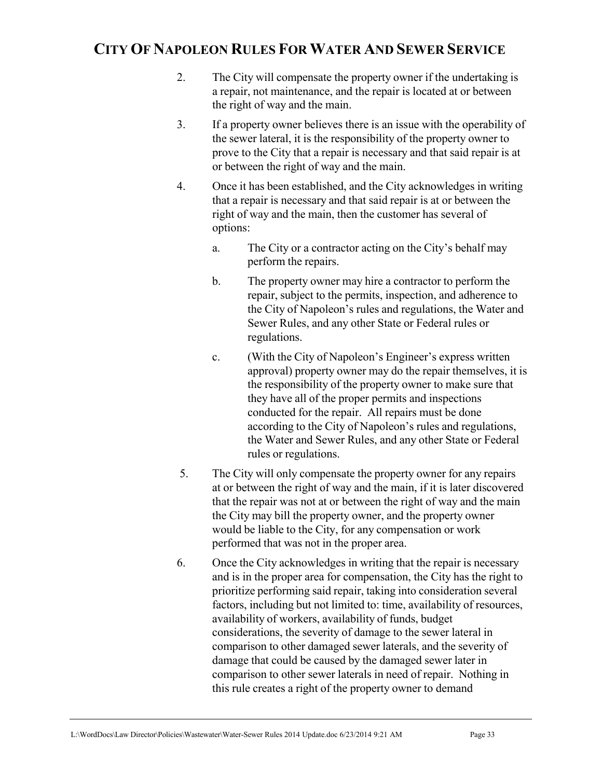- 2. The City will compensate the property owner if the undertaking is a repair, not maintenance, and the repair is located at or between the right of way and the main.
- 3. If a property owner believes there is an issue with the operability of the sewer lateral, it is the responsibility of the property owner to prove to the City that a repair is necessary and that said repair is at or between the right of way and the main.
- 4. Once it has been established, and the City acknowledges in writing that a repair is necessary and that said repair is at or between the right of way and the main, then the customer has several of options:
	- a. The City or a contractor acting on the City's behalf may perform the repairs.
	- b. The property owner may hire a contractor to perform the repair, subject to the permits, inspection, and adherence to the City of Napoleon's rules and regulations, the Water and Sewer Rules, and any other State or Federal rules or regulations.
	- c. (With the City of Napoleon's Engineer's express written approval) property owner may do the repair themselves, it is the responsibility of the property owner to make sure that they have all of the proper permits and inspections conducted for the repair. All repairs must be done according to the City of Napoleon's rules and regulations, the Water and Sewer Rules, and any other State or Federal rules or regulations.
- 5. The City will only compensate the property owner for any repairs at or between the right of way and the main, if it is later discovered that the repair was not at or between the right of way and the main the City may bill the property owner, and the property owner would be liable to the City, for any compensation or work performed that was not in the proper area.
- 6. Once the City acknowledges in writing that the repair is necessary and is in the proper area for compensation, the City has the right to prioritize performing said repair, taking into consideration several factors, including but not limited to: time, availability of resources, availability of workers, availability of funds, budget considerations, the severity of damage to the sewer lateral in comparison to other damaged sewer laterals, and the severity of damage that could be caused by the damaged sewer later in comparison to other sewer laterals in need of repair. Nothing in this rule creates a right of the property owner to demand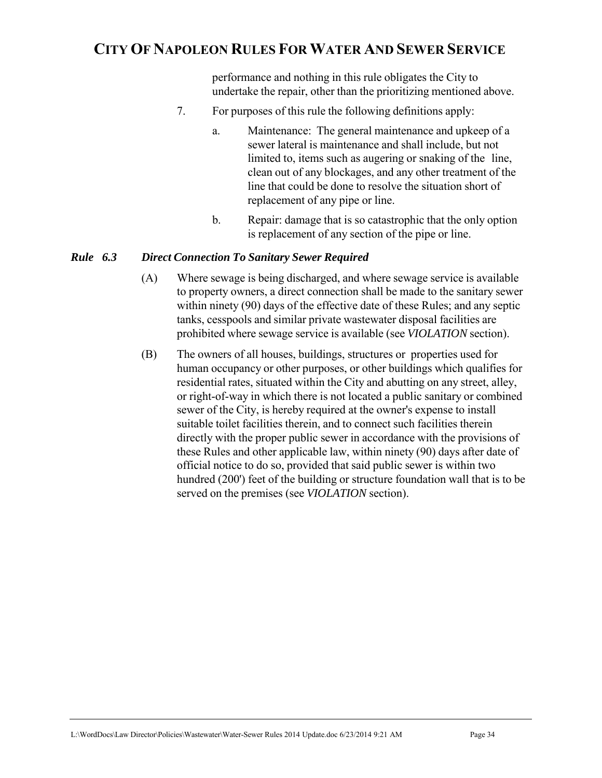performance and nothing in this rule obligates the City to undertake the repair, other than the prioritizing mentioned above.

- 7. For purposes of this rule the following definitions apply:
	- a. Maintenance: The general maintenance and upkeep of a sewer lateral is maintenance and shall include, but not limited to, items such as augering or snaking of the line, clean out of any blockages, and any other treatment of the line that could be done to resolve the situation short of replacement of any pipe or line.
	- b. Repair: damage that is so catastrophic that the only option is replacement of any section of the pipe or line.

#### *Rule 6.3 Direct Connection To Sanitary Sewer Required*

- (A) Where sewage is being discharged, and where sewage service is available to property owners, a direct connection shall be made to the sanitary sewer within ninety (90) days of the effective date of these Rules; and any septic tanks, cesspools and similar private wastewater disposal facilities are prohibited where sewage service is available (see *VIOLATION* section).
- (B) The owners of all houses, buildings, structures or properties used for human occupancy or other purposes, or other buildings which qualifies for residential rates, situated within the City and abutting on any street, alley, or right-of-way in which there is not located a public sanitary or combined sewer of the City, is hereby required at the owner's expense to install suitable toilet facilities therein, and to connect such facilities therein directly with the proper public sewer in accordance with the provisions of these Rules and other applicable law, within ninety (90) days after date of official notice to do so, provided that said public sewer is within two hundred (200') feet of the building or structure foundation wall that is to be served on the premises (see *VIOLATION* section).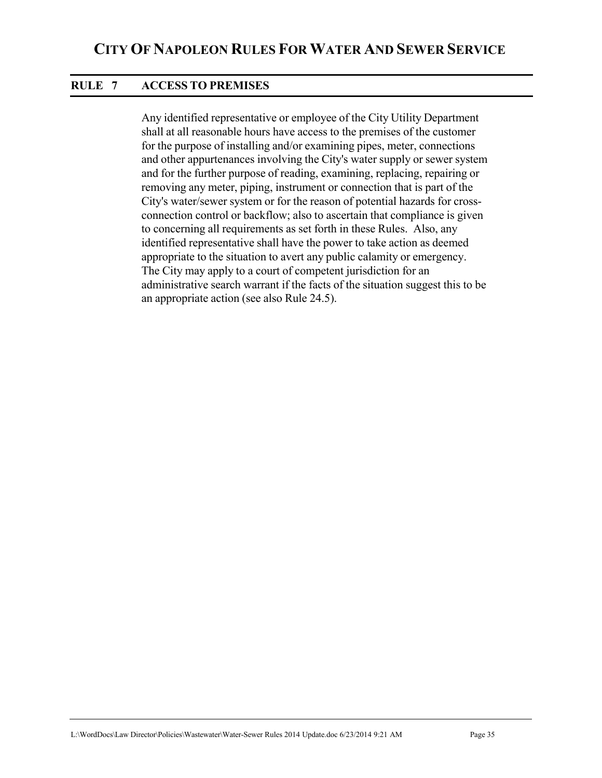#### **RULE 7 ACCESS TO PREMISES**

Any identified representative or employee of the City Utility Department shall at all reasonable hours have access to the premises of the customer for the purpose of installing and/or examining pipes, meter, connections and other appurtenances involving the City's water supply or sewer system and for the further purpose of reading, examining, replacing, repairing or removing any meter, piping, instrument or connection that is part of the City's water/sewer system or for the reason of potential hazards for crossconnection control or backflow; also to ascertain that compliance is given to concerning all requirements as set forth in these Rules. Also, any identified representative shall have the power to take action as deemed appropriate to the situation to avert any public calamity or emergency. The City may apply to a court of competent jurisdiction for an administrative search warrant if the facts of the situation suggest this to be an appropriate action (see also Rule 24.5).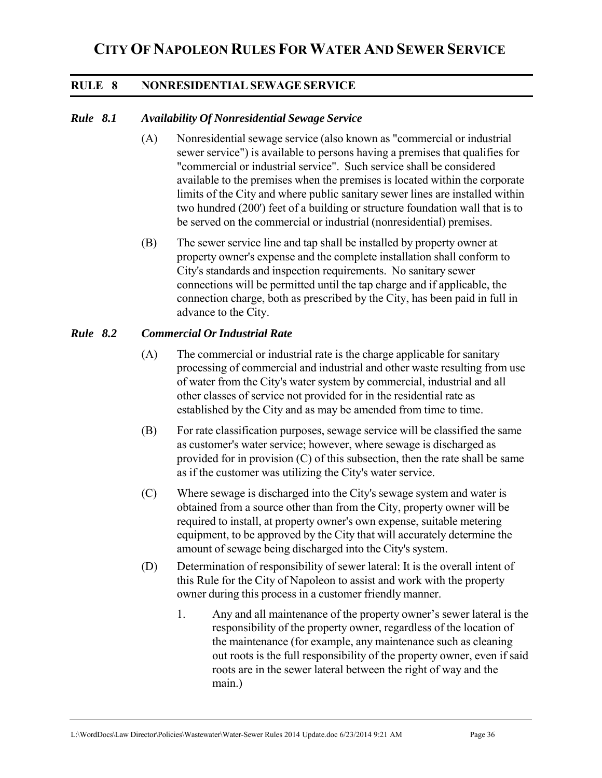#### **RULE 8 NONRESIDENTIAL SEWAGE SERVICE**

#### *Rule 8.1 Availability Of Nonresidential Sewage Service*

- (A) Nonresidential sewage service (also known as "commercial or industrial sewer service") is available to persons having a premises that qualifies for "commercial or industrial service". Such service shall be considered available to the premises when the premises is located within the corporate limits of the City and where public sanitary sewer lines are installed within two hundred (200') feet of a building or structure foundation wall that is to be served on the commercial or industrial (nonresidential) premises.
- (B) The sewer service line and tap shall be installed by property owner at property owner's expense and the complete installation shall conform to City's standards and inspection requirements. No sanitary sewer connections will be permitted until the tap charge and if applicable, the connection charge, both as prescribed by the City, has been paid in full in advance to the City.

#### *Rule 8.2 Commercial Or Industrial Rate*

- (A) The commercial or industrial rate is the charge applicable for sanitary processing of commercial and industrial and other waste resulting from use of water from the City's water system by commercial, industrial and all other classes of service not provided for in the residential rate as established by the City and as may be amended from time to time.
- (B) For rate classification purposes, sewage service will be classified the same as customer's water service; however, where sewage is discharged as provided for in provision (C) of this subsection, then the rate shall be same as if the customer was utilizing the City's water service.
- (C) Where sewage is discharged into the City's sewage system and water is obtained from a source other than from the City, property owner will be required to install, at property owner's own expense, suitable metering equipment, to be approved by the City that will accurately determine the amount of sewage being discharged into the City's system.
- (D) Determination of responsibility of sewer lateral: It is the overall intent of this Rule for the City of Napoleon to assist and work with the property owner during this process in a customer friendly manner.
	- 1. Any and all maintenance of the property owner's sewer lateral is the responsibility of the property owner, regardless of the location of the maintenance (for example, any maintenance such as cleaning out roots is the full responsibility of the property owner, even if said roots are in the sewer lateral between the right of way and the main.)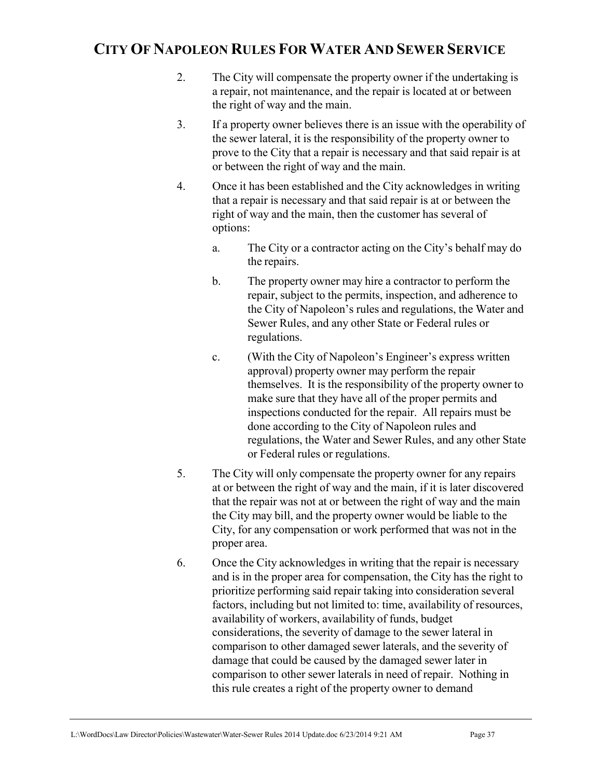- 2. The City will compensate the property owner if the undertaking is a repair, not maintenance, and the repair is located at or between the right of way and the main.
- 3. If a property owner believes there is an issue with the operability of the sewer lateral, it is the responsibility of the property owner to prove to the City that a repair is necessary and that said repair is at or between the right of way and the main.
- 4. Once it has been established and the City acknowledges in writing that a repair is necessary and that said repair is at or between the right of way and the main, then the customer has several of options:
	- a. The City or a contractor acting on the City's behalf may do the repairs.
	- b. The property owner may hire a contractor to perform the repair, subject to the permits, inspection, and adherence to the City of Napoleon's rules and regulations, the Water and Sewer Rules, and any other State or Federal rules or regulations.
	- c. (With the City of Napoleon's Engineer's express written approval) property owner may perform the repair themselves. It is the responsibility of the property owner to make sure that they have all of the proper permits and inspections conducted for the repair. All repairs must be done according to the City of Napoleon rules and regulations, the Water and Sewer Rules, and any other State or Federal rules or regulations.
- 5. The City will only compensate the property owner for any repairs at or between the right of way and the main, if it is later discovered that the repair was not at or between the right of way and the main the City may bill, and the property owner would be liable to the City, for any compensation or work performed that was not in the proper area.
- 6. Once the City acknowledges in writing that the repair is necessary and is in the proper area for compensation, the City has the right to prioritize performing said repair taking into consideration several factors, including but not limited to: time, availability of resources, availability of workers, availability of funds, budget considerations, the severity of damage to the sewer lateral in comparison to other damaged sewer laterals, and the severity of damage that could be caused by the damaged sewer later in comparison to other sewer laterals in need of repair. Nothing in this rule creates a right of the property owner to demand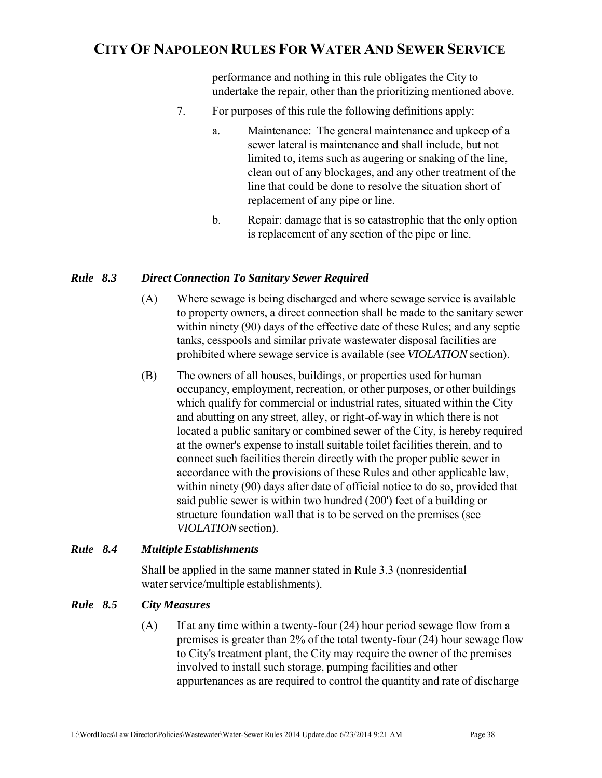performance and nothing in this rule obligates the City to undertake the repair, other than the prioritizing mentioned above.

- 7. For purposes of this rule the following definitions apply:
	- a. Maintenance: The general maintenance and upkeep of a sewer lateral is maintenance and shall include, but not limited to, items such as augering or snaking of the line, clean out of any blockages, and any other treatment of the line that could be done to resolve the situation short of replacement of any pipe or line.
	- b. Repair: damage that is so catastrophic that the only option is replacement of any section of the pipe or line.

### *Rule 8.3 Direct Connection To Sanitary Sewer Required*

- (A) Where sewage is being discharged and where sewage service is available to property owners, a direct connection shall be made to the sanitary sewer within ninety (90) days of the effective date of these Rules; and any septic tanks, cesspools and similar private wastewater disposal facilities are prohibited where sewage service is available (see *VIOLATION* section).
- (B) The owners of all houses, buildings, or properties used for human occupancy, employment, recreation, or other purposes, or other buildings which qualify for commercial or industrial rates, situated within the City and abutting on any street, alley, or right-of-way in which there is not located a public sanitary or combined sewer of the City, is hereby required at the owner's expense to install suitable toilet facilities therein, and to connect such facilities therein directly with the proper public sewer in accordance with the provisions of these Rules and other applicable law, within ninety (90) days after date of official notice to do so, provided that said public sewer is within two hundred (200') feet of a building or structure foundation wall that is to be served on the premises (see *VIOLATION* section).

### *Rule 8.4 Multiple Establishments*

 Shall be applied in the same manner stated in Rule 3.3 (nonresidential water service/multiple establishments).

## *Rule 8.5 City Measures*

(A) If at any time within a twenty-four (24) hour period sewage flow from a premises is greater than 2% of the total twenty-four (24) hour sewage flow to City's treatment plant, the City may require the owner of the premises involved to install such storage, pumping facilities and other appurtenances as are required to control the quantity and rate of discharge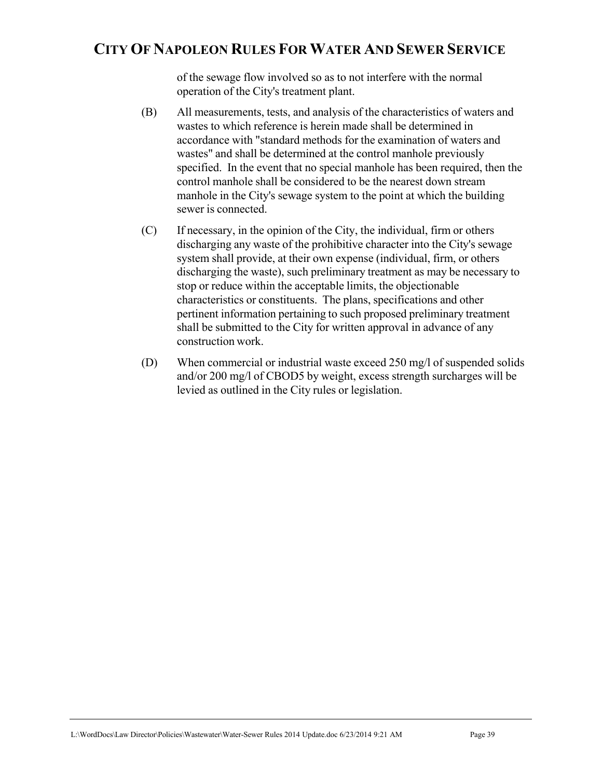of the sewage flow involved so as to not interfere with the normal operation of the City's treatment plant.

- (B) All measurements, tests, and analysis of the characteristics of waters and wastes to which reference is herein made shall be determined in accordance with "standard methods for the examination of waters and wastes" and shall be determined at the control manhole previously specified. In the event that no special manhole has been required, then the control manhole shall be considered to be the nearest down stream manhole in the City's sewage system to the point at which the building sewer is connected.
- (C) If necessary, in the opinion of the City, the individual, firm or others discharging any waste of the prohibitive character into the City's sewage system shall provide, at their own expense (individual, firm, or others discharging the waste), such preliminary treatment as may be necessary to stop or reduce within the acceptable limits, the objectionable characteristics or constituents. The plans, specifications and other pertinent information pertaining to such proposed preliminary treatment shall be submitted to the City for written approval in advance of any construction work.
- (D) When commercial or industrial waste exceed 250 mg/l of suspended solids and/or 200 mg/l of CBOD5 by weight, excess strength surcharges will be levied as outlined in the City rules or legislation.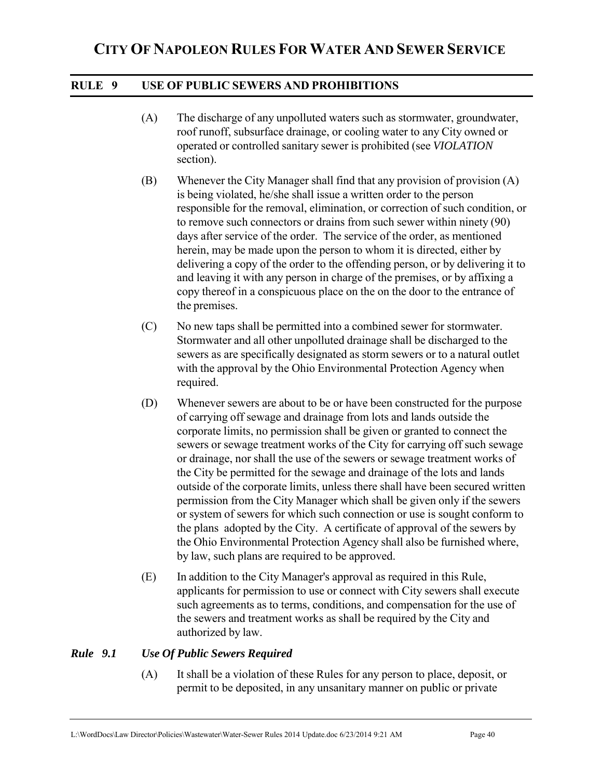### **RULE 9 USE OF PUBLIC SEWERS AND PROHIBITIONS**

- (A) The discharge of any unpolluted waters such as stormwater, groundwater, roof runoff, subsurface drainage, or cooling water to any City owned or operated or controlled sanitary sewer is prohibited (see *VIOLATION* section).
- (B) Whenever the City Manager shall find that any provision of provision (A) is being violated, he/she shall issue a written order to the person responsible for the removal, elimination, or correction of such condition, or to remove such connectors or drains from such sewer within ninety (90) days after service of the order. The service of the order, as mentioned herein, may be made upon the person to whom it is directed, either by delivering a copy of the order to the offending person, or by delivering it to and leaving it with any person in charge of the premises, or by affixing a copy thereof in a conspicuous place on the on the door to the entrance of the premises.
- (C) No new taps shall be permitted into a combined sewer for stormwater. Stormwater and all other unpolluted drainage shall be discharged to the sewers as are specifically designated as storm sewers or to a natural outlet with the approval by the Ohio Environmental Protection Agency when required.
- (D) Whenever sewers are about to be or have been constructed for the purpose of carrying off sewage and drainage from lots and lands outside the corporate limits, no permission shall be given or granted to connect the sewers or sewage treatment works of the City for carrying off such sewage or drainage, nor shall the use of the sewers or sewage treatment works of the City be permitted for the sewage and drainage of the lots and lands outside of the corporate limits, unless there shall have been secured written permission from the City Manager which shall be given only if the sewers or system of sewers for which such connection or use is sought conform to the plans adopted by the City. A certificate of approval of the sewers by the Ohio Environmental Protection Agency shall also be furnished where, by law, such plans are required to be approved.
- (E) In addition to the City Manager's approval as required in this Rule, applicants for permission to use or connect with City sewers shall execute such agreements as to terms, conditions, and compensation for the use of the sewers and treatment works as shall be required by the City and authorized by law.

### *Rule 9.1 Use Of Public Sewers Required*

(A) It shall be a violation of these Rules for any person to place, deposit, or permit to be deposited, in any unsanitary manner on public or private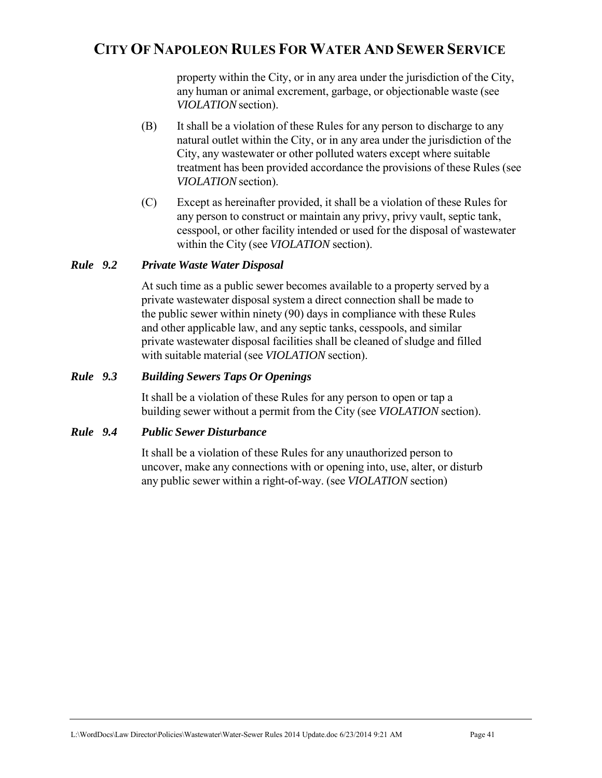property within the City, or in any area under the jurisdiction of the City, any human or animal excrement, garbage, or objectionable waste (see *VIOLATION* section).

- (B) It shall be a violation of these Rules for any person to discharge to any natural outlet within the City, or in any area under the jurisdiction of the City, any wastewater or other polluted waters except where suitable treatment has been provided accordance the provisions of these Rules (see *VIOLATION* section).
- (C) Except as hereinafter provided, it shall be a violation of these Rules for any person to construct or maintain any privy, privy vault, septic tank, cesspool, or other facility intended or used for the disposal of wastewater within the City (see *VIOLATION* section).

#### *Rule 9.2 Private Waste Water Disposal*

At such time as a public sewer becomes available to a property served by a private wastewater disposal system a direct connection shall be made to the public sewer within ninety (90) days in compliance with these Rules and other applicable law, and any septic tanks, cesspools, and similar private wastewater disposal facilities shall be cleaned of sludge and filled with suitable material (see *VIOLATION* section).

#### *Rule 9.3 Building Sewers Taps Or Openings*

 It shall be a violation of these Rules for any person to open or tap a building sewer without a permit from the City (see *VIOLATION* section).

#### *Rule 9.4 Public Sewer Disturbance*

 It shall be a violation of these Rules for any unauthorized person to uncover, make any connections with or opening into, use, alter, or disturb any public sewer within a right-of-way. (see *VIOLATION* section)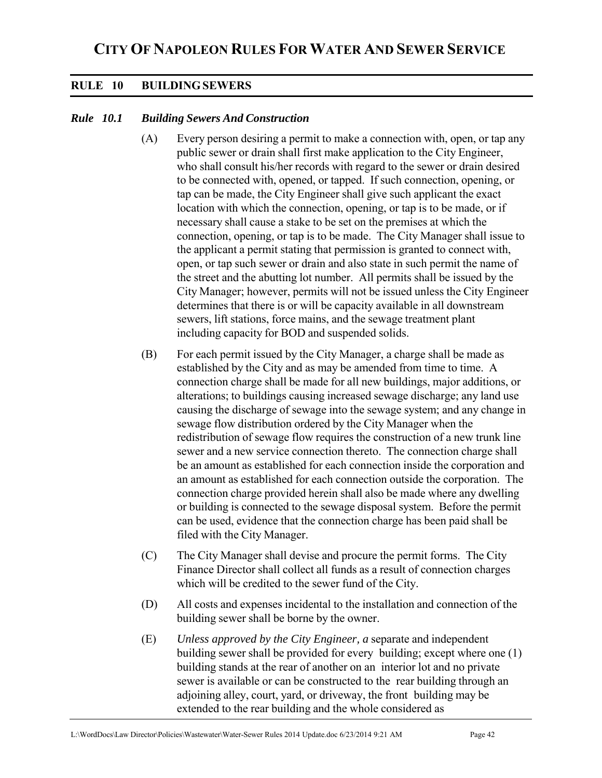### **RULE 10 BUILDING SEWERS**

#### *Rule 10.1 Building Sewers And Construction*

- (A) Every person desiring a permit to make a connection with, open, or tap any public sewer or drain shall first make application to the City Engineer, who shall consult his/her records with regard to the sewer or drain desired to be connected with, opened, or tapped. If such connection, opening, or tap can be made, the City Engineer shall give such applicant the exact location with which the connection, opening, or tap is to be made, or if necessary shall cause a stake to be set on the premises at which the connection, opening, or tap is to be made. The City Manager shall issue to the applicant a permit stating that permission is granted to connect with, open, or tap such sewer or drain and also state in such permit the name of the street and the abutting lot number. All permits shall be issued by the City Manager; however, permits will not be issued unless the City Engineer determines that there is or will be capacity available in all downstream sewers, lift stations, force mains, and the sewage treatment plant including capacity for BOD and suspended solids.
- (B) For each permit issued by the City Manager, a charge shall be made as established by the City and as may be amended from time to time. A connection charge shall be made for all new buildings, major additions, or alterations; to buildings causing increased sewage discharge; any land use causing the discharge of sewage into the sewage system; and any change in sewage flow distribution ordered by the City Manager when the redistribution of sewage flow requires the construction of a new trunk line sewer and a new service connection thereto. The connection charge shall be an amount as established for each connection inside the corporation and an amount as established for each connection outside the corporation. The connection charge provided herein shall also be made where any dwelling or building is connected to the sewage disposal system. Before the permit can be used, evidence that the connection charge has been paid shall be filed with the City Manager.
- (C) The City Manager shall devise and procure the permit forms. The City Finance Director shall collect all funds as a result of connection charges which will be credited to the sewer fund of the City.
- (D) All costs and expenses incidental to the installation and connection of the building sewer shall be borne by the owner.
- (E) *Unless approved by the City Engineer, a* separate and independent building sewer shall be provided for every building; except where one (1) building stands at the rear of another on an interior lot and no private sewer is available or can be constructed to the rear building through an adjoining alley, court, yard, or driveway, the front building may be extended to the rear building and the whole considered as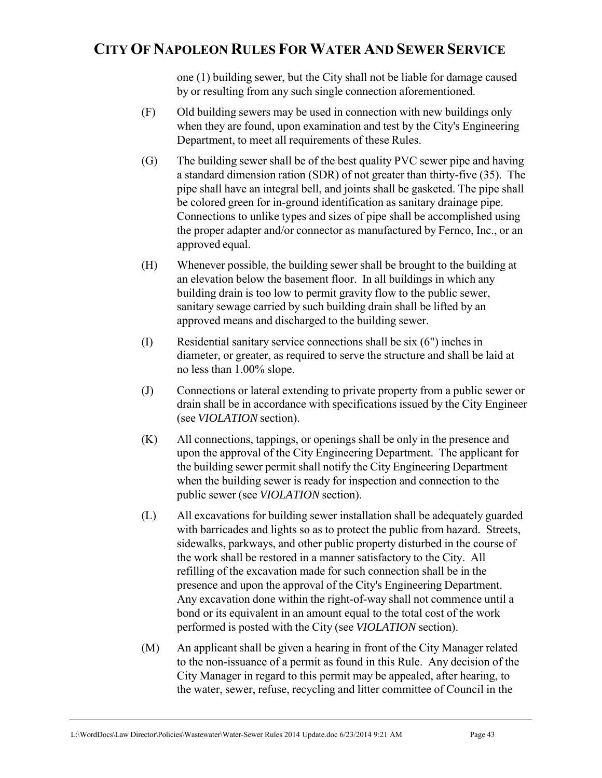one (1) building sewer, but the City shall not be liable for damage caused by or resulting from any such single connection aforementioned.

- (F) Old building sewers may be used in connection with new buildings only when they are found, upon examination and test by the City's Engineering Department, to meet all requirements of these Rules.
- (G) The building sewer shall be of the best quality PVC sewer pipe and having a standard dimension ration (SDR) of not greater than thirty-five (35). The pipe shall have an integral bell, and joints shall be gasketed. The pipe shall be colored green for in-ground identification as sanitary drainage pipe. Connections to unlike types and sizes of pipe shall be accomplished using the proper adapter and/or connector as manufactured by Fernco, Inc., or an approved equal.
- (H) Whenever possible, the building sewer shall be brought to the building at an elevation below the basement floor. In all buildings in which any building drain is too low to permit gravity flow to the public sewer, sanitary sewage carried by such building drain shall be lifted by an approved means and discharged to the building sewer.
- (I) Residential sanitary service connections shall be six (6") inches in diameter, or greater, as required to serve the structure and shall be laid at no less than 1.00% slope.
- (J) Connections or lateral extending to private property from a public sewer or drain shall be in accordance with specifications issued by the City Engineer (see *VIOLATION* section).
- (K) All connections, tappings, or openings shall be only in the presence and upon the approval of the City Engineering Department. The applicant for the building sewer permit shall notify the City Engineering Department when the building sewer is ready for inspection and connection to the public sewer (see *VIOLATION* section).
- (L) All excavations for building sewer installation shall be adequately guarded with barricades and lights so as to protect the public from hazard. Streets, sidewalks, parkways, and other public property disturbed in the course of the work shall be restored in a manner satisfactory to the City. All refilling of the excavation made for such connection shall be in the presence and upon the approval of the City's Engineering Department. Any excavation done within the right-of-way shall not commence until a bond or its equivalent in an amount equal to the total cost of the work performed is posted with the City (see *VIOLATION* section).
- (M) An applicant shall be given a hearing in front of the City Manager related to the non-issuance of a permit as found in this Rule. Any decision of the City Manager in regard to this permit may be appealed, after hearing, to the water, sewer, refuse, recycling and litter committee of Council in the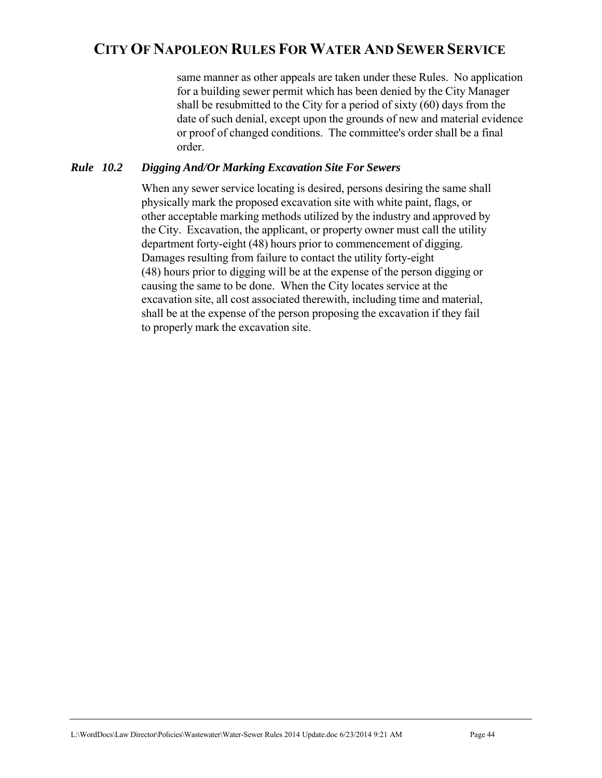same manner as other appeals are taken under these Rules. No application for a building sewer permit which has been denied by the City Manager shall be resubmitted to the City for a period of sixty (60) days from the date of such denial, except upon the grounds of new and material evidence or proof of changed conditions. The committee's order shall be a final order.

### *Rule 10.2 Digging And/Or Marking Excavation Site For Sewers*

When any sewer service locating is desired, persons desiring the same shall physically mark the proposed excavation site with white paint, flags, or other acceptable marking methods utilized by the industry and approved by the City. Excavation, the applicant, or property owner must call the utility department forty-eight (48) hours prior to commencement of digging. Damages resulting from failure to contact the utility forty-eight (48) hours prior to digging will be at the expense of the person digging or causing the same to be done. When the City locates service at the excavation site, all cost associated therewith, including time and material, shall be at the expense of the person proposing the excavation if they fail to properly mark the excavation site.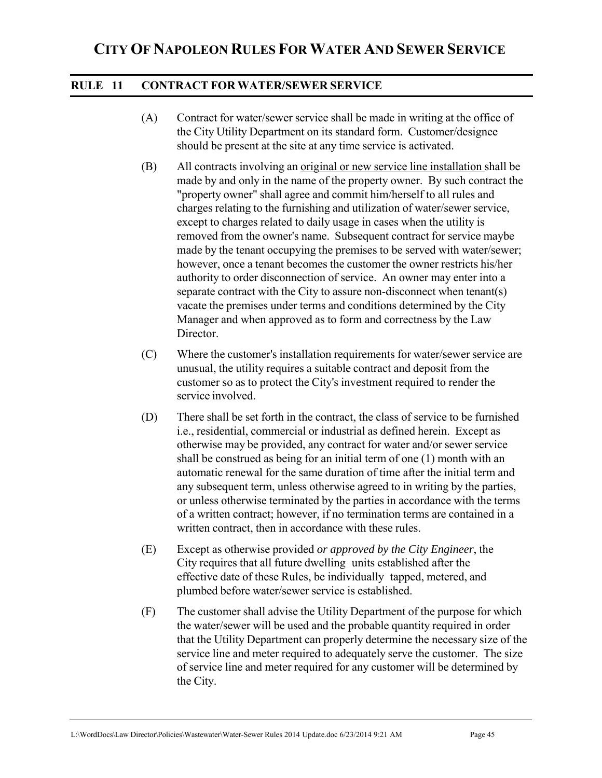### **RULE 11 CONTRACT FOR WATER/SEWER SERVICE**

- (A) Contract for water/sewer service shall be made in writing at the office of the City Utility Department on its standard form. Customer/designee should be present at the site at any time service is activated.
- (B) All contracts involving an original or new service line installation shall be made by and only in the name of the property owner. By such contract the "property owner" shall agree and commit him/herself to all rules and charges relating to the furnishing and utilization of water/sewer service, except to charges related to daily usage in cases when the utility is removed from the owner's name. Subsequent contract for service maybe made by the tenant occupying the premises to be served with water/sewer; however, once a tenant becomes the customer the owner restricts his/her authority to order disconnection of service. An owner may enter into a separate contract with the City to assure non-disconnect when tenant(s) vacate the premises under terms and conditions determined by the City Manager and when approved as to form and correctness by the Law Director.
- (C) Where the customer's installation requirements for water/sewer service are unusual, the utility requires a suitable contract and deposit from the customer so as to protect the City's investment required to render the service involved.
- (D) There shall be set forth in the contract, the class of service to be furnished i.e., residential, commercial or industrial as defined herein. Except as otherwise may be provided, any contract for water and/or sewer service shall be construed as being for an initial term of one (1) month with an automatic renewal for the same duration of time after the initial term and any subsequent term, unless otherwise agreed to in writing by the parties, or unless otherwise terminated by the parties in accordance with the terms of a written contract; however, if no termination terms are contained in a written contract, then in accordance with these rules.
- (E) Except as otherwise provided *or approved by the City Engineer*, the City requires that all future dwelling units established after the effective date of these Rules, be individually tapped, metered, and plumbed before water/sewer service is established.
- (F) The customer shall advise the Utility Department of the purpose for which the water/sewer will be used and the probable quantity required in order that the Utility Department can properly determine the necessary size of the service line and meter required to adequately serve the customer. The size of service line and meter required for any customer will be determined by the City.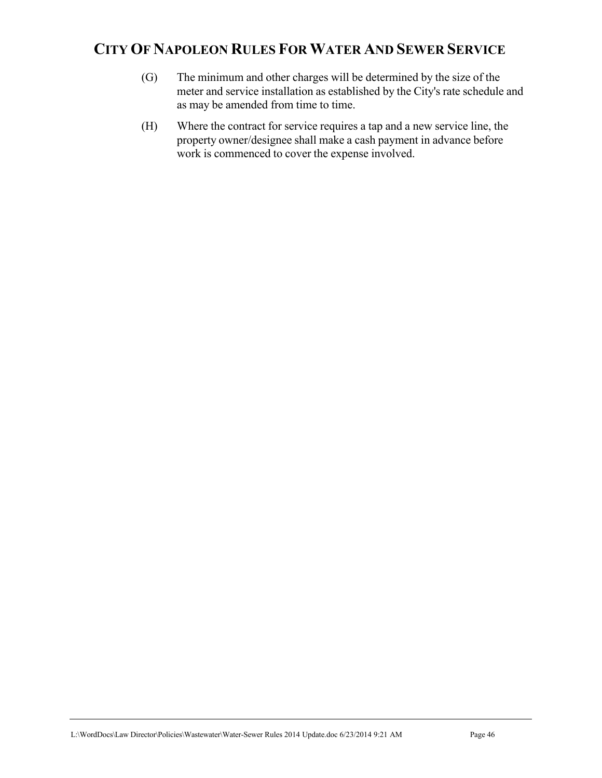- (G) The minimum and other charges will be determined by the size of the meter and service installation as established by the City's rate schedule and as may be amended from time to time.
- (H) Where the contract for service requires a tap and a new service line, the property owner/designee shall make a cash payment in advance before work is commenced to cover the expense involved.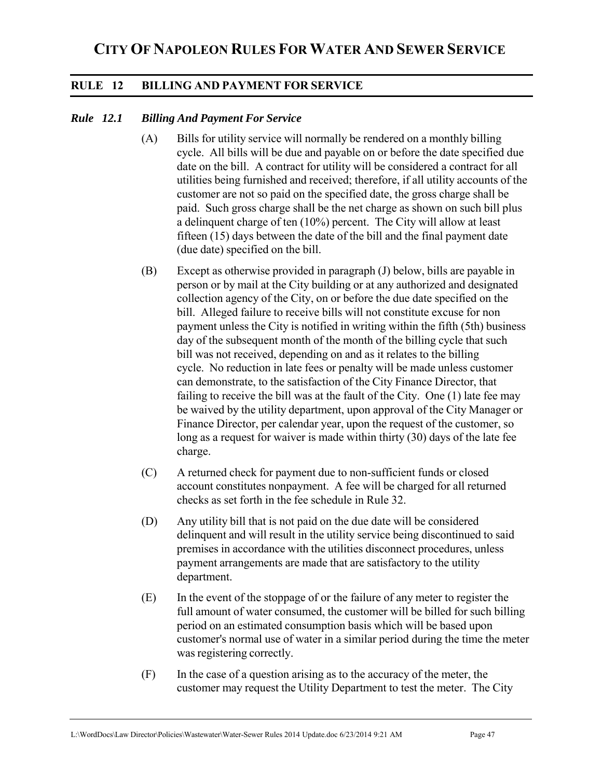### **RULE 12 BILLING AND PAYMENT FOR SERVICE**

#### *Rule 12.1 Billing And Payment For Service*

- (A) Bills for utility service will normally be rendered on a monthly billing cycle. All bills will be due and payable on or before the date specified due date on the bill. A contract for utility will be considered a contract for all utilities being furnished and received; therefore, if all utility accounts of the customer are not so paid on the specified date, the gross charge shall be paid. Such gross charge shall be the net charge as shown on such bill plus a delinquent charge of ten (10%) percent. The City will allow at least fifteen (15) days between the date of the bill and the final payment date (due date) specified on the bill.
- (B) Except as otherwise provided in paragraph (J) below, bills are payable in person or by mail at the City building or at any authorized and designated collection agency of the City, on or before the due date specified on the bill. Alleged failure to receive bills will not constitute excuse for non payment unless the City is notified in writing within the fifth (5th) business day of the subsequent month of the month of the billing cycle that such bill was not received, depending on and as it relates to the billing cycle. No reduction in late fees or penalty will be made unless customer can demonstrate, to the satisfaction of the City Finance Director, that failing to receive the bill was at the fault of the City. One (1) late fee may be waived by the utility department, upon approval of the City Manager or Finance Director, per calendar year, upon the request of the customer, so long as a request for waiver is made within thirty (30) days of the late fee charge.
- (C) A returned check for payment due to non-sufficient funds or closed account constitutes nonpayment. A fee will be charged for all returned checks as set forth in the fee schedule in Rule 32.
- (D) Any utility bill that is not paid on the due date will be considered delinquent and will result in the utility service being discontinued to said premises in accordance with the utilities disconnect procedures, unless payment arrangements are made that are satisfactory to the utility department.
- (E) In the event of the stoppage of or the failure of any meter to register the full amount of water consumed, the customer will be billed for such billing period on an estimated consumption basis which will be based upon customer's normal use of water in a similar period during the time the meter was registering correctly.
- (F) In the case of a question arising as to the accuracy of the meter, the customer may request the Utility Department to test the meter. The City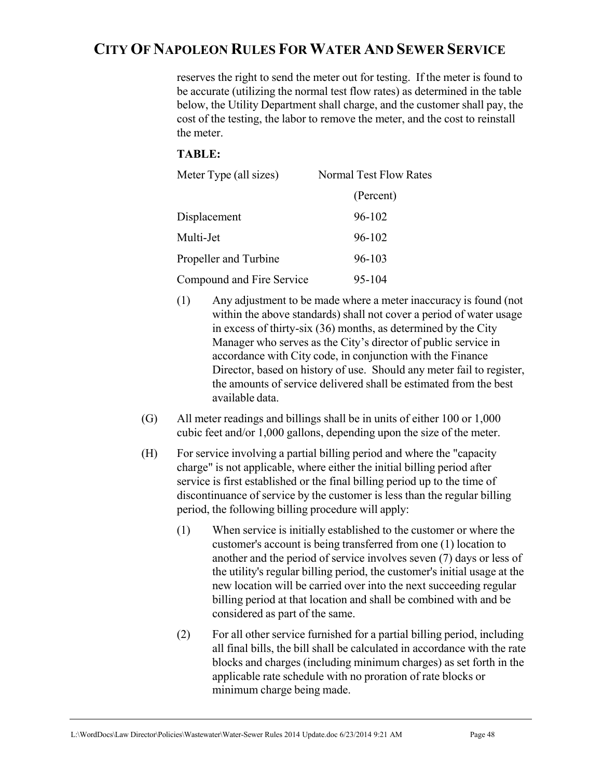reserves the right to send the meter out for testing. If the meter is found to be accurate (utilizing the normal test flow rates) as determined in the table below, the Utility Department shall charge, and the customer shall pay, the cost of the testing, the labor to remove the meter, and the cost to reinstall the meter.

## **TABLE:**

| Meter Type (all sizes)    | <b>Normal Test Flow Rates</b> |
|---------------------------|-------------------------------|
|                           | (Percent)                     |
| Displacement              | 96-102                        |
| Multi-Jet                 | 96-102                        |
| Propeller and Turbine     | 96-103                        |
| Compound and Fire Service | 95-104                        |

- (1) Any adjustment to be made where a meter inaccuracy is found (not within the above standards) shall not cover a period of water usage in excess of thirty-six (36) months, as determined by the City Manager who serves as the City's director of public service in accordance with City code, in conjunction with the Finance Director, based on history of use. Should any meter fail to register, the amounts of service delivered shall be estimated from the best available data.
- (G) All meter readings and billings shall be in units of either 100 or 1,000 cubic feet and/or 1,000 gallons, depending upon the size of the meter.
- (H) For service involving a partial billing period and where the "capacity charge" is not applicable, where either the initial billing period after service is first established or the final billing period up to the time of discontinuance of service by the customer is less than the regular billing period, the following billing procedure will apply:
	- (1) When service is initially established to the customer or where the customer's account is being transferred from one (1) location to another and the period of service involves seven (7) days or less of the utility's regular billing period, the customer's initial usage at the new location will be carried over into the next succeeding regular billing period at that location and shall be combined with and be considered as part of the same.
	- (2) For all other service furnished for a partial billing period, including all final bills, the bill shall be calculated in accordance with the rate blocks and charges (including minimum charges) as set forth in the applicable rate schedule with no proration of rate blocks or minimum charge being made.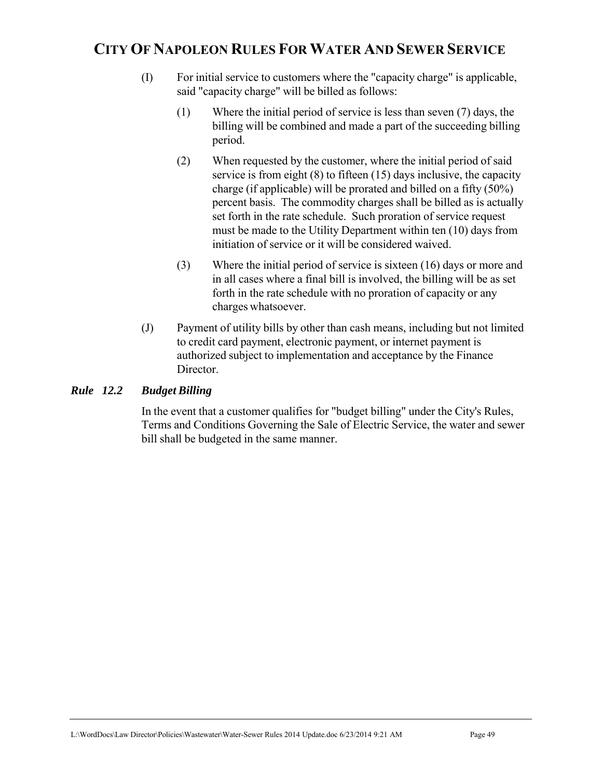- (I) For initial service to customers where the "capacity charge" is applicable, said "capacity charge" will be billed as follows:
	- (1) Where the initial period of service is less than seven (7) days, the billing will be combined and made a part of the succeeding billing period.
	- (2) When requested by the customer, where the initial period of said service is from eight (8) to fifteen (15) days inclusive, the capacity charge (if applicable) will be prorated and billed on a fifty (50%) percent basis. The commodity charges shall be billed as is actually set forth in the rate schedule. Such proration of service request must be made to the Utility Department within ten (10) days from initiation of service or it will be considered waived.
	- (3) Where the initial period of service is sixteen (16) days or more and in all cases where a final bill is involved, the billing will be as set forth in the rate schedule with no proration of capacity or any charges whatsoever.
- (J) Payment of utility bills by other than cash means, including but not limited to credit card payment, electronic payment, or internet payment is authorized subject to implementation and acceptance by the Finance Director.

## *Rule 12.2 Budget Billing*

In the event that a customer qualifies for "budget billing" under the City's Rules, Terms and Conditions Governing the Sale of Electric Service, the water and sewer bill shall be budgeted in the same manner.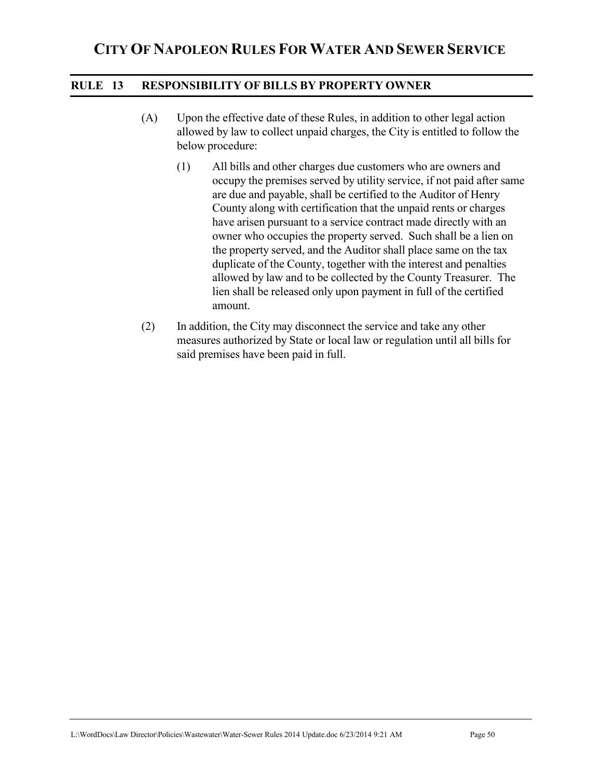### **RULE 13 RESPONSIBILITY OF BILLS BY PROPERTY OWNER**

- (A) Upon the effective date of these Rules, in addition to other legal action allowed by law to collect unpaid charges, the City is entitled to follow the below procedure:
	- (1) All bills and other charges due customers who are owners and occupy the premises served by utility service, if not paid after same are due and payable, shall be certified to the Auditor of Henry County along with certification that the unpaid rents or charges have arisen pursuant to a service contract made directly with an owner who occupies the property served. Such shall be a lien on the property served, and the Auditor shall place same on the tax duplicate of the County, together with the interest and penalties allowed by law and to be collected by the County Treasurer. The lien shall be released only upon payment in full of the certified amount.
- (2) In addition, the City may disconnect the service and take any other measures authorized by State or local law or regulation until all bills for said premises have been paid in full.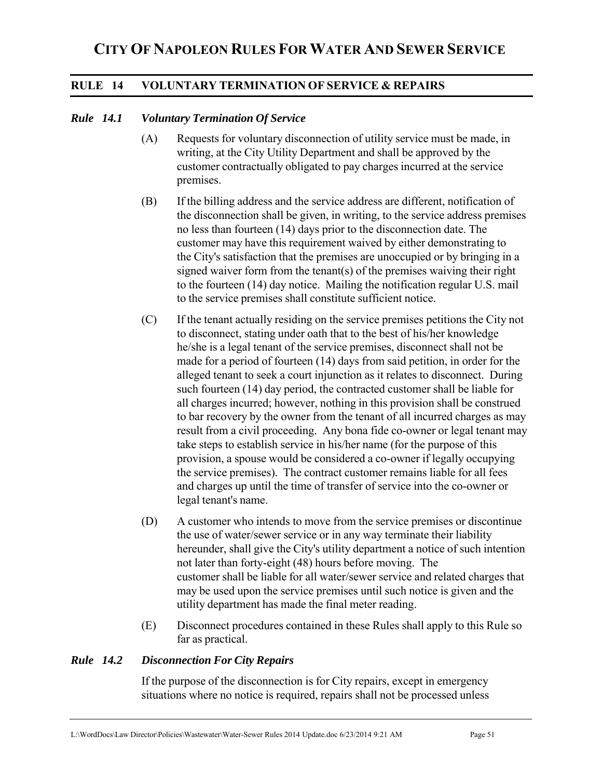### **RULE 14 VOLUNTARY TERMINATION OF SERVICE & REPAIRS**

#### *Rule 14.1 Voluntary Termination Of Service*

- (A) Requests for voluntary disconnection of utility service must be made, in writing, at the City Utility Department and shall be approved by the customer contractually obligated to pay charges incurred at the service premises.
- (B) If the billing address and the service address are different, notification of the disconnection shall be given, in writing, to the service address premises no less than fourteen (14) days prior to the disconnection date. The customer may have this requirement waived by either demonstrating to the City's satisfaction that the premises are unoccupied or by bringing in a signed waiver form from the tenant(s) of the premises waiving their right to the fourteen (14) day notice. Mailing the notification regular U.S. mail to the service premises shall constitute sufficient notice.
- (C) If the tenant actually residing on the service premises petitions the City not to disconnect, stating under oath that to the best of his/her knowledge he/she is a legal tenant of the service premises, disconnect shall not be made for a period of fourteen (14) days from said petition, in order for the alleged tenant to seek a court injunction as it relates to disconnect. During such fourteen (14) day period, the contracted customer shall be liable for all charges incurred; however, nothing in this provision shall be construed to bar recovery by the owner from the tenant of all incurred charges as may result from a civil proceeding. Any bona fide co-owner or legal tenant may take steps to establish service in his/her name (for the purpose of this provision, a spouse would be considered a co-owner if legally occupying the service premises). The contract customer remains liable for all fees and charges up until the time of transfer of service into the co-owner or legal tenant's name.
- (D) A customer who intends to move from the service premises or discontinue the use of water/sewer service or in any way terminate their liability hereunder, shall give the City's utility department a notice of such intention not later than forty-eight (48) hours before moving. The customer shall be liable for all water/sewer service and related charges that may be used upon the service premises until such notice is given and the utility department has made the final meter reading.
- (E) Disconnect procedures contained in these Rules shall apply to this Rule so far as practical.

### *Rule 14.2 Disconnection For City Repairs*

If the purpose of the disconnection is for City repairs, except in emergency situations where no notice is required, repairs shall not be processed unless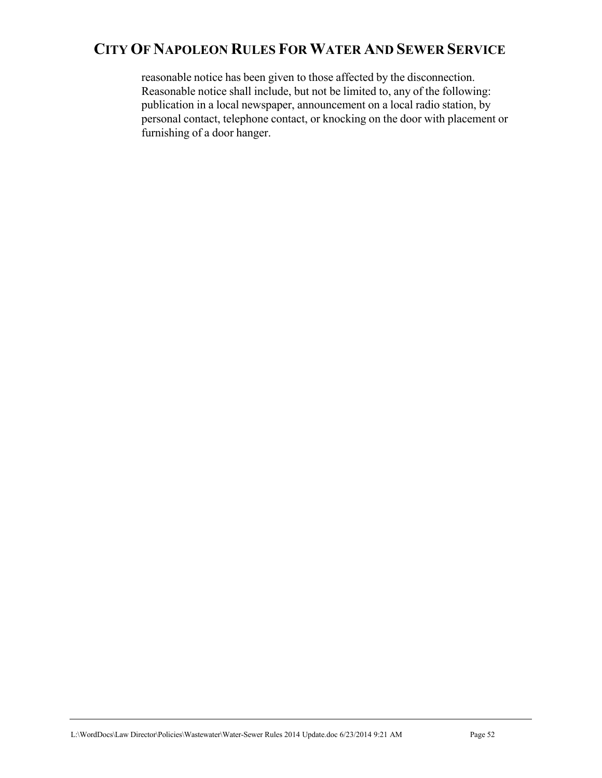reasonable notice has been given to those affected by the disconnection. Reasonable notice shall include, but not be limited to, any of the following: publication in a local newspaper, announcement on a local radio station, by personal contact, telephone contact, or knocking on the door with placement or furnishing of a door hanger.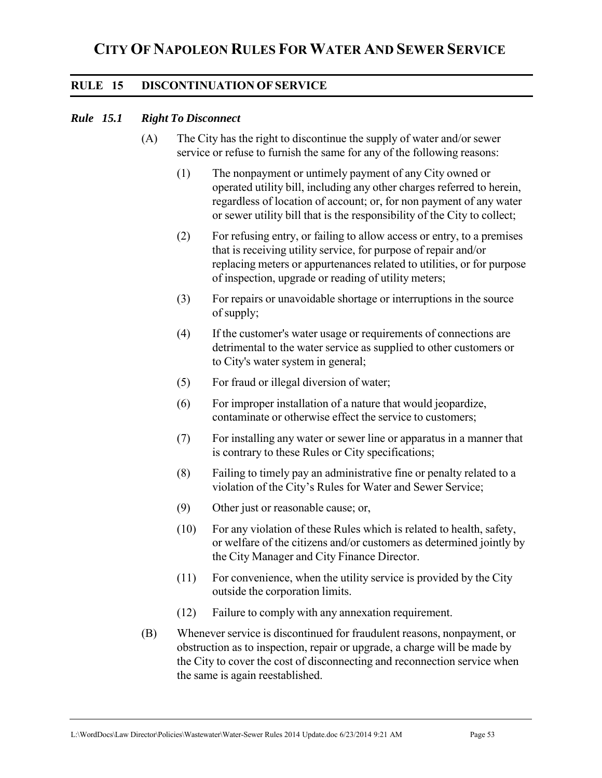### **RULE 15 DISCONTINUATION OF SERVICE**

#### *Rule 15.1 Right To Disconnect*

- (A) The City has the right to discontinue the supply of water and/or sewer service or refuse to furnish the same for any of the following reasons:
	- (1) The nonpayment or untimely payment of any City owned or operated utility bill, including any other charges referred to herein, regardless of location of account; or, for non payment of any water or sewer utility bill that is the responsibility of the City to collect;
	- (2) For refusing entry, or failing to allow access or entry, to a premises that is receiving utility service, for purpose of repair and/or replacing meters or appurtenances related to utilities, or for purpose of inspection, upgrade or reading of utility meters;
	- (3) For repairs or unavoidable shortage or interruptions in the source of supply;
	- (4) If the customer's water usage or requirements of connections are detrimental to the water service as supplied to other customers or to City's water system in general;
	- (5) For fraud or illegal diversion of water;
	- (6) For improper installation of a nature that would jeopardize, contaminate or otherwise effect the service to customers;
	- (7) For installing any water or sewer line or apparatus in a manner that is contrary to these Rules or City specifications;
	- (8) Failing to timely pay an administrative fine or penalty related to a violation of the City's Rules for Water and Sewer Service;
	- (9) Other just or reasonable cause; or,
	- (10) For any violation of these Rules which is related to health, safety, or welfare of the citizens and/or customers as determined jointly by the City Manager and City Finance Director.
	- (11) For convenience, when the utility service is provided by the City outside the corporation limits.
	- (12) Failure to comply with any annexation requirement.
- (B) Whenever service is discontinued for fraudulent reasons, nonpayment, or obstruction as to inspection, repair or upgrade, a charge will be made by the City to cover the cost of disconnecting and reconnection service when the same is again reestablished.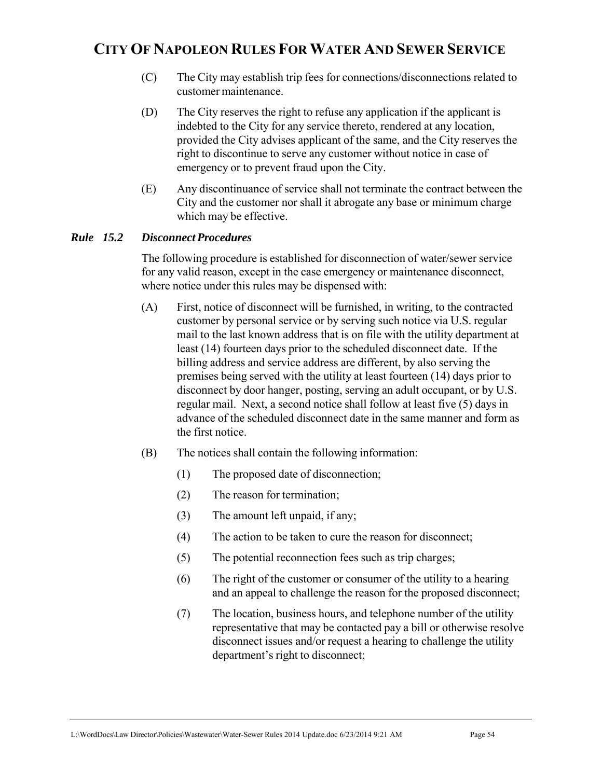- (C) The City may establish trip fees for connections/disconnections related to customer maintenance.
- (D) The City reserves the right to refuse any application if the applicant is indebted to the City for any service thereto, rendered at any location, provided the City advises applicant of the same, and the City reserves the right to discontinue to serve any customer without notice in case of emergency or to prevent fraud upon the City.
- (E) Any discontinuance of service shall not terminate the contract between the City and the customer nor shall it abrogate any base or minimum charge which may be effective.

### *Rule 15.2 Disconnect Procedures*

 The following procedure is established for disconnection of water/sewer service for any valid reason, except in the case emergency or maintenance disconnect, where notice under this rules may be dispensed with:

- (A) First, notice of disconnect will be furnished, in writing, to the contracted customer by personal service or by serving such notice via U.S. regular mail to the last known address that is on file with the utility department at least (14) fourteen days prior to the scheduled disconnect date. If the billing address and service address are different, by also serving the premises being served with the utility at least fourteen (14) days prior to disconnect by door hanger, posting, serving an adult occupant, or by U.S. regular mail. Next, a second notice shall follow at least five (5) days in advance of the scheduled disconnect date in the same manner and form as the first notice.
- (B) The notices shall contain the following information:
	- (1) The proposed date of disconnection;
	- (2) The reason for termination;
	- (3) The amount left unpaid, if any;
	- (4) The action to be taken to cure the reason for disconnect;
	- (5) The potential reconnection fees such as trip charges;
	- (6) The right of the customer or consumer of the utility to a hearing and an appeal to challenge the reason for the proposed disconnect;
	- (7) The location, business hours, and telephone number of the utility representative that may be contacted pay a bill or otherwise resolve disconnect issues and/or request a hearing to challenge the utility department's right to disconnect;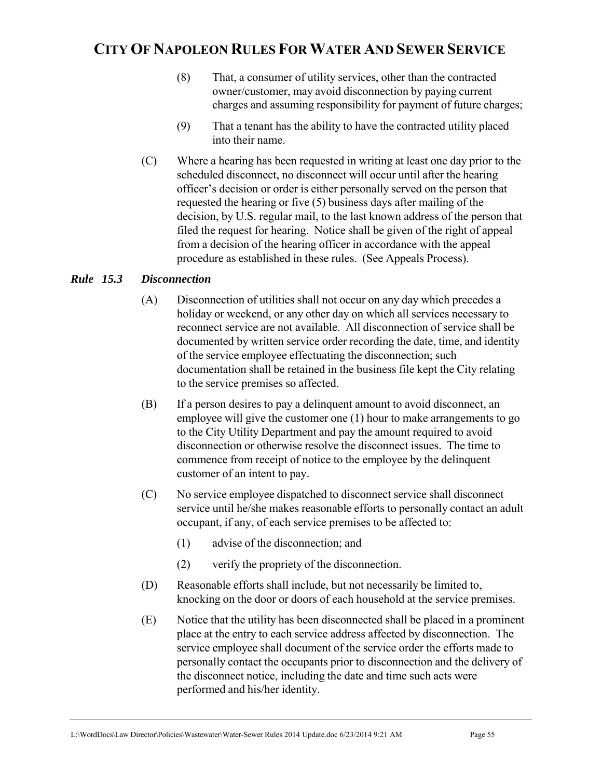- (8) That, a consumer of utility services, other than the contracted owner/customer, may avoid disconnection by paying current charges and assuming responsibility for payment of future charges;
- (9) That a tenant has the ability to have the contracted utility placed into their name.
- (C) Where a hearing has been requested in writing at least one day prior to the scheduled disconnect, no disconnect will occur until after the hearing officer's decision or order is either personally served on the person that requested the hearing or five (5) business days after mailing of the decision, by U.S. regular mail, to the last known address of the person that filed the request for hearing. Notice shall be given of the right of appeal from a decision of the hearing officer in accordance with the appeal procedure as established in these rules. (See Appeals Process).

### *Rule 15.3 Disconnection*

- (A) Disconnection of utilities shall not occur on any day which precedes a holiday or weekend, or any other day on which all services necessary to reconnect service are not available. All disconnection of service shall be documented by written service order recording the date, time, and identity of the service employee effectuating the disconnection; such documentation shall be retained in the business file kept the City relating to the service premises so affected.
- (B) If a person desires to pay a delinquent amount to avoid disconnect, an employee will give the customer one (1) hour to make arrangements to go to the City Utility Department and pay the amount required to avoid disconnection or otherwise resolve the disconnect issues. The time to commence from receipt of notice to the employee by the delinquent customer of an intent to pay.
- (C) No service employee dispatched to disconnect service shall disconnect service until he/she makes reasonable efforts to personally contact an adult occupant, if any, of each service premises to be affected to:
	- (1) advise of the disconnection; and
	- (2) verify the propriety of the disconnection.
- (D) Reasonable efforts shall include, but not necessarily be limited to, knocking on the door or doors of each household at the service premises.
- (E) Notice that the utility has been disconnected shall be placed in a prominent place at the entry to each service address affected by disconnection. The service employee shall document of the service order the efforts made to personally contact the occupants prior to disconnection and the delivery of the disconnect notice, including the date and time such acts were performed and his/her identity.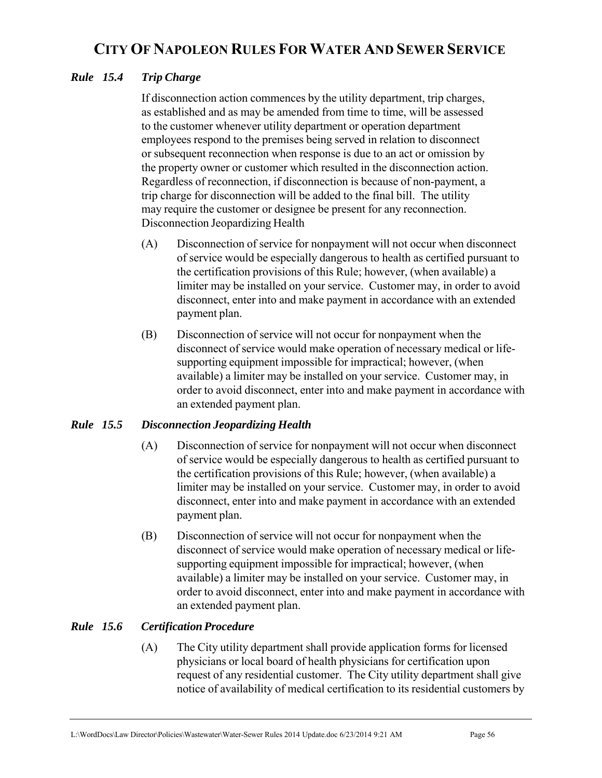### *Rule 15.4 Trip Charge*

If disconnection action commences by the utility department, trip charges, as established and as may be amended from time to time, will be assessed to the customer whenever utility department or operation department employees respond to the premises being served in relation to disconnect or subsequent reconnection when response is due to an act or omission by the property owner or customer which resulted in the disconnection action. Regardless of reconnection, if disconnection is because of non-payment, a trip charge for disconnection will be added to the final bill. The utility may require the customer or designee be present for any reconnection. Disconnection Jeopardizing Health

- (A) Disconnection of service for nonpayment will not occur when disconnect of service would be especially dangerous to health as certified pursuant to the certification provisions of this Rule; however, (when available) a limiter may be installed on your service. Customer may, in order to avoid disconnect, enter into and make payment in accordance with an extended payment plan.
- (B) Disconnection of service will not occur for nonpayment when the disconnect of service would make operation of necessary medical or lifesupporting equipment impossible for impractical; however, (when available) a limiter may be installed on your service. Customer may, in order to avoid disconnect, enter into and make payment in accordance with an extended payment plan.

### *Rule 15.5 Disconnection Jeopardizing Health*

- (A) Disconnection of service for nonpayment will not occur when disconnect of service would be especially dangerous to health as certified pursuant to the certification provisions of this Rule; however, (when available) a limiter may be installed on your service. Customer may, in order to avoid disconnect, enter into and make payment in accordance with an extended payment plan.
- (B) Disconnection of service will not occur for nonpayment when the disconnect of service would make operation of necessary medical or lifesupporting equipment impossible for impractical; however, (when available) a limiter may be installed on your service. Customer may, in order to avoid disconnect, enter into and make payment in accordance with an extended payment plan.

## *Rule 15.6 Certification Procedure*

(A) The City utility department shall provide application forms for licensed physicians or local board of health physicians for certification upon request of any residential customer. The City utility department shall give notice of availability of medical certification to its residential customers by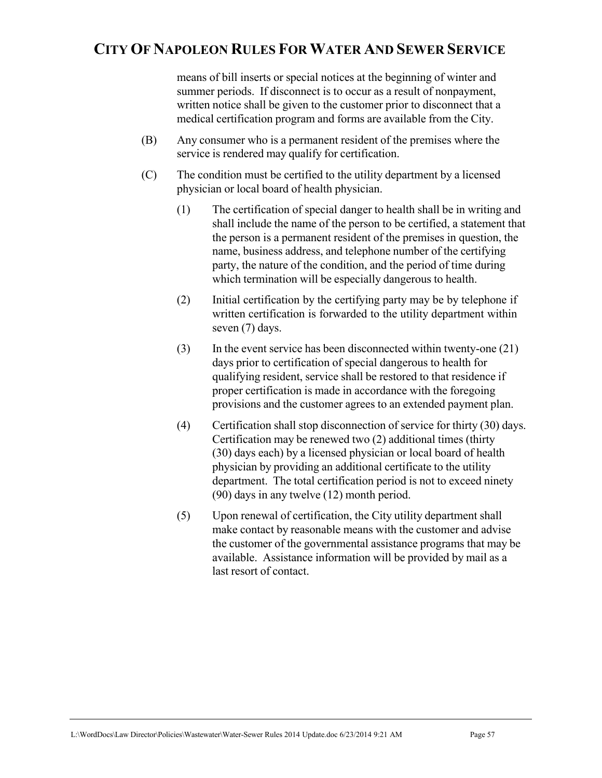means of bill inserts or special notices at the beginning of winter and summer periods. If disconnect is to occur as a result of nonpayment, written notice shall be given to the customer prior to disconnect that a medical certification program and forms are available from the City.

- (B) Any consumer who is a permanent resident of the premises where the service is rendered may qualify for certification.
- (C) The condition must be certified to the utility department by a licensed physician or local board of health physician.
	- (1) The certification of special danger to health shall be in writing and shall include the name of the person to be certified, a statement that the person is a permanent resident of the premises in question, the name, business address, and telephone number of the certifying party, the nature of the condition, and the period of time during which termination will be especially dangerous to health.
	- (2) Initial certification by the certifying party may be by telephone if written certification is forwarded to the utility department within seven (7) days.
	- (3) In the event service has been disconnected within twenty-one (21) days prior to certification of special dangerous to health for qualifying resident, service shall be restored to that residence if proper certification is made in accordance with the foregoing provisions and the customer agrees to an extended payment plan.
	- (4) Certification shall stop disconnection of service for thirty (30) days. Certification may be renewed two (2) additional times (thirty (30) days each) by a licensed physician or local board of health physician by providing an additional certificate to the utility department. The total certification period is not to exceed ninety (90) days in any twelve (12) month period.
	- (5) Upon renewal of certification, the City utility department shall make contact by reasonable means with the customer and advise the customer of the governmental assistance programs that may be available. Assistance information will be provided by mail as a last resort of contact.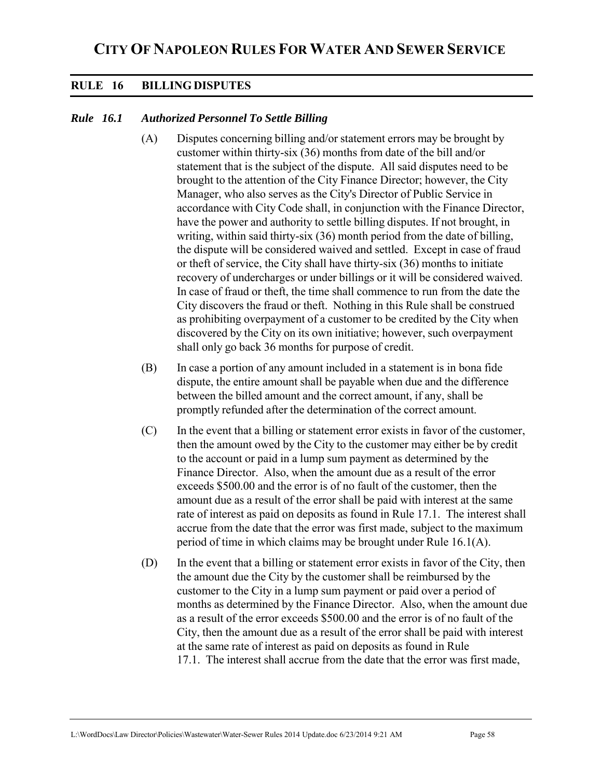### **RULE 16 BILLING DISPUTES**

### *Rule 16.1 Authorized Personnel To Settle Billing*

- (A) Disputes concerning billing and/or statement errors may be brought by customer within thirty-six (36) months from date of the bill and/or statement that is the subject of the dispute. All said disputes need to be brought to the attention of the City Finance Director; however, the City Manager, who also serves as the City's Director of Public Service in accordance with City Code shall, in conjunction with the Finance Director, have the power and authority to settle billing disputes. If not brought, in writing, within said thirty-six (36) month period from the date of billing, the dispute will be considered waived and settled. Except in case of fraud or theft of service, the City shall have thirty-six (36) months to initiate recovery of undercharges or under billings or it will be considered waived. In case of fraud or theft, the time shall commence to run from the date the City discovers the fraud or theft. Nothing in this Rule shall be construed as prohibiting overpayment of a customer to be credited by the City when discovered by the City on its own initiative; however, such overpayment shall only go back 36 months for purpose of credit.
- (B) In case a portion of any amount included in a statement is in bona fide dispute, the entire amount shall be payable when due and the difference between the billed amount and the correct amount, if any, shall be promptly refunded after the determination of the correct amount.
- (C) In the event that a billing or statement error exists in favor of the customer, then the amount owed by the City to the customer may either be by credit to the account or paid in a lump sum payment as determined by the Finance Director. Also, when the amount due as a result of the error exceeds \$500.00 and the error is of no fault of the customer, then the amount due as a result of the error shall be paid with interest at the same rate of interest as paid on deposits as found in Rule 17.1. The interest shall accrue from the date that the error was first made, subject to the maximum period of time in which claims may be brought under Rule 16.1(A).
- (D) In the event that a billing or statement error exists in favor of the City, then the amount due the City by the customer shall be reimbursed by the customer to the City in a lump sum payment or paid over a period of months as determined by the Finance Director. Also, when the amount due as a result of the error exceeds \$500.00 and the error is of no fault of the City, then the amount due as a result of the error shall be paid with interest at the same rate of interest as paid on deposits as found in Rule 17.1. The interest shall accrue from the date that the error was first made,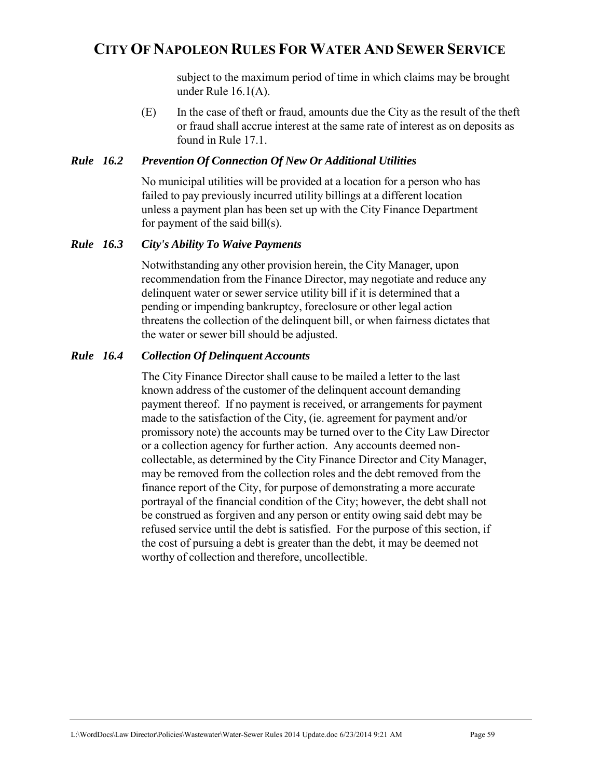subject to the maximum period of time in which claims may be brought under Rule 16.1(A).

(E) In the case of theft or fraud, amounts due the City as the result of the theft or fraud shall accrue interest at the same rate of interest as on deposits as found in Rule 17.1.

#### *Rule 16.2 Prevention Of Connection Of New Or Additional Utilities*

No municipal utilities will be provided at a location for a person who has failed to pay previously incurred utility billings at a different location unless a payment plan has been set up with the City Finance Department for payment of the said bill(s).

#### *Rule 16.3 City's Ability To Waive Payments*

 Notwithstanding any other provision herein, the City Manager, upon recommendation from the Finance Director, may negotiate and reduce any delinquent water or sewer service utility bill if it is determined that a pending or impending bankruptcy, foreclosure or other legal action threatens the collection of the delinquent bill, or when fairness dictates that the water or sewer bill should be adjusted.

#### *Rule 16.4 Collection Of Delinquent Accounts*

 The City Finance Director shall cause to be mailed a letter to the last known address of the customer of the delinquent account demanding payment thereof. If no payment is received, or arrangements for payment made to the satisfaction of the City, (ie. agreement for payment and/or promissory note) the accounts may be turned over to the City Law Director or a collection agency for further action. Any accounts deemed noncollectable, as determined by the City Finance Director and City Manager, may be removed from the collection roles and the debt removed from the finance report of the City, for purpose of demonstrating a more accurate portrayal of the financial condition of the City; however, the debt shall not be construed as forgiven and any person or entity owing said debt may be refused service until the debt is satisfied. For the purpose of this section, if the cost of pursuing a debt is greater than the debt, it may be deemed not worthy of collection and therefore, uncollectible.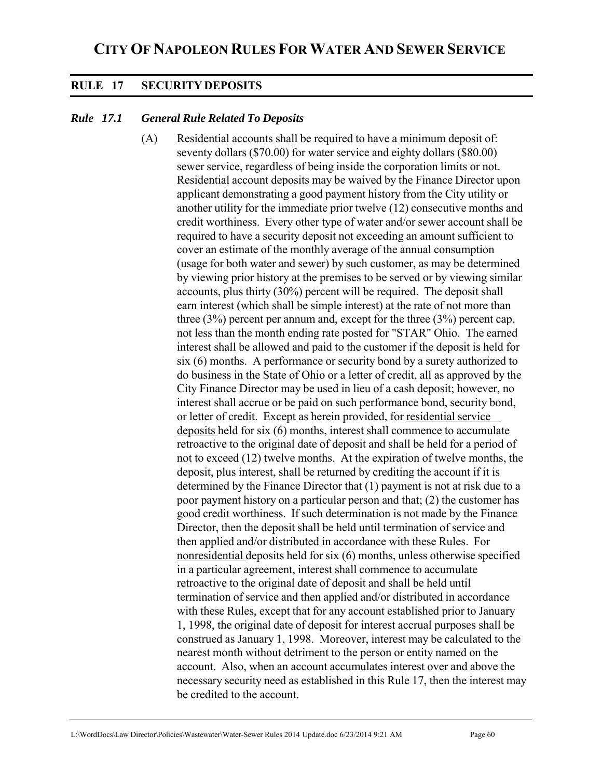## **RULE 17 SECURITY DEPOSITS**

### *Rule 17.1 General Rule Related To Deposits*

(A) Residential accounts shall be required to have a minimum deposit of: seventy dollars (\$70.00) for water service and eighty dollars (\$80.00) sewer service, regardless of being inside the corporation limits or not. Residential account deposits may be waived by the Finance Director upon applicant demonstrating a good payment history from the City utility or another utility for the immediate prior twelve (12) consecutive months and credit worthiness. Every other type of water and/or sewer account shall be required to have a security deposit not exceeding an amount sufficient to cover an estimate of the monthly average of the annual consumption (usage for both water and sewer) by such customer, as may be determined by viewing prior history at the premises to be served or by viewing similar accounts, plus thirty (30%) percent will be required. The deposit shall earn interest (which shall be simple interest) at the rate of not more than three (3%) percent per annum and, except for the three (3%) percent cap, not less than the month ending rate posted for "STAR" Ohio. The earned interest shall be allowed and paid to the customer if the deposit is held for six (6) months. A performance or security bond by a surety authorized to do business in the State of Ohio or a letter of credit, all as approved by the City Finance Director may be used in lieu of a cash deposit; however, no interest shall accrue or be paid on such performance bond, security bond, or letter of credit. Except as herein provided, for residential service deposits held for six (6) months, interest shall commence to accumulate retroactive to the original date of deposit and shall be held for a period of not to exceed (12) twelve months. At the expiration of twelve months, the deposit, plus interest, shall be returned by crediting the account if it is determined by the Finance Director that (1) payment is not at risk due to a poor payment history on a particular person and that; (2) the customer has good credit worthiness. If such determination is not made by the Finance Director, then the deposit shall be held until termination of service and then applied and/or distributed in accordance with these Rules. For nonresidential deposits held for six (6) months, unless otherwise specified in a particular agreement, interest shall commence to accumulate retroactive to the original date of deposit and shall be held until termination of service and then applied and/or distributed in accordance with these Rules, except that for any account established prior to January 1, 1998, the original date of deposit for interest accrual purposes shall be construed as January 1, 1998. Moreover, interest may be calculated to the nearest month without detriment to the person or entity named on the account. Also, when an account accumulates interest over and above the necessary security need as established in this Rule 17, then the interest may be credited to the account.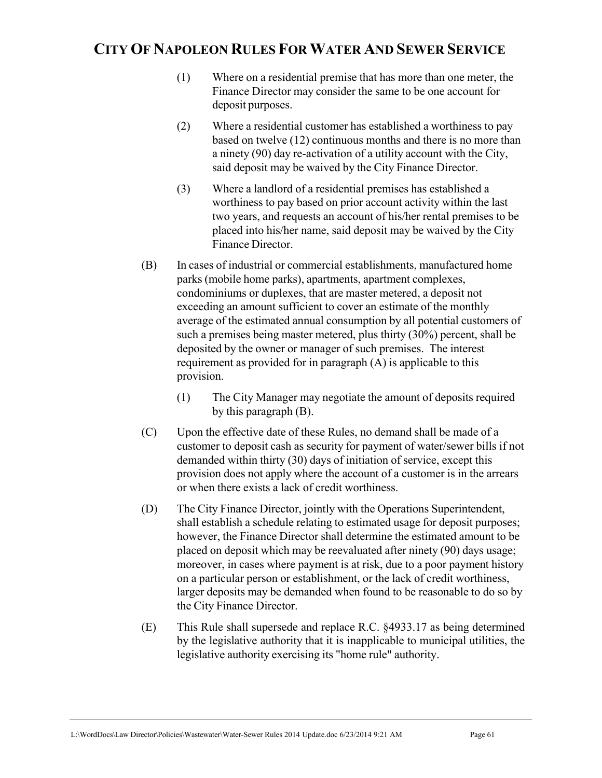- (1) Where on a residential premise that has more than one meter, the Finance Director may consider the same to be one account for deposit purposes.
- (2) Where a residential customer has established a worthiness to pay based on twelve (12) continuous months and there is no more than a ninety (90) day re-activation of a utility account with the City, said deposit may be waived by the City Finance Director.
- (3) Where a landlord of a residential premises has established a worthiness to pay based on prior account activity within the last two years, and requests an account of his/her rental premises to be placed into his/her name, said deposit may be waived by the City Finance Director.
- (B) In cases of industrial or commercial establishments, manufactured home parks (mobile home parks), apartments, apartment complexes, condominiums or duplexes, that are master metered, a deposit not exceeding an amount sufficient to cover an estimate of the monthly average of the estimated annual consumption by all potential customers of such a premises being master metered, plus thirty (30%) percent, shall be deposited by the owner or manager of such premises. The interest requirement as provided for in paragraph (A) is applicable to this provision.
	- (1) The City Manager may negotiate the amount of deposits required by this paragraph (B).
- (C) Upon the effective date of these Rules, no demand shall be made of a customer to deposit cash as security for payment of water/sewer bills if not demanded within thirty (30) days of initiation of service, except this provision does not apply where the account of a customer is in the arrears or when there exists a lack of credit worthiness.
- (D) The City Finance Director, jointly with the Operations Superintendent, shall establish a schedule relating to estimated usage for deposit purposes; however, the Finance Director shall determine the estimated amount to be placed on deposit which may be reevaluated after ninety (90) days usage; moreover, in cases where payment is at risk, due to a poor payment history on a particular person or establishment, or the lack of credit worthiness, larger deposits may be demanded when found to be reasonable to do so by the City Finance Director.
- (E) This Rule shall supersede and replace R.C. §4933.17 as being determined by the legislative authority that it is inapplicable to municipal utilities, the legislative authority exercising its "home rule" authority.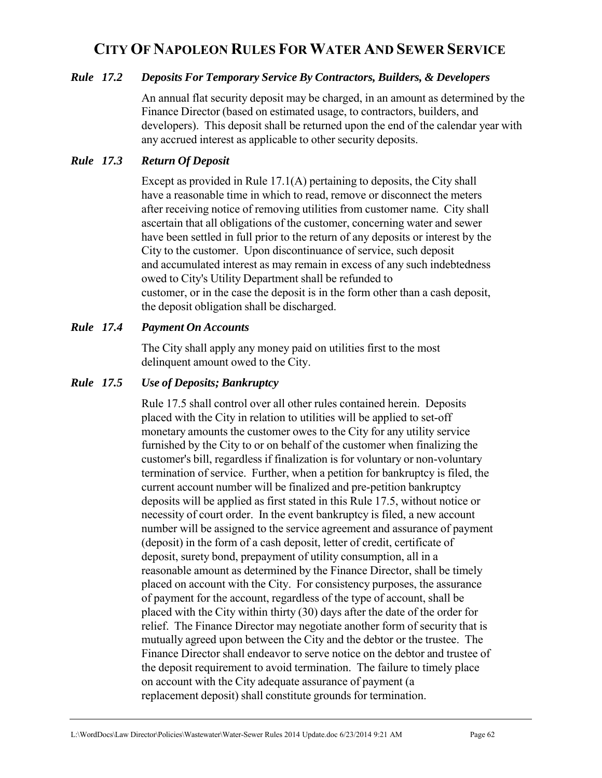### *Rule 17.2 Deposits For Temporary Service By Contractors, Builders, & Developers*

An annual flat security deposit may be charged, in an amount as determined by the Finance Director (based on estimated usage, to contractors, builders, and developers). This deposit shall be returned upon the end of the calendar year with any accrued interest as applicable to other security deposits.

### *Rule 17.3 Return Of Deposit*

Except as provided in Rule 17.1(A) pertaining to deposits, the City shall have a reasonable time in which to read, remove or disconnect the meters after receiving notice of removing utilities from customer name. City shall ascertain that all obligations of the customer, concerning water and sewer have been settled in full prior to the return of any deposits or interest by the City to the customer. Upon discontinuance of service, such deposit and accumulated interest as may remain in excess of any such indebtedness owed to City's Utility Department shall be refunded to customer, or in the case the deposit is in the form other than a cash deposit, the deposit obligation shall be discharged.

#### *Rule 17.4 Payment On Accounts*

The City shall apply any money paid on utilities first to the most delinquent amount owed to the City.

#### *Rule 17.5 Use of Deposits; Bankruptcy*

Rule 17.5 shall control over all other rules contained herein. Deposits placed with the City in relation to utilities will be applied to set-off monetary amounts the customer owes to the City for any utility service furnished by the City to or on behalf of the customer when finalizing the customer's bill, regardless if finalization is for voluntary or non-voluntary termination of service. Further, when a petition for bankruptcy is filed, the current account number will be finalized and pre-petition bankruptcy deposits will be applied as first stated in this Rule 17.5, without notice or necessity of court order. In the event bankruptcy is filed, a new account number will be assigned to the service agreement and assurance of payment (deposit) in the form of a cash deposit, letter of credit, certificate of deposit, surety bond, prepayment of utility consumption, all in a reasonable amount as determined by the Finance Director, shall be timely placed on account with the City. For consistency purposes, the assurance of payment for the account, regardless of the type of account, shall be placed with the City within thirty (30) days after the date of the order for relief. The Finance Director may negotiate another form of security that is mutually agreed upon between the City and the debtor or the trustee. The Finance Director shall endeavor to serve notice on the debtor and trustee of the deposit requirement to avoid termination. The failure to timely place on account with the City adequate assurance of payment (a replacement deposit) shall constitute grounds for termination.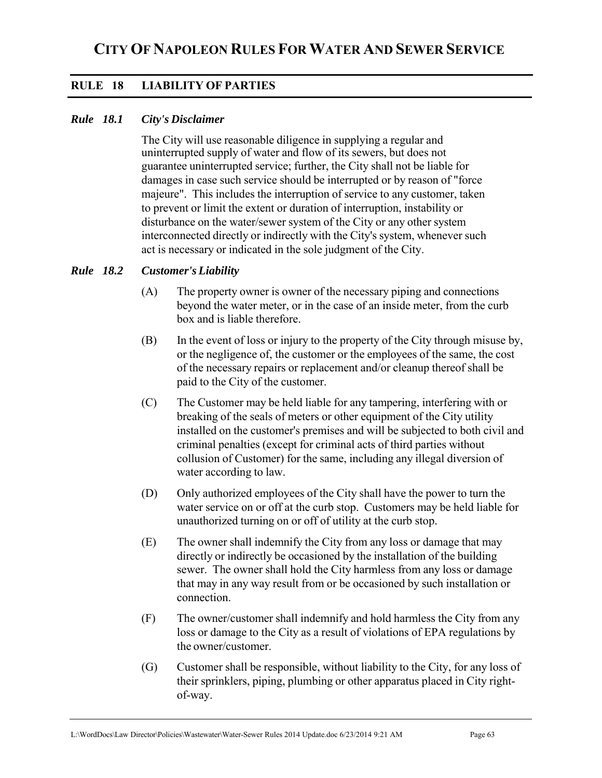### **RULE 18 LIABILITY OF PARTIES**

### *Rule 18.1 City's Disclaimer*

The City will use reasonable diligence in supplying a regular and uninterrupted supply of water and flow of its sewers, but does not guarantee uninterrupted service; further, the City shall not be liable for damages in case such service should be interrupted or by reason of "force majeure". This includes the interruption of service to any customer, taken to prevent or limit the extent or duration of interruption, instability or disturbance on the water/sewer system of the City or any other system interconnected directly or indirectly with the City's system, whenever such act is necessary or indicated in the sole judgment of the City.

#### *Rule 18.2 Customer's Liability*

- (A) The property owner is owner of the necessary piping and connections beyond the water meter, or in the case of an inside meter, from the curb box and is liable therefore.
- (B) In the event of loss or injury to the property of the City through misuse by, or the negligence of, the customer or the employees of the same, the cost of the necessary repairs or replacement and/or cleanup thereof shall be paid to the City of the customer.
- (C) The Customer may be held liable for any tampering, interfering with or breaking of the seals of meters or other equipment of the City utility installed on the customer's premises and will be subjected to both civil and criminal penalties (except for criminal acts of third parties without collusion of Customer) for the same, including any illegal diversion of water according to law.
- (D) Only authorized employees of the City shall have the power to turn the water service on or off at the curb stop. Customers may be held liable for unauthorized turning on or off of utility at the curb stop.
- (E) The owner shall indemnify the City from any loss or damage that may directly or indirectly be occasioned by the installation of the building sewer. The owner shall hold the City harmless from any loss or damage that may in any way result from or be occasioned by such installation or connection.
- (F) The owner/customer shall indemnify and hold harmless the City from any loss or damage to the City as a result of violations of EPA regulations by the owner/customer.
- (G) Customer shall be responsible, without liability to the City, for any loss of their sprinklers, piping, plumbing or other apparatus placed in City rightof-way.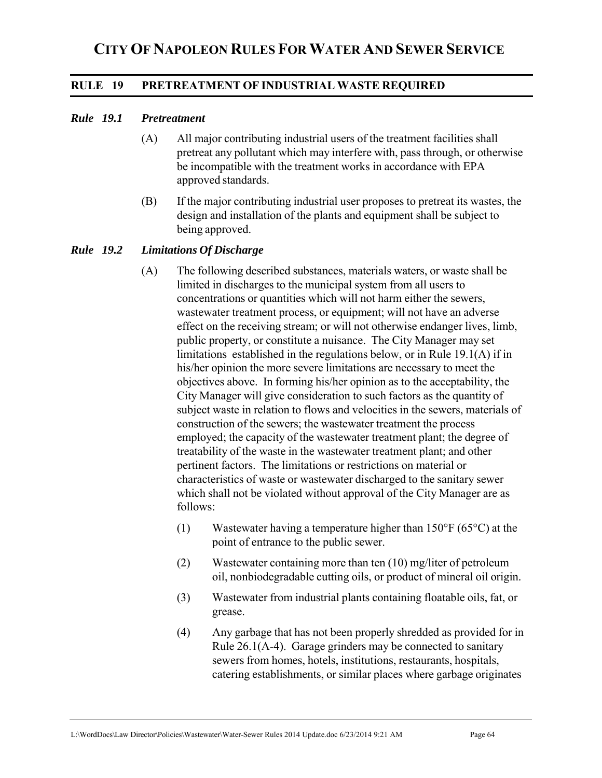### **RULE 19 PRETREATMENT OF INDUSTRIAL WASTE REQUIRED**

#### *Rule 19.1 Pretreatment*

- (A) All major contributing industrial users of the treatment facilities shall pretreat any pollutant which may interfere with, pass through, or otherwise be incompatible with the treatment works in accordance with EPA approved standards.
- (B) If the major contributing industrial user proposes to pretreat its wastes, the design and installation of the plants and equipment shall be subject to being approved.

#### *Rule 19.2 Limitations Of Discharge*

- (A) The following described substances, materials waters, or waste shall be limited in discharges to the municipal system from all users to concentrations or quantities which will not harm either the sewers, wastewater treatment process, or equipment; will not have an adverse effect on the receiving stream; or will not otherwise endanger lives, limb, public property, or constitute a nuisance. The City Manager may set limitations established in the regulations below, or in Rule 19.1(A) if in his/her opinion the more severe limitations are necessary to meet the objectives above. In forming his/her opinion as to the acceptability, the City Manager will give consideration to such factors as the quantity of subject waste in relation to flows and velocities in the sewers, materials of construction of the sewers; the wastewater treatment the process employed; the capacity of the wastewater treatment plant; the degree of treatability of the waste in the wastewater treatment plant; and other pertinent factors. The limitations or restrictions on material or characteristics of waste or wastewater discharged to the sanitary sewer which shall not be violated without approval of the City Manager are as follows:
	- (1) Wastewater having a temperature higher than  $150^{\circ}F (65^{\circ}C)$  at the point of entrance to the public sewer.
	- (2) Wastewater containing more than ten (10) mg/liter of petroleum oil, nonbiodegradable cutting oils, or product of mineral oil origin.
	- (3) Wastewater from industrial plants containing floatable oils, fat, or grease.
	- (4) Any garbage that has not been properly shredded as provided for in Rule 26.1(A-4). Garage grinders may be connected to sanitary sewers from homes, hotels, institutions, restaurants, hospitals, catering establishments, or similar places where garbage originates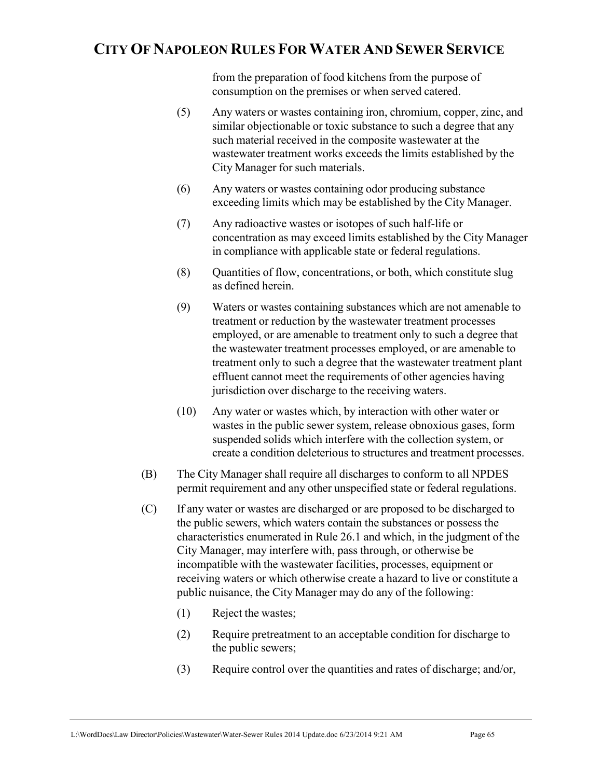from the preparation of food kitchens from the purpose of consumption on the premises or when served catered.

- (5) Any waters or wastes containing iron, chromium, copper, zinc, and similar objectionable or toxic substance to such a degree that any such material received in the composite wastewater at the wastewater treatment works exceeds the limits established by the City Manager for such materials.
- (6) Any waters or wastes containing odor producing substance exceeding limits which may be established by the City Manager.
- (7) Any radioactive wastes or isotopes of such half-life or concentration as may exceed limits established by the City Manager in compliance with applicable state or federal regulations.
- (8) Quantities of flow, concentrations, or both, which constitute slug as defined herein.
- (9) Waters or wastes containing substances which are not amenable to treatment or reduction by the wastewater treatment processes employed, or are amenable to treatment only to such a degree that the wastewater treatment processes employed, or are amenable to treatment only to such a degree that the wastewater treatment plant effluent cannot meet the requirements of other agencies having jurisdiction over discharge to the receiving waters.
- (10) Any water or wastes which, by interaction with other water or wastes in the public sewer system, release obnoxious gases, form suspended solids which interfere with the collection system, or create a condition deleterious to structures and treatment processes.
- (B) The City Manager shall require all discharges to conform to all NPDES permit requirement and any other unspecified state or federal regulations.
- (C) If any water or wastes are discharged or are proposed to be discharged to the public sewers, which waters contain the substances or possess the characteristics enumerated in Rule 26.1 and which, in the judgment of the City Manager, may interfere with, pass through, or otherwise be incompatible with the wastewater facilities, processes, equipment or receiving waters or which otherwise create a hazard to live or constitute a public nuisance, the City Manager may do any of the following:
	- (1) Reject the wastes;
	- (2) Require pretreatment to an acceptable condition for discharge to the public sewers;
	- (3) Require control over the quantities and rates of discharge; and/or,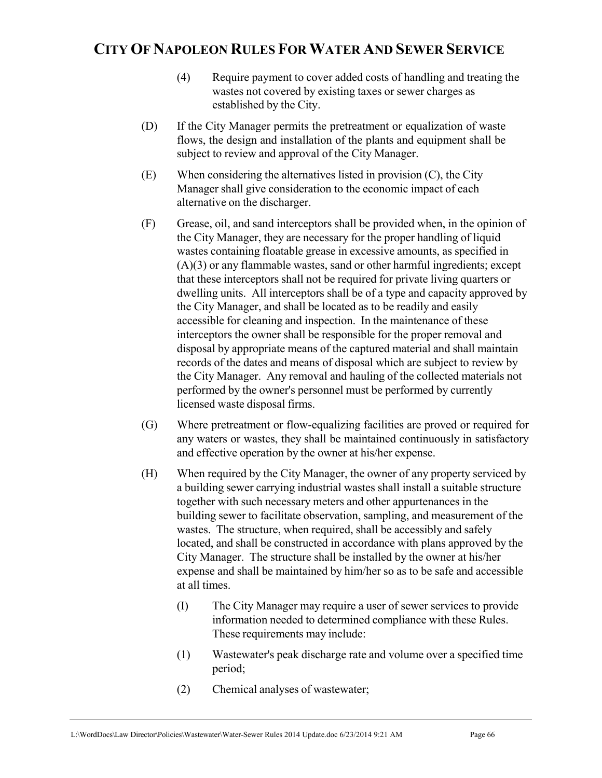- (4) Require payment to cover added costs of handling and treating the wastes not covered by existing taxes or sewer charges as established by the City.
- (D) If the City Manager permits the pretreatment or equalization of waste flows, the design and installation of the plants and equipment shall be subject to review and approval of the City Manager.
- (E) When considering the alternatives listed in provision (C), the City Manager shall give consideration to the economic impact of each alternative on the discharger.
- (F) Grease, oil, and sand interceptors shall be provided when, in the opinion of the City Manager, they are necessary for the proper handling of liquid wastes containing floatable grease in excessive amounts, as specified in (A)(3) or any flammable wastes, sand or other harmful ingredients; except that these interceptors shall not be required for private living quarters or dwelling units. All interceptors shall be of a type and capacity approved by the City Manager, and shall be located as to be readily and easily accessible for cleaning and inspection. In the maintenance of these interceptors the owner shall be responsible for the proper removal and disposal by appropriate means of the captured material and shall maintain records of the dates and means of disposal which are subject to review by the City Manager. Any removal and hauling of the collected materials not performed by the owner's personnel must be performed by currently licensed waste disposal firms.
- (G) Where pretreatment or flow-equalizing facilities are proved or required for any waters or wastes, they shall be maintained continuously in satisfactory and effective operation by the owner at his/her expense.
- (H) When required by the City Manager, the owner of any property serviced by a building sewer carrying industrial wastes shall install a suitable structure together with such necessary meters and other appurtenances in the building sewer to facilitate observation, sampling, and measurement of the wastes. The structure, when required, shall be accessibly and safely located, and shall be constructed in accordance with plans approved by the City Manager. The structure shall be installed by the owner at his/her expense and shall be maintained by him/her so as to be safe and accessible at all times.
	- (I) The City Manager may require a user of sewer services to provide information needed to determined compliance with these Rules. These requirements may include:
	- (1) Wastewater's peak discharge rate and volume over a specified time period;
	- (2) Chemical analyses of wastewater;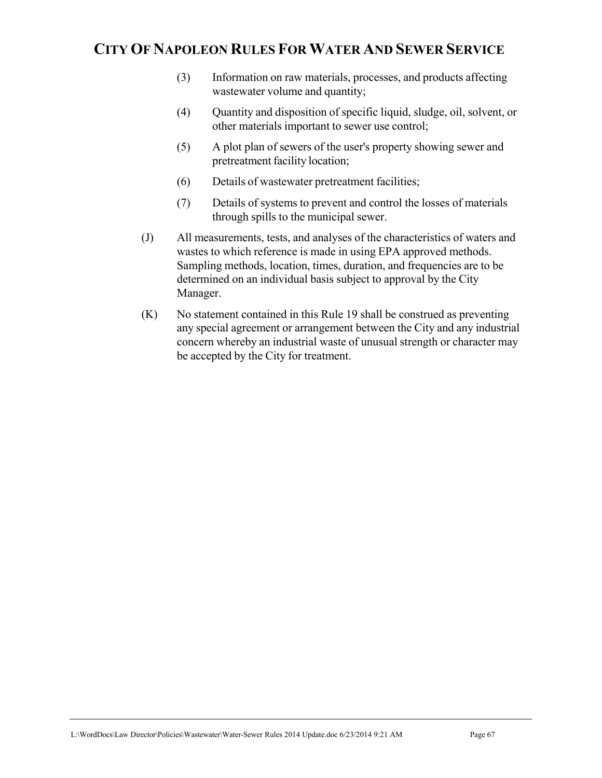- (3) Information on raw materials, processes, and products affecting wastewater volume and quantity;
- (4) Quantity and disposition of specific liquid, sludge, oil, solvent, or other materials important to sewer use control;
- (5) A plot plan of sewers of the user's property showing sewer and pretreatment facility location;
- (6) Details of wastewater pretreatment facilities;
- (7) Details of systems to prevent and control the losses of materials through spills to the municipal sewer.
- (J) All measurements, tests, and analyses of the characteristics of waters and wastes to which reference is made in using EPA approved methods. Sampling methods, location, times, duration, and frequencies are to be determined on an individual basis subject to approval by the City Manager.
- (K) No statement contained in this Rule 19 shall be construed as preventing any special agreement or arrangement between the City and any industrial concern whereby an industrial waste of unusual strength or character may be accepted by the City for treatment.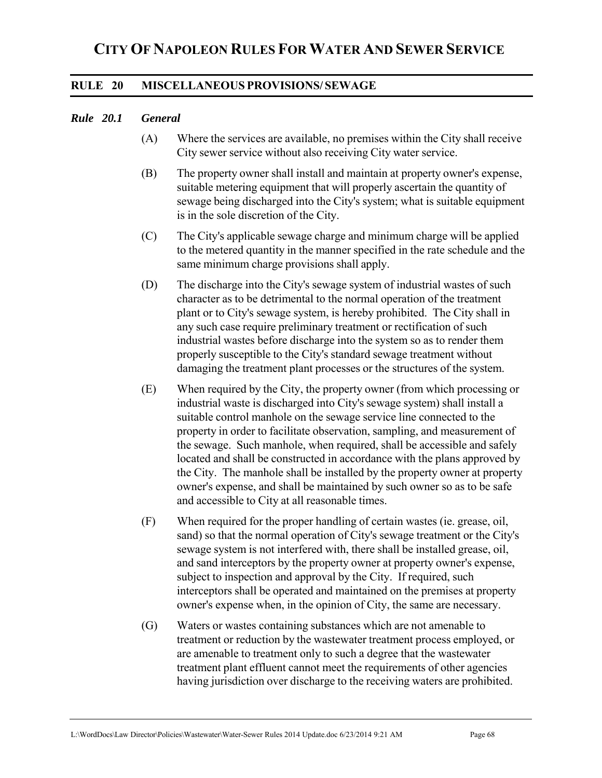### **RULE 20 MISCELLANEOUS PROVISIONS/ SEWAGE**

#### *Rule 20.1 General*

- (A) Where the services are available, no premises within the City shall receive City sewer service without also receiving City water service.
- (B) The property owner shall install and maintain at property owner's expense, suitable metering equipment that will properly ascertain the quantity of sewage being discharged into the City's system; what is suitable equipment is in the sole discretion of the City.
- (C) The City's applicable sewage charge and minimum charge will be applied to the metered quantity in the manner specified in the rate schedule and the same minimum charge provisions shall apply.
- (D) The discharge into the City's sewage system of industrial wastes of such character as to be detrimental to the normal operation of the treatment plant or to City's sewage system, is hereby prohibited. The City shall in any such case require preliminary treatment or rectification of such industrial wastes before discharge into the system so as to render them properly susceptible to the City's standard sewage treatment without damaging the treatment plant processes or the structures of the system.
- (E) When required by the City, the property owner (from which processing or industrial waste is discharged into City's sewage system) shall install a suitable control manhole on the sewage service line connected to the property in order to facilitate observation, sampling, and measurement of the sewage. Such manhole, when required, shall be accessible and safely located and shall be constructed in accordance with the plans approved by the City. The manhole shall be installed by the property owner at property owner's expense, and shall be maintained by such owner so as to be safe and accessible to City at all reasonable times.
- (F) When required for the proper handling of certain wastes (ie. grease, oil, sand) so that the normal operation of City's sewage treatment or the City's sewage system is not interfered with, there shall be installed grease, oil, and sand interceptors by the property owner at property owner's expense, subject to inspection and approval by the City. If required, such interceptors shall be operated and maintained on the premises at property owner's expense when, in the opinion of City, the same are necessary.
- (G) Waters or wastes containing substances which are not amenable to treatment or reduction by the wastewater treatment process employed, or are amenable to treatment only to such a degree that the wastewater treatment plant effluent cannot meet the requirements of other agencies having jurisdiction over discharge to the receiving waters are prohibited.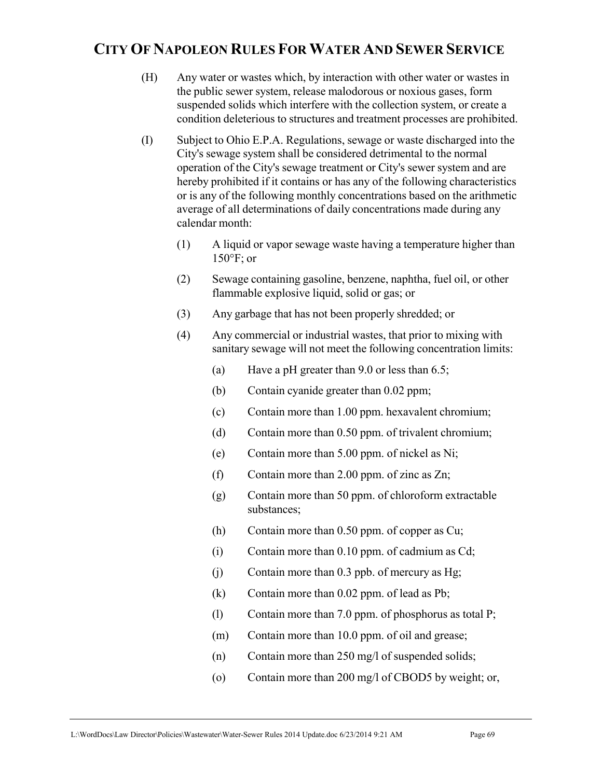- (H) Any water or wastes which, by interaction with other water or wastes in the public sewer system, release malodorous or noxious gases, form suspended solids which interfere with the collection system, or create a condition deleterious to structures and treatment processes are prohibited.
- (I) Subject to Ohio E.P.A. Regulations, sewage or waste discharged into the City's sewage system shall be considered detrimental to the normal operation of the City's sewage treatment or City's sewer system and are hereby prohibited if it contains or has any of the following characteristics or is any of the following monthly concentrations based on the arithmetic average of all determinations of daily concentrations made during any calendar month:
	- (1) A liquid or vapor sewage waste having a temperature higher than  $150^\circ$ F; or
	- (2) Sewage containing gasoline, benzene, naphtha, fuel oil, or other flammable explosive liquid, solid or gas; or
	- (3) Any garbage that has not been properly shredded; or
	- (4) Any commercial or industrial wastes, that prior to mixing with sanitary sewage will not meet the following concentration limits:
		- (a) Have a pH greater than 9.0 or less than 6.5;
		- (b) Contain cyanide greater than 0.02 ppm;
		- (c) Contain more than 1.00 ppm. hexavalent chromium;
		- (d) Contain more than 0.50 ppm. of trivalent chromium;
		- (e) Contain more than 5.00 ppm. of nickel as Ni;
		- (f) Contain more than 2.00 ppm. of zinc as Zn;
		- (g) Contain more than 50 ppm. of chloroform extractable substances;
		- (h) Contain more than 0.50 ppm. of copper as Cu;
		- (i) Contain more than 0.10 ppm. of cadmium as Cd;
		- (j) Contain more than 0.3 ppb. of mercury as Hg;
		- (k) Contain more than 0.02 ppm. of lead as Pb;
		- (l) Contain more than 7.0 ppm. of phosphorus as total P;
		- (m) Contain more than 10.0 ppm. of oil and grease;
		- (n) Contain more than 250 mg/l of suspended solids;
		- (o) Contain more than 200 mg/l of CBOD5 by weight; or,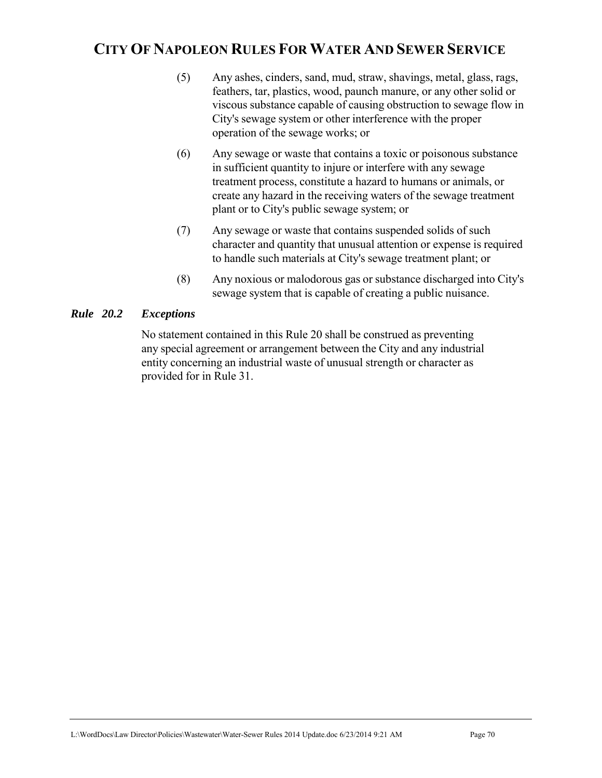- (5) Any ashes, cinders, sand, mud, straw, shavings, metal, glass, rags, feathers, tar, plastics, wood, paunch manure, or any other solid or viscous substance capable of causing obstruction to sewage flow in City's sewage system or other interference with the proper operation of the sewage works; or
- (6) Any sewage or waste that contains a toxic or poisonous substance in sufficient quantity to injure or interfere with any sewage treatment process, constitute a hazard to humans or animals, or create any hazard in the receiving waters of the sewage treatment plant or to City's public sewage system; or
- (7) Any sewage or waste that contains suspended solids of such character and quantity that unusual attention or expense is required to handle such materials at City's sewage treatment plant; or
- (8) Any noxious or malodorous gas or substance discharged into City's sewage system that is capable of creating a public nuisance.

### *Rule 20.2 Exceptions*

No statement contained in this Rule 20 shall be construed as preventing any special agreement or arrangement between the City and any industrial entity concerning an industrial waste of unusual strength or character as provided for in Rule 31.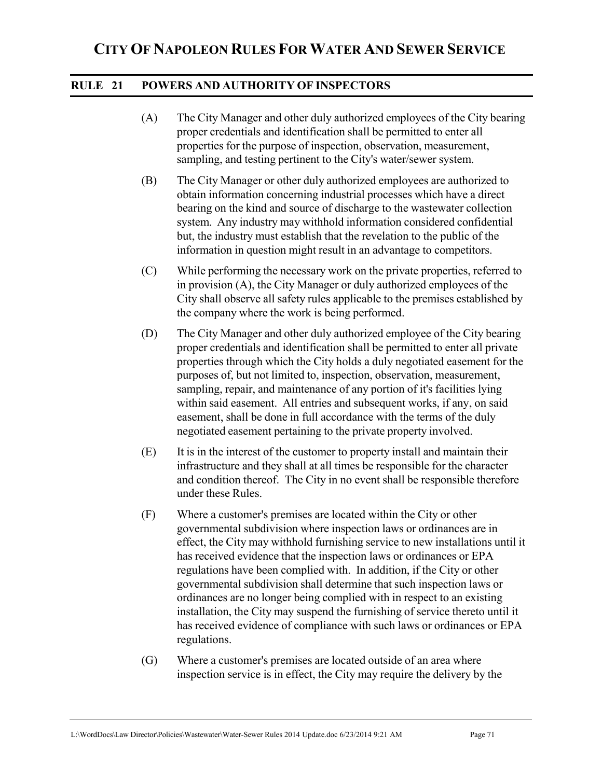### **RULE 21 POWERS AND AUTHORITY OF INSPECTORS**

- (A) The City Manager and other duly authorized employees of the City bearing proper credentials and identification shall be permitted to enter all properties for the purpose of inspection, observation, measurement, sampling, and testing pertinent to the City's water/sewer system.
- (B) The City Manager or other duly authorized employees are authorized to obtain information concerning industrial processes which have a direct bearing on the kind and source of discharge to the wastewater collection system. Any industry may withhold information considered confidential but, the industry must establish that the revelation to the public of the information in question might result in an advantage to competitors.
- (C) While performing the necessary work on the private properties, referred to in provision (A), the City Manager or duly authorized employees of the City shall observe all safety rules applicable to the premises established by the company where the work is being performed.
- (D) The City Manager and other duly authorized employee of the City bearing proper credentials and identification shall be permitted to enter all private properties through which the City holds a duly negotiated easement for the purposes of, but not limited to, inspection, observation, measurement, sampling, repair, and maintenance of any portion of it's facilities lying within said easement. All entries and subsequent works, if any, on said easement, shall be done in full accordance with the terms of the duly negotiated easement pertaining to the private property involved.
- (E) It is in the interest of the customer to property install and maintain their infrastructure and they shall at all times be responsible for the character and condition thereof. The City in no event shall be responsible therefore under these Rules.
- (F) Where a customer's premises are located within the City or other governmental subdivision where inspection laws or ordinances are in effect, the City may withhold furnishing service to new installations until it has received evidence that the inspection laws or ordinances or EPA regulations have been complied with. In addition, if the City or other governmental subdivision shall determine that such inspection laws or ordinances are no longer being complied with in respect to an existing installation, the City may suspend the furnishing of service thereto until it has received evidence of compliance with such laws or ordinances or EPA regulations.
- (G) Where a customer's premises are located outside of an area where inspection service is in effect, the City may require the delivery by the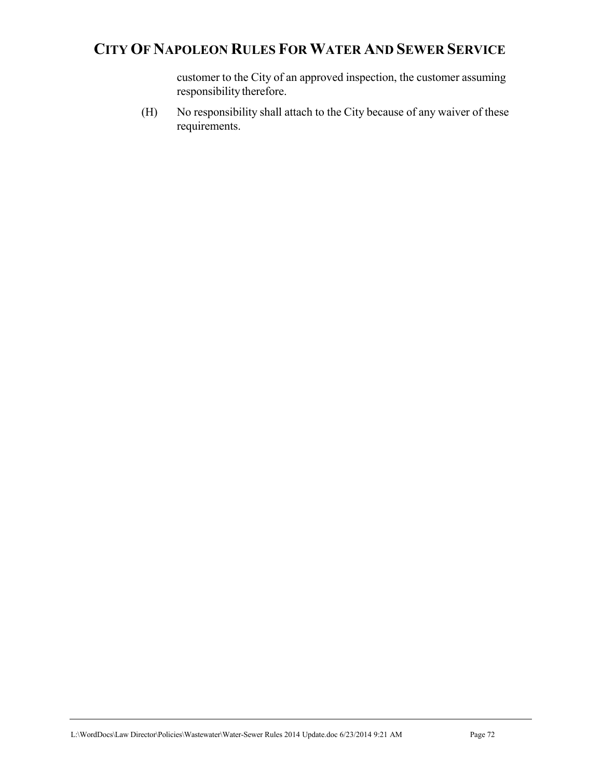customer to the City of an approved inspection, the customer assuming responsibility therefore.

(H) No responsibility shall attach to the City because of any waiver of these requirements.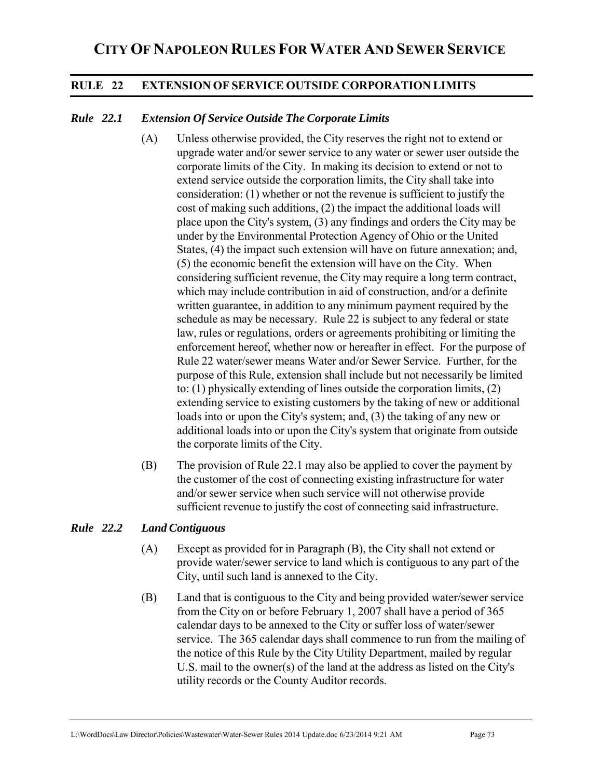# **RULE 22 EXTENSION OF SERVICE OUTSIDE CORPORATION LIMITS**

## *Rule 22.1 Extension Of Service Outside The Corporate Limits*

- (A) Unless otherwise provided, the City reserves the right not to extend or upgrade water and/or sewer service to any water or sewer user outside the corporate limits of the City. In making its decision to extend or not to extend service outside the corporation limits, the City shall take into consideration: (1) whether or not the revenue is sufficient to justify the cost of making such additions, (2) the impact the additional loads will place upon the City's system, (3) any findings and orders the City may be under by the Environmental Protection Agency of Ohio or the United States, (4) the impact such extension will have on future annexation; and, (5) the economic benefit the extension will have on the City. When considering sufficient revenue, the City may require a long term contract, which may include contribution in aid of construction, and/or a definite written guarantee, in addition to any minimum payment required by the schedule as may be necessary. Rule 22 is subject to any federal or state law, rules or regulations, orders or agreements prohibiting or limiting the enforcement hereof, whether now or hereafter in effect. For the purpose of Rule 22 water/sewer means Water and/or Sewer Service. Further, for the purpose of this Rule, extension shall include but not necessarily be limited to: (1) physically extending of lines outside the corporation limits, (2) extending service to existing customers by the taking of new or additional loads into or upon the City's system; and, (3) the taking of any new or additional loads into or upon the City's system that originate from outside the corporate limits of the City.
- (B) The provision of Rule 22.1 may also be applied to cover the payment by the customer of the cost of connecting existing infrastructure for water and/or sewer service when such service will not otherwise provide sufficient revenue to justify the cost of connecting said infrastructure.

#### *Rule 22.2 Land Contiguous*

- (A) Except as provided for in Paragraph (B), the City shall not extend or provide water/sewer service to land which is contiguous to any part of the City, until such land is annexed to the City.
- (B) Land that is contiguous to the City and being provided water/sewer service from the City on or before February 1, 2007 shall have a period of 365 calendar days to be annexed to the City or suffer loss of water/sewer service. The 365 calendar days shall commence to run from the mailing of the notice of this Rule by the City Utility Department, mailed by regular U.S. mail to the owner(s) of the land at the address as listed on the City's utility records or the County Auditor records.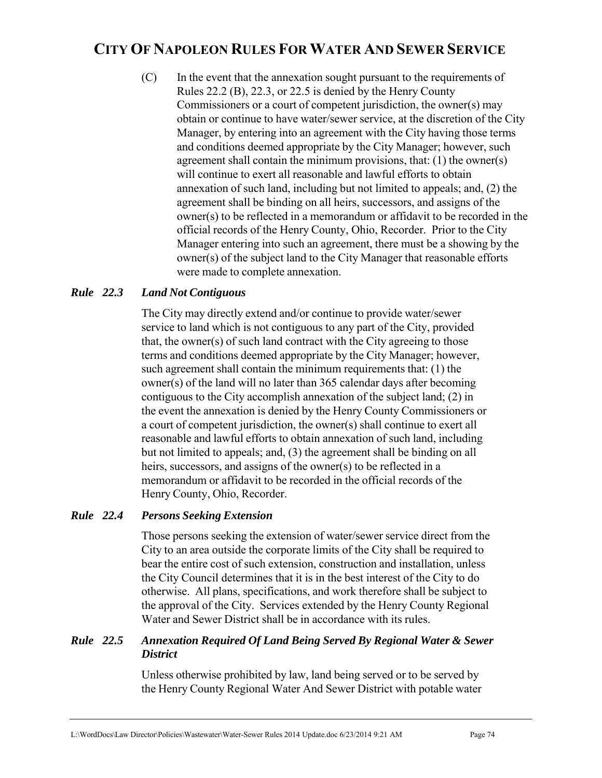(C) In the event that the annexation sought pursuant to the requirements of Rules 22.2 (B), 22.3, or 22.5 is denied by the Henry County Commissioners or a court of competent jurisdiction, the owner(s) may obtain or continue to have water/sewer service, at the discretion of the City Manager, by entering into an agreement with the City having those terms and conditions deemed appropriate by the City Manager; however, such agreement shall contain the minimum provisions, that: (1) the owner(s) will continue to exert all reasonable and lawful efforts to obtain annexation of such land, including but not limited to appeals; and, (2) the agreement shall be binding on all heirs, successors, and assigns of the owner(s) to be reflected in a memorandum or affidavit to be recorded in the official records of the Henry County, Ohio, Recorder. Prior to the City Manager entering into such an agreement, there must be a showing by the owner(s) of the subject land to the City Manager that reasonable efforts were made to complete annexation.

## *Rule 22.3 Land Not Contiguous*

The City may directly extend and/or continue to provide water/sewer service to land which is not contiguous to any part of the City, provided that, the owner(s) of such land contract with the City agreeing to those terms and conditions deemed appropriate by the City Manager; however, such agreement shall contain the minimum requirements that: (1) the owner(s) of the land will no later than 365 calendar days after becoming contiguous to the City accomplish annexation of the subject land; (2) in the event the annexation is denied by the Henry County Commissioners or a court of competent jurisdiction, the owner(s) shall continue to exert all reasonable and lawful efforts to obtain annexation of such land, including but not limited to appeals; and, (3) the agreement shall be binding on all heirs, successors, and assigns of the owner(s) to be reflected in a memorandum or affidavit to be recorded in the official records of the Henry County, Ohio, Recorder.

## *Rule 22.4 Persons Seeking Extension*

 Those persons seeking the extension of water/sewer service direct from the City to an area outside the corporate limits of the City shall be required to bear the entire cost of such extension, construction and installation, unless the City Council determines that it is in the best interest of the City to do otherwise. All plans, specifications, and work therefore shall be subject to the approval of the City. Services extended by the Henry County Regional Water and Sewer District shall be in accordance with its rules.

## *Rule 22.5 Annexation Required Of Land Being Served By Regional Water & Sewer District*

 Unless otherwise prohibited by law, land being served or to be served by the Henry County Regional Water And Sewer District with potable water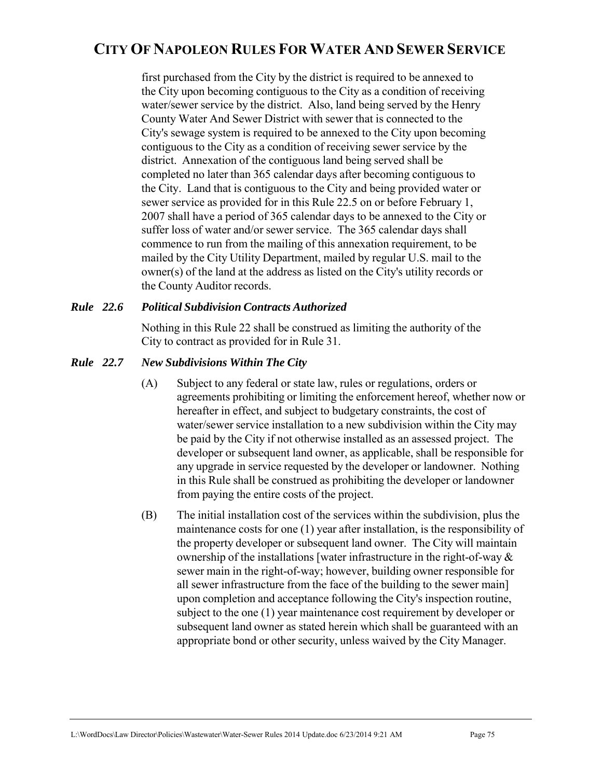first purchased from the City by the district is required to be annexed to the City upon becoming contiguous to the City as a condition of receiving water/sewer service by the district. Also, land being served by the Henry County Water And Sewer District with sewer that is connected to the City's sewage system is required to be annexed to the City upon becoming contiguous to the City as a condition of receiving sewer service by the district. Annexation of the contiguous land being served shall be completed no later than 365 calendar days after becoming contiguous to the City. Land that is contiguous to the City and being provided water or sewer service as provided for in this Rule 22.5 on or before February 1, 2007 shall have a period of 365 calendar days to be annexed to the City or suffer loss of water and/or sewer service. The 365 calendar days shall commence to run from the mailing of this annexation requirement, to be mailed by the City Utility Department, mailed by regular U.S. mail to the owner(s) of the land at the address as listed on the City's utility records or the County Auditor records.

## *Rule 22.6 Political Subdivision Contracts Authorized*

 Nothing in this Rule 22 shall be construed as limiting the authority of the City to contract as provided for in Rule 31.

## *Rule 22.7 New Subdivisions Within The City*

- (A) Subject to any federal or state law, rules or regulations, orders or agreements prohibiting or limiting the enforcement hereof, whether now or hereafter in effect, and subject to budgetary constraints, the cost of water/sewer service installation to a new subdivision within the City may be paid by the City if not otherwise installed as an assessed project. The developer or subsequent land owner, as applicable, shall be responsible for any upgrade in service requested by the developer or landowner. Nothing in this Rule shall be construed as prohibiting the developer or landowner from paying the entire costs of the project.
- (B) The initial installation cost of the services within the subdivision, plus the maintenance costs for one (1) year after installation, is the responsibility of the property developer or subsequent land owner. The City will maintain ownership of the installations [water infrastructure in the right-of-way & sewer main in the right-of-way; however, building owner responsible for all sewer infrastructure from the face of the building to the sewer main] upon completion and acceptance following the City's inspection routine, subject to the one (1) year maintenance cost requirement by developer or subsequent land owner as stated herein which shall be guaranteed with an appropriate bond or other security, unless waived by the City Manager.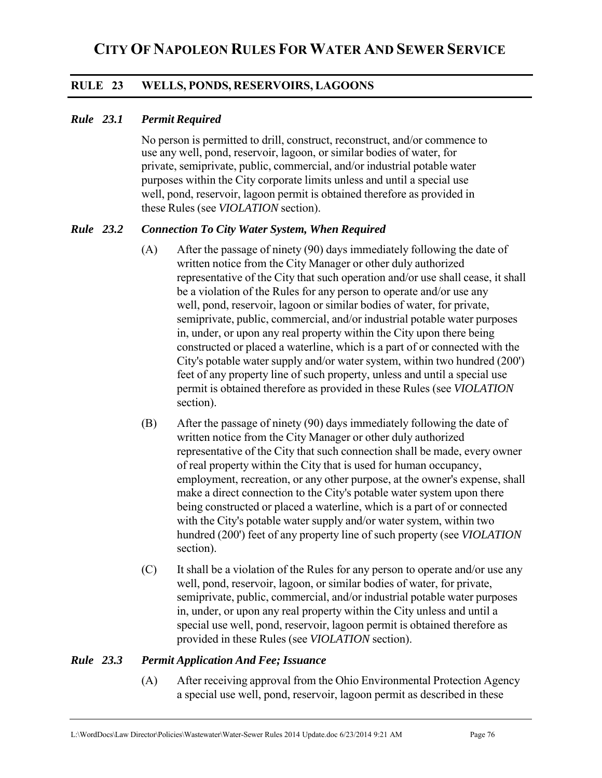# **RULE 23 WELLS, PONDS, RESERVOIRS, LAGOONS**

## *Rule 23.1 Permit Required*

No person is permitted to drill, construct, reconstruct, and/or commence to use any well, pond, reservoir, lagoon, or similar bodies of water, for private, semiprivate, public, commercial, and/or industrial potable water purposes within the City corporate limits unless and until a special use well, pond, reservoir, lagoon permit is obtained therefore as provided in these Rules (see *VIOLATION* section).

## *Rule 23.2 Connection To City Water System, When Required*

- (A) After the passage of ninety (90) days immediately following the date of written notice from the City Manager or other duly authorized representative of the City that such operation and/or use shall cease, it shall be a violation of the Rules for any person to operate and/or use any well, pond, reservoir, lagoon or similar bodies of water, for private, semiprivate, public, commercial, and/or industrial potable water purposes in, under, or upon any real property within the City upon there being constructed or placed a waterline, which is a part of or connected with the City's potable water supply and/or water system, within two hundred (200') feet of any property line of such property, unless and until a special use permit is obtained therefore as provided in these Rules (see *VIOLATION* section).
- (B) After the passage of ninety (90) days immediately following the date of written notice from the City Manager or other duly authorized representative of the City that such connection shall be made, every owner of real property within the City that is used for human occupancy, employment, recreation, or any other purpose, at the owner's expense, shall make a direct connection to the City's potable water system upon there being constructed or placed a waterline, which is a part of or connected with the City's potable water supply and/or water system, within two hundred (200') feet of any property line of such property (see *VIOLATION* section).
- (C) It shall be a violation of the Rules for any person to operate and/or use any well, pond, reservoir, lagoon, or similar bodies of water, for private, semiprivate, public, commercial, and/or industrial potable water purposes in, under, or upon any real property within the City unless and until a special use well, pond, reservoir, lagoon permit is obtained therefore as provided in these Rules (see *VIOLATION* section).

## *Rule 23.3 Permit Application And Fee; Issuance*

(A) After receiving approval from the Ohio Environmental Protection Agency a special use well, pond, reservoir, lagoon permit as described in these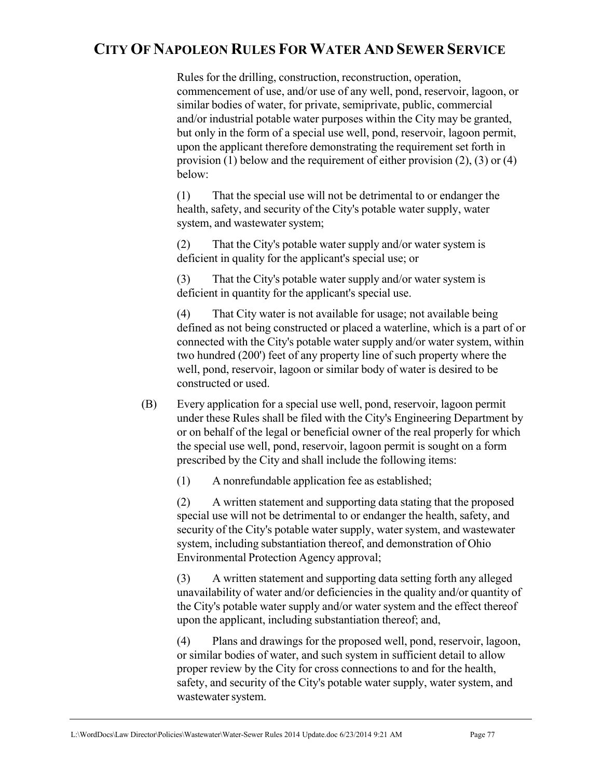Rules for the drilling, construction, reconstruction, operation, commencement of use, and/or use of any well, pond, reservoir, lagoon, or similar bodies of water, for private, semiprivate, public, commercial and/or industrial potable water purposes within the City may be granted, but only in the form of a special use well, pond, reservoir, lagoon permit, upon the applicant therefore demonstrating the requirement set forth in provision (1) below and the requirement of either provision  $(2)$ ,  $(3)$  or  $(4)$ below:

(1) That the special use will not be detrimental to or endanger the health, safety, and security of the City's potable water supply, water system, and wastewater system;

(2) That the City's potable water supply and/or water system is deficient in quality for the applicant's special use; or

(3) That the City's potable water supply and/or water system is deficient in quantity for the applicant's special use.

(4) That City water is not available for usage; not available being defined as not being constructed or placed a waterline, which is a part of or connected with the City's potable water supply and/or water system, within two hundred (200') feet of any property line of such property where the well, pond, reservoir, lagoon or similar body of water is desired to be constructed or used.

(B) Every application for a special use well, pond, reservoir, lagoon permit under these Rules shall be filed with the City's Engineering Department by or on behalf of the legal or beneficial owner of the real properly for which the special use well, pond, reservoir, lagoon permit is sought on a form prescribed by the City and shall include the following items:

(1) A nonrefundable application fee as established;

(2) A written statement and supporting data stating that the proposed special use will not be detrimental to or endanger the health, safety, and security of the City's potable water supply, water system, and wastewater system, including substantiation thereof, and demonstration of Ohio Environmental Protection Agency approval;

(3) A written statement and supporting data setting forth any alleged unavailability of water and/or deficiencies in the quality and/or quantity of the City's potable water supply and/or water system and the effect thereof upon the applicant, including substantiation thereof; and,

(4) Plans and drawings for the proposed well, pond, reservoir, lagoon, or similar bodies of water, and such system in sufficient detail to allow proper review by the City for cross connections to and for the health, safety, and security of the City's potable water supply, water system, and wastewater system.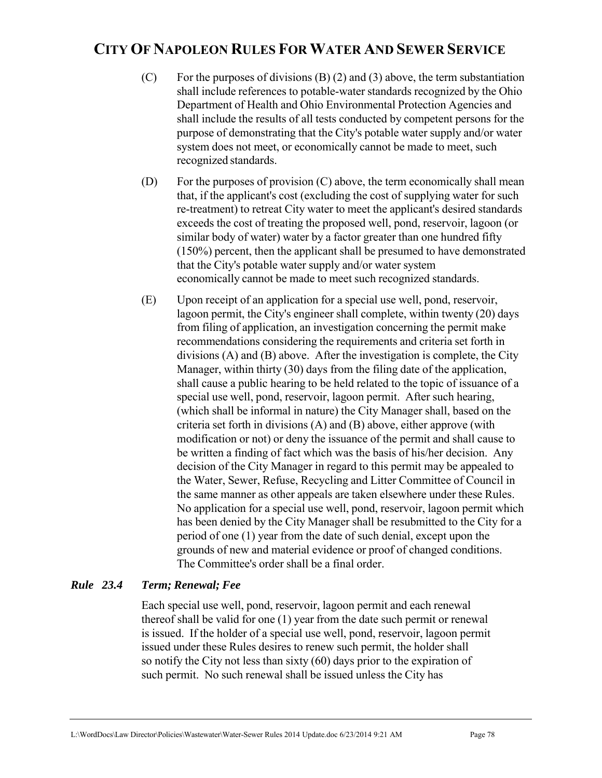- (C) For the purposes of divisions  $(B)$  (2) and (3) above, the term substantiation shall include references to potable-water standards recognized by the Ohio Department of Health and Ohio Environmental Protection Agencies and shall include the results of all tests conducted by competent persons for the purpose of demonstrating that the City's potable water supply and/or water system does not meet, or economically cannot be made to meet, such recognized standards.
- (D) For the purposes of provision (C) above, the term economically shall mean that, if the applicant's cost (excluding the cost of supplying water for such re-treatment) to retreat City water to meet the applicant's desired standards exceeds the cost of treating the proposed well, pond, reservoir, lagoon (or similar body of water) water by a factor greater than one hundred fifty (150%) percent, then the applicant shall be presumed to have demonstrated that the City's potable water supply and/or water system economically cannot be made to meet such recognized standards.
- (E) Upon receipt of an application for a special use well, pond, reservoir, lagoon permit, the City's engineer shall complete, within twenty (20) days from filing of application, an investigation concerning the permit make recommendations considering the requirements and criteria set forth in divisions (A) and (B) above. After the investigation is complete, the City Manager, within thirty (30) days from the filing date of the application, shall cause a public hearing to be held related to the topic of issuance of a special use well, pond, reservoir, lagoon permit. After such hearing, (which shall be informal in nature) the City Manager shall, based on the criteria set forth in divisions (A) and (B) above, either approve (with modification or not) or deny the issuance of the permit and shall cause to be written a finding of fact which was the basis of his/her decision. Any decision of the City Manager in regard to this permit may be appealed to the Water, Sewer, Refuse, Recycling and Litter Committee of Council in the same manner as other appeals are taken elsewhere under these Rules. No application for a special use well, pond, reservoir, lagoon permit which has been denied by the City Manager shall be resubmitted to the City for a period of one (1) year from the date of such denial, except upon the grounds of new and material evidence or proof of changed conditions. The Committee's order shall be a final order.

## *Rule 23.4 Term; Renewal; Fee*

Each special use well, pond, reservoir, lagoon permit and each renewal thereof shall be valid for one (1) year from the date such permit or renewal is issued. If the holder of a special use well, pond, reservoir, lagoon permit issued under these Rules desires to renew such permit, the holder shall so notify the City not less than sixty (60) days prior to the expiration of such permit. No such renewal shall be issued unless the City has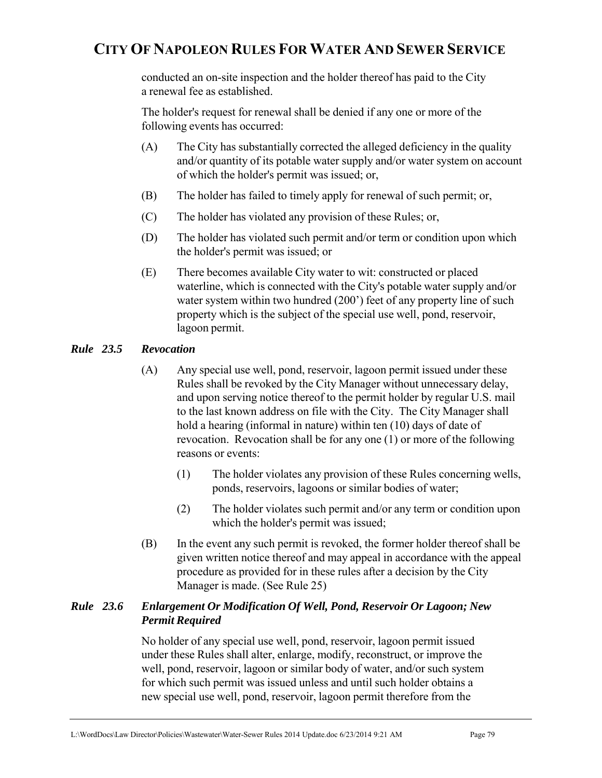conducted an on-site inspection and the holder thereof has paid to the City a renewal fee as established.

The holder's request for renewal shall be denied if any one or more of the following events has occurred:

- (A) The City has substantially corrected the alleged deficiency in the quality and/or quantity of its potable water supply and/or water system on account of which the holder's permit was issued; or,
- (B) The holder has failed to timely apply for renewal of such permit; or,
- (C) The holder has violated any provision of these Rules; or,
- (D) The holder has violated such permit and/or term or condition upon which the holder's permit was issued; or
- (E) There becomes available City water to wit: constructed or placed waterline, which is connected with the City's potable water supply and/or water system within two hundred (200') feet of any property line of such property which is the subject of the special use well, pond, reservoir, lagoon permit.

## *Rule 23.5 Revocation*

- (A) Any special use well, pond, reservoir, lagoon permit issued under these Rules shall be revoked by the City Manager without unnecessary delay, and upon serving notice thereof to the permit holder by regular U.S. mail to the last known address on file with the City. The City Manager shall hold a hearing (informal in nature) within ten (10) days of date of revocation. Revocation shall be for any one (1) or more of the following reasons or events:
	- (1) The holder violates any provision of these Rules concerning wells, ponds, reservoirs, lagoons or similar bodies of water;
	- (2) The holder violates such permit and/or any term or condition upon which the holder's permit was issued;
- (B) In the event any such permit is revoked, the former holder thereof shall be given written notice thereof and may appeal in accordance with the appeal procedure as provided for in these rules after a decision by the City Manager is made. (See Rule 25)

## *Rule 23.6 Enlargement Or Modification Of Well, Pond, Reservoir Or Lagoon; New Permit Required*

 No holder of any special use well, pond, reservoir, lagoon permit issued under these Rules shall alter, enlarge, modify, reconstruct, or improve the well, pond, reservoir, lagoon or similar body of water, and/or such system for which such permit was issued unless and until such holder obtains a new special use well, pond, reservoir, lagoon permit therefore from the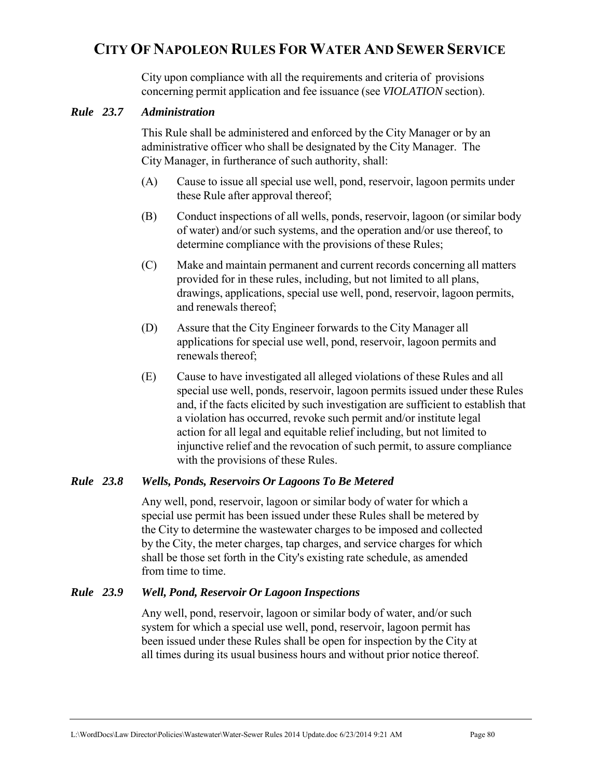City upon compliance with all the requirements and criteria of provisions concerning permit application and fee issuance (see *VIOLATION* section).

## *Rule 23.7 Administration*

 This Rule shall be administered and enforced by the City Manager or by an administrative officer who shall be designated by the City Manager. The City Manager, in furtherance of such authority, shall:

- (A) Cause to issue all special use well, pond, reservoir, lagoon permits under these Rule after approval thereof;
- (B) Conduct inspections of all wells, ponds, reservoir, lagoon (or similar body of water) and/or such systems, and the operation and/or use thereof, to determine compliance with the provisions of these Rules;
- (C) Make and maintain permanent and current records concerning all matters provided for in these rules, including, but not limited to all plans, drawings, applications, special use well, pond, reservoir, lagoon permits, and renewals thereof;
- (D) Assure that the City Engineer forwards to the City Manager all applications for special use well, pond, reservoir, lagoon permits and renewals thereof;
- (E) Cause to have investigated all alleged violations of these Rules and all special use well, ponds, reservoir, lagoon permits issued under these Rules and, if the facts elicited by such investigation are sufficient to establish that a violation has occurred, revoke such permit and/or institute legal action for all legal and equitable relief including, but not limited to injunctive relief and the revocation of such permit, to assure compliance with the provisions of these Rules.

## *Rule 23.8 Wells, Ponds, Reservoirs Or Lagoons To Be Metered*

Any well, pond, reservoir, lagoon or similar body of water for which a special use permit has been issued under these Rules shall be metered by the City to determine the wastewater charges to be imposed and collected by the City, the meter charges, tap charges, and service charges for which shall be those set forth in the City's existing rate schedule, as amended from time to time.

## *Rule 23.9 Well, Pond, Reservoir Or Lagoon Inspections*

 Any well, pond, reservoir, lagoon or similar body of water, and/or such system for which a special use well, pond, reservoir, lagoon permit has been issued under these Rules shall be open for inspection by the City at all times during its usual business hours and without prior notice thereof.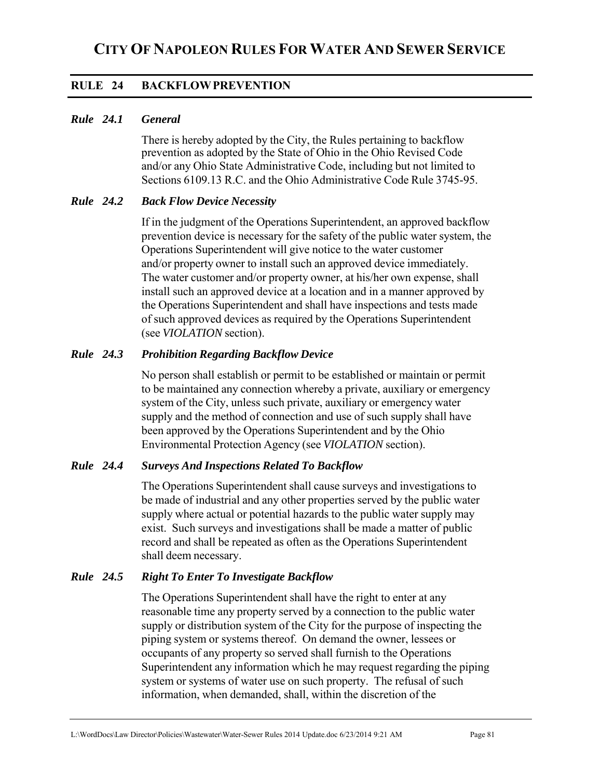# **RULE 24 BACKFLOW PREVENTION**

## *Rule 24.1 General*

There is hereby adopted by the City, the Rules pertaining to backflow prevention as adopted by the State of Ohio in the Ohio Revised Code and/or any Ohio State Administrative Code, including but not limited to Sections 6109.13 R.C. and the Ohio Administrative Code Rule 3745-95.

#### *Rule 24.2 Back Flow Device Necessity*

 If in the judgment of the Operations Superintendent, an approved backflow prevention device is necessary for the safety of the public water system, the Operations Superintendent will give notice to the water customer and/or property owner to install such an approved device immediately. The water customer and/or property owner, at his/her own expense, shall install such an approved device at a location and in a manner approved by the Operations Superintendent and shall have inspections and tests made of such approved devices as required by the Operations Superintendent (see *VIOLATION* section).

## *Rule 24.3 Prohibition Regarding Backflow Device*

 No person shall establish or permit to be established or maintain or permit to be maintained any connection whereby a private, auxiliary or emergency system of the City, unless such private, auxiliary or emergency water supply and the method of connection and use of such supply shall have been approved by the Operations Superintendent and by the Ohio Environmental Protection Agency (see *VIOLATION* section).

## *Rule 24.4 Surveys And Inspections Related To Backflow*

 The Operations Superintendent shall cause surveys and investigations to be made of industrial and any other properties served by the public water supply where actual or potential hazards to the public water supply may exist. Such surveys and investigations shall be made a matter of public record and shall be repeated as often as the Operations Superintendent shall deem necessary.

## *Rule 24.5 Right To Enter To Investigate Backflow*

 The Operations Superintendent shall have the right to enter at any reasonable time any property served by a connection to the public water supply or distribution system of the City for the purpose of inspecting the piping system or systems thereof. On demand the owner, lessees or occupants of any property so served shall furnish to the Operations Superintendent any information which he may request regarding the piping system or systems of water use on such property. The refusal of such information, when demanded, shall, within the discretion of the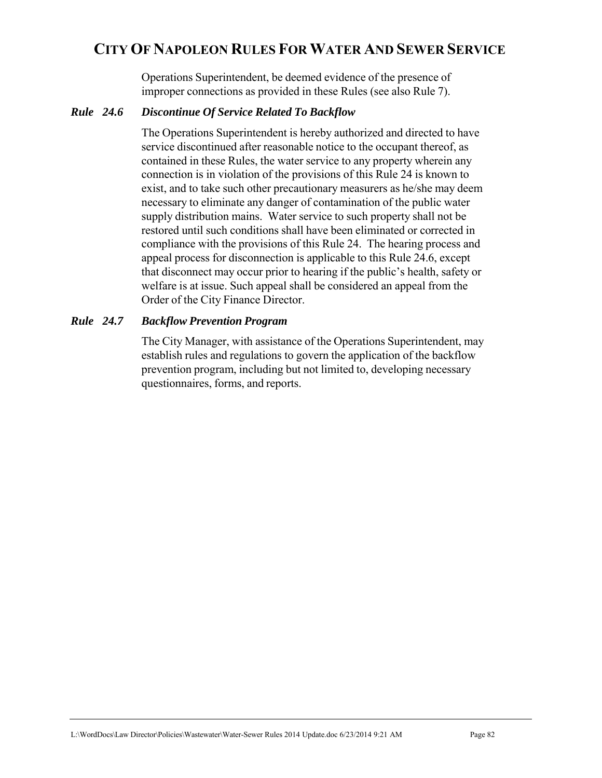Operations Superintendent, be deemed evidence of the presence of improper connections as provided in these Rules (see also Rule 7).

### *Rule 24.6 Discontinue Of Service Related To Backflow*

 The Operations Superintendent is hereby authorized and directed to have service discontinued after reasonable notice to the occupant thereof, as contained in these Rules, the water service to any property wherein any connection is in violation of the provisions of this Rule 24 is known to exist, and to take such other precautionary measurers as he/she may deem necessary to eliminate any danger of contamination of the public water supply distribution mains. Water service to such property shall not be restored until such conditions shall have been eliminated or corrected in compliance with the provisions of this Rule 24. The hearing process and appeal process for disconnection is applicable to this Rule 24.6, except that disconnect may occur prior to hearing if the public's health, safety or welfare is at issue. Such appeal shall be considered an appeal from the Order of the City Finance Director.

## *Rule 24.7 Backflow Prevention Program*

 The City Manager, with assistance of the Operations Superintendent, may establish rules and regulations to govern the application of the backflow prevention program, including but not limited to, developing necessary questionnaires, forms, and reports.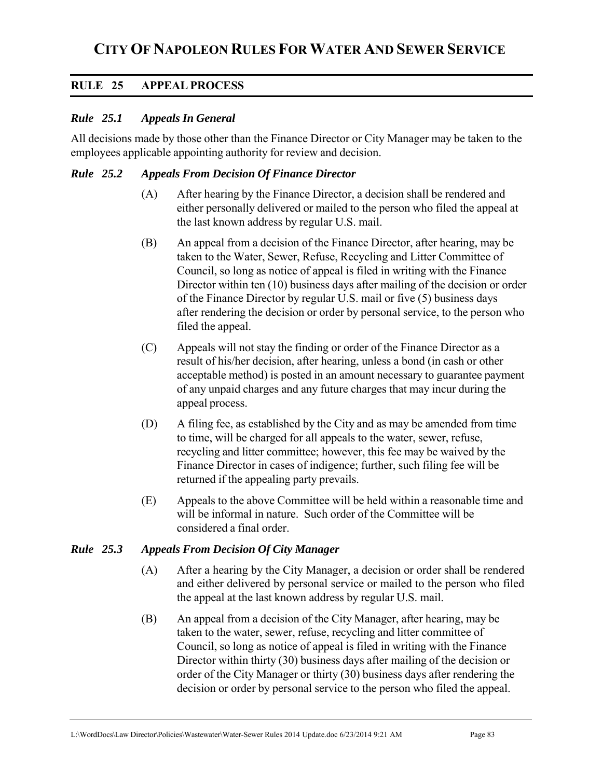# **RULE 25 APPEAL PROCESS**

## *Rule 25.1 Appeals In General*

All decisions made by those other than the Finance Director or City Manager may be taken to the employees applicable appointing authority for review and decision.

### *Rule 25.2 Appeals From Decision Of Finance Director*

- (A) After hearing by the Finance Director, a decision shall be rendered and either personally delivered or mailed to the person who filed the appeal at the last known address by regular U.S. mail.
- (B) An appeal from a decision of the Finance Director, after hearing, may be taken to the Water, Sewer, Refuse, Recycling and Litter Committee of Council, so long as notice of appeal is filed in writing with the Finance Director within ten (10) business days after mailing of the decision or order of the Finance Director by regular U.S. mail or five (5) business days after rendering the decision or order by personal service, to the person who filed the appeal.
- (C) Appeals will not stay the finding or order of the Finance Director as a result of his/her decision, after hearing, unless a bond (in cash or other acceptable method) is posted in an amount necessary to guarantee payment of any unpaid charges and any future charges that may incur during the appeal process.
- (D) A filing fee, as established by the City and as may be amended from time to time, will be charged for all appeals to the water, sewer, refuse, recycling and litter committee; however, this fee may be waived by the Finance Director in cases of indigence; further, such filing fee will be returned if the appealing party prevails.
- (E) Appeals to the above Committee will be held within a reasonable time and will be informal in nature. Such order of the Committee will be considered a final order.

#### *Rule 25.3 Appeals From Decision Of City Manager*

- (A) After a hearing by the City Manager, a decision or order shall be rendered and either delivered by personal service or mailed to the person who filed the appeal at the last known address by regular U.S. mail.
- (B) An appeal from a decision of the City Manager, after hearing, may be taken to the water, sewer, refuse, recycling and litter committee of Council, so long as notice of appeal is filed in writing with the Finance Director within thirty (30) business days after mailing of the decision or order of the City Manager or thirty (30) business days after rendering the decision or order by personal service to the person who filed the appeal.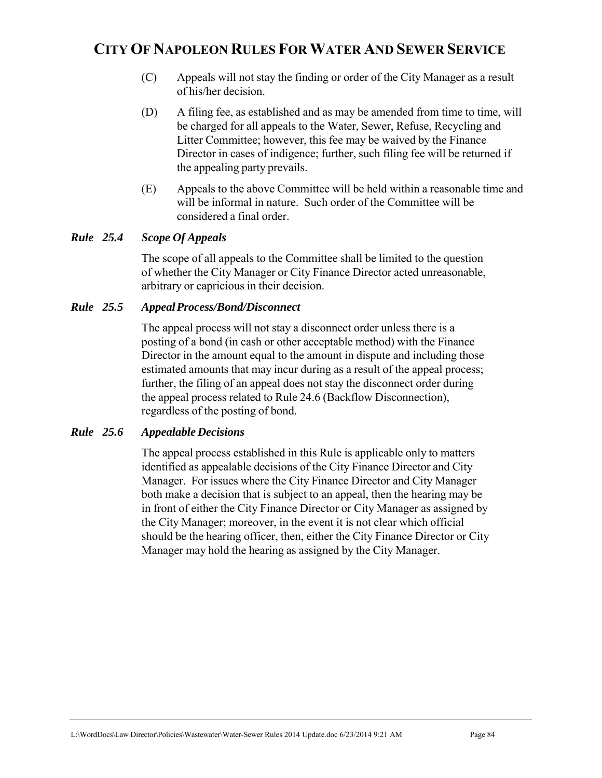- (C) Appeals will not stay the finding or order of the City Manager as a result of his/her decision.
- (D) A filing fee, as established and as may be amended from time to time, will be charged for all appeals to the Water, Sewer, Refuse, Recycling and Litter Committee; however, this fee may be waived by the Finance Director in cases of indigence; further, such filing fee will be returned if the appealing party prevails.
- (E) Appeals to the above Committee will be held within a reasonable time and will be informal in nature. Such order of the Committee will be considered a final order.

# *Rule 25.4 Scope Of Appeals*

The scope of all appeals to the Committee shall be limited to the question of whether the City Manager or City Finance Director acted unreasonable, arbitrary or capricious in their decision.

## *Rule 25.5 Appeal Process/Bond/Disconnect*

 The appeal process will not stay a disconnect order unless there is a posting of a bond (in cash or other acceptable method) with the Finance Director in the amount equal to the amount in dispute and including those estimated amounts that may incur during as a result of the appeal process; further, the filing of an appeal does not stay the disconnect order during the appeal process related to Rule 24.6 (Backflow Disconnection), regardless of the posting of bond.

## *Rule 25.6 Appealable Decisions*

 The appeal process established in this Rule is applicable only to matters identified as appealable decisions of the City Finance Director and City Manager. For issues where the City Finance Director and City Manager both make a decision that is subject to an appeal, then the hearing may be in front of either the City Finance Director or City Manager as assigned by the City Manager; moreover, in the event it is not clear which official should be the hearing officer, then, either the City Finance Director or City Manager may hold the hearing as assigned by the City Manager.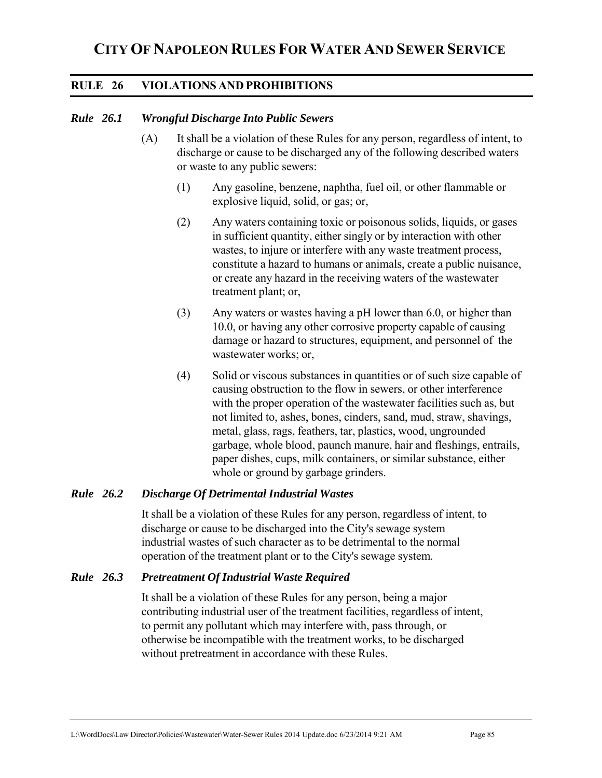# **RULE 26 VIOLATIONS AND PROHIBITIONS**

## *Rule 26.1 Wrongful Discharge Into Public Sewers*

- (A) It shall be a violation of these Rules for any person, regardless of intent, to discharge or cause to be discharged any of the following described waters or waste to any public sewers:
	- (1) Any gasoline, benzene, naphtha, fuel oil, or other flammable or explosive liquid, solid, or gas; or,
	- (2) Any waters containing toxic or poisonous solids, liquids, or gases in sufficient quantity, either singly or by interaction with other wastes, to injure or interfere with any waste treatment process, constitute a hazard to humans or animals, create a public nuisance, or create any hazard in the receiving waters of the wastewater treatment plant; or,
	- (3) Any waters or wastes having a pH lower than 6.0, or higher than 10.0, or having any other corrosive property capable of causing damage or hazard to structures, equipment, and personnel of the wastewater works; or,
	- (4) Solid or viscous substances in quantities or of such size capable of causing obstruction to the flow in sewers, or other interference with the proper operation of the wastewater facilities such as, but not limited to, ashes, bones, cinders, sand, mud, straw, shavings, metal, glass, rags, feathers, tar, plastics, wood, ungrounded garbage, whole blood, paunch manure, hair and fleshings, entrails, paper dishes, cups, milk containers, or similar substance, either whole or ground by garbage grinders.

## *Rule 26.2 Discharge Of Detrimental Industrial Wastes*

It shall be a violation of these Rules for any person, regardless of intent, to discharge or cause to be discharged into the City's sewage system industrial wastes of such character as to be detrimental to the normal operation of the treatment plant or to the City's sewage system.

#### *Rule 26.3 Pretreatment Of Industrial Waste Required*

 It shall be a violation of these Rules for any person, being a major contributing industrial user of the treatment facilities, regardless of intent, to permit any pollutant which may interfere with, pass through, or otherwise be incompatible with the treatment works, to be discharged without pretreatment in accordance with these Rules.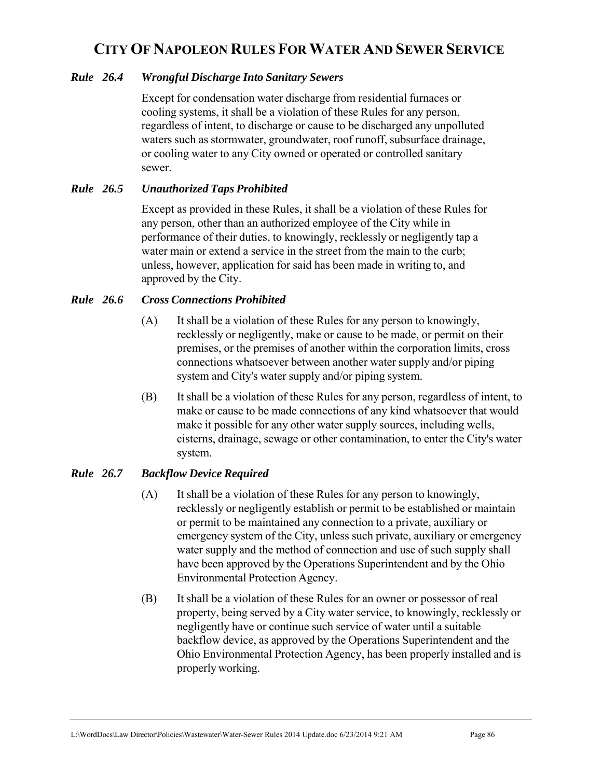## *Rule 26.4 Wrongful Discharge Into Sanitary Sewers*

Except for condensation water discharge from residential furnaces or cooling systems, it shall be a violation of these Rules for any person, regardless of intent, to discharge or cause to be discharged any unpolluted waters such as stormwater, groundwater, roof runoff, subsurface drainage, or cooling water to any City owned or operated or controlled sanitary sewer.

## *Rule 26.5 Unauthorized Taps Prohibited*

 Except as provided in these Rules, it shall be a violation of these Rules for any person, other than an authorized employee of the City while in performance of their duties, to knowingly, recklessly or negligently tap a water main or extend a service in the street from the main to the curb; unless, however, application for said has been made in writing to, and approved by the City.

## *Rule 26.6 Cross Connections Prohibited*

- (A) It shall be a violation of these Rules for any person to knowingly, recklessly or negligently, make or cause to be made, or permit on their premises, or the premises of another within the corporation limits, cross connections whatsoever between another water supply and/or piping system and City's water supply and/or piping system.
- (B) It shall be a violation of these Rules for any person, regardless of intent, to make or cause to be made connections of any kind whatsoever that would make it possible for any other water supply sources, including wells, cisterns, drainage, sewage or other contamination, to enter the City's water system.

## *Rule 26.7 Backflow Device Required*

- (A) It shall be a violation of these Rules for any person to knowingly, recklessly or negligently establish or permit to be established or maintain or permit to be maintained any connection to a private, auxiliary or emergency system of the City, unless such private, auxiliary or emergency water supply and the method of connection and use of such supply shall have been approved by the Operations Superintendent and by the Ohio Environmental Protection Agency.
- (B) It shall be a violation of these Rules for an owner or possessor of real property, being served by a City water service, to knowingly, recklessly or negligently have or continue such service of water until a suitable backflow device, as approved by the Operations Superintendent and the Ohio Environmental Protection Agency, has been properly installed and is properly working.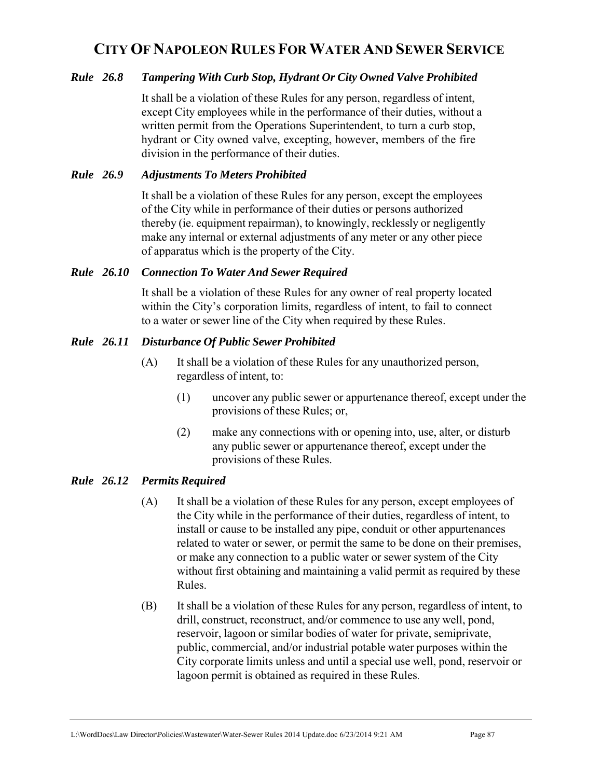## *Rule 26.8 Tampering With Curb Stop, Hydrant Or City Owned Valve Prohibited*

It shall be a violation of these Rules for any person, regardless of intent, except City employees while in the performance of their duties, without a written permit from the Operations Superintendent, to turn a curb stop, hydrant or City owned valve, excepting, however, members of the fire division in the performance of their duties.

## *Rule 26.9 Adjustments To Meters Prohibited*

 It shall be a violation of these Rules for any person, except the employees of the City while in performance of their duties or persons authorized thereby (ie. equipment repairman), to knowingly, recklessly or negligently make any internal or external adjustments of any meter or any other piece of apparatus which is the property of the City.

#### *Rule 26.10 Connection To Water And Sewer Required*

 It shall be a violation of these Rules for any owner of real property located within the City's corporation limits, regardless of intent, to fail to connect to a water or sewer line of the City when required by these Rules.

## *Rule 26.11 Disturbance Of Public Sewer Prohibited*

- (A) It shall be a violation of these Rules for any unauthorized person, regardless of intent, to:
	- (1) uncover any public sewer or appurtenance thereof, except under the provisions of these Rules; or,
	- (2) make any connections with or opening into, use, alter, or disturb any public sewer or appurtenance thereof, except under the provisions of these Rules.

## *Rule 26.12 Permits Required*

- (A) It shall be a violation of these Rules for any person, except employees of the City while in the performance of their duties, regardless of intent, to install or cause to be installed any pipe, conduit or other appurtenances related to water or sewer, or permit the same to be done on their premises, or make any connection to a public water or sewer system of the City without first obtaining and maintaining a valid permit as required by these Rules.
- (B) It shall be a violation of these Rules for any person, regardless of intent, to drill, construct, reconstruct, and/or commence to use any well, pond, reservoir, lagoon or similar bodies of water for private, semiprivate, public, commercial, and/or industrial potable water purposes within the City corporate limits unless and until a special use well, pond, reservoir or lagoon permit is obtained as required in these Rules.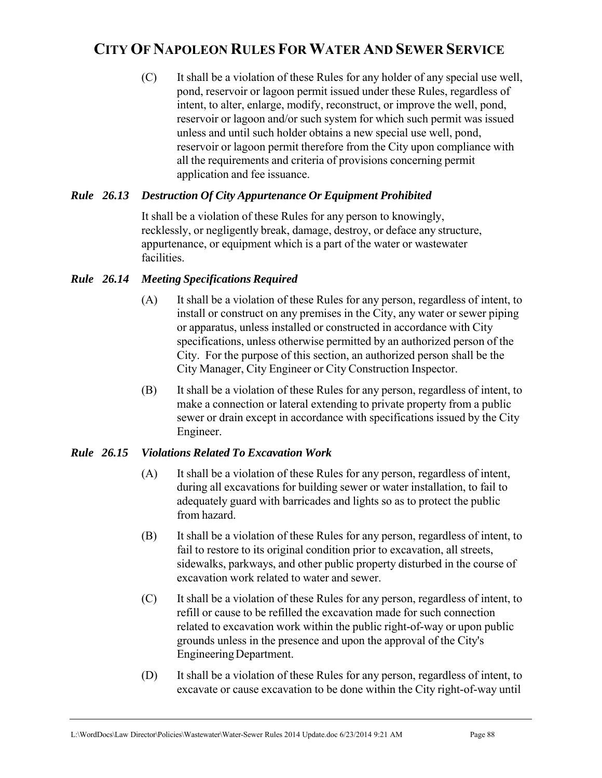(C) It shall be a violation of these Rules for any holder of any special use well, pond, reservoir or lagoon permit issued under these Rules, regardless of intent, to alter, enlarge, modify, reconstruct, or improve the well, pond, reservoir or lagoon and/or such system for which such permit was issued unless and until such holder obtains a new special use well, pond, reservoir or lagoon permit therefore from the City upon compliance with all the requirements and criteria of provisions concerning permit application and fee issuance.

## *Rule 26.13 Destruction Of City Appurtenance Or Equipment Prohibited*

It shall be a violation of these Rules for any person to knowingly, recklessly, or negligently break, damage, destroy, or deface any structure, appurtenance, or equipment which is a part of the water or wastewater facilities.

## *Rule 26.14 Meeting Specifications Required*

- (A) It shall be a violation of these Rules for any person, regardless of intent, to install or construct on any premises in the City, any water or sewer piping or apparatus, unless installed or constructed in accordance with City specifications, unless otherwise permitted by an authorized person of the City. For the purpose of this section, an authorized person shall be the City Manager, City Engineer or City Construction Inspector.
- (B) It shall be a violation of these Rules for any person, regardless of intent, to make a connection or lateral extending to private property from a public sewer or drain except in accordance with specifications issued by the City Engineer.

## *Rule 26.15 Violations Related To Excavation Work*

- (A) It shall be a violation of these Rules for any person, regardless of intent, during all excavations for building sewer or water installation, to fail to adequately guard with barricades and lights so as to protect the public from hazard.
- (B) It shall be a violation of these Rules for any person, regardless of intent, to fail to restore to its original condition prior to excavation, all streets, sidewalks, parkways, and other public property disturbed in the course of excavation work related to water and sewer.
- (C) It shall be a violation of these Rules for any person, regardless of intent, to refill or cause to be refilled the excavation made for such connection related to excavation work within the public right-of-way or upon public grounds unless in the presence and upon the approval of the City's Engineering Department.
- (D) It shall be a violation of these Rules for any person, regardless of intent, to excavate or cause excavation to be done within the City right-of-way until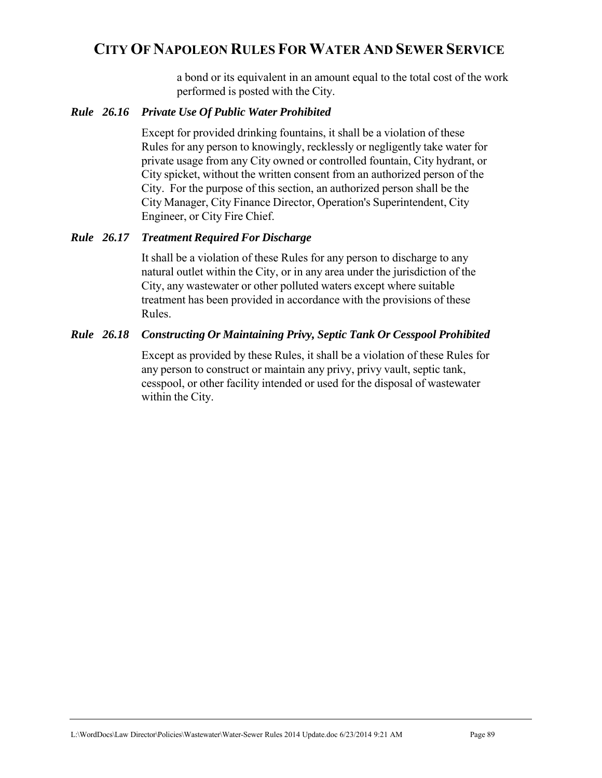a bond or its equivalent in an amount equal to the total cost of the work performed is posted with the City.

#### *Rule 26.16 Private Use Of Public Water Prohibited*

 Except for provided drinking fountains, it shall be a violation of these Rules for any person to knowingly, recklessly or negligently take water for private usage from any City owned or controlled fountain, City hydrant, or City spicket, without the written consent from an authorized person of the City. For the purpose of this section, an authorized person shall be the City Manager, City Finance Director, Operation's Superintendent, City Engineer, or City Fire Chief.

## *Rule 26.17 Treatment Required For Discharge*

 It shall be a violation of these Rules for any person to discharge to any natural outlet within the City, or in any area under the jurisdiction of the City, any wastewater or other polluted waters except where suitable treatment has been provided in accordance with the provisions of these Rules.

## *Rule 26.18 Constructing Or Maintaining Privy, Septic Tank Or Cesspool Prohibited*

 Except as provided by these Rules, it shall be a violation of these Rules for any person to construct or maintain any privy, privy vault, septic tank, cesspool, or other facility intended or used for the disposal of wastewater within the City.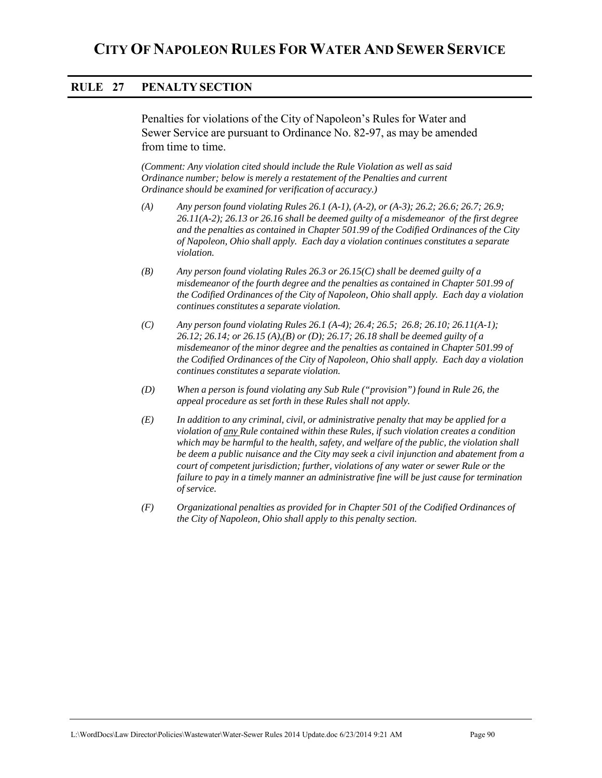## **RULE 27 PENALTY SECTION**

Penalties for violations of the City of Napoleon's Rules for Water and Sewer Service are pursuant to Ordinance No. 82-97, as may be amended from time to time.

*(Comment: Any violation cited should include the Rule Violation as well as said Ordinance number; below is merely a restatement of the Penalties and current Ordinance should be examined for verification of accuracy.)*

- *(A) Any person found violating Rules 26.1 (A-1), (A-2), or (A-3); 26.2; 26.6; 26.7; 26.9; 26.11(A-2); 26.13 or 26.16 shall be deemed guilty of a misdemeanor of the first degree and the penalties as contained in Chapter 501.99 of the Codified Ordinances of the City of Napoleon, Ohio shall apply. Each day a violation continues constitutes a separate violation.*
- *(B) Any person found violating Rules 26.3 or 26.15(C) shall be deemed guilty of a misdemeanor of the fourth degree and the penalties as contained in Chapter 501.99 of the Codified Ordinances of the City of Napoleon, Ohio shall apply. Each day a violation continues constitutes a separate violation.*
- *(C) Any person found violating Rules 26.1 (A-4); 26.4; 26.5; 26.8; 26.10; 26.11(A-1); 26.12; 26.14; or 26.15 (A),(B) or (D); 26.17; 26.18 shall be deemed guilty of a misdemeanor of the minor degree and the penalties as contained in Chapter 501.99 of the Codified Ordinances of the City of Napoleon, Ohio shall apply. Each day a violation continues constitutes a separate violation.*
- *(D) When a person is found violating any Sub Rule ("provision") found in Rule 26, the appeal procedure as set forth in these Rules shall not apply.*
- *(E) In addition to any criminal, civil, or administrative penalty that may be applied for a violation of any Rule contained within these Rules, if such violation creates a condition which may be harmful to the health, safety, and welfare of the public, the violation shall be deem a public nuisance and the City may seek a civil injunction and abatement from a court of competent jurisdiction; further, violations of any water or sewer Rule or the failure to pay in a timely manner an administrative fine will be just cause for termination of service.*
- *(F) Organizational penalties as provided for in Chapter 501 of the Codified Ordinances of the City of Napoleon, Ohio shall apply to this penalty section.*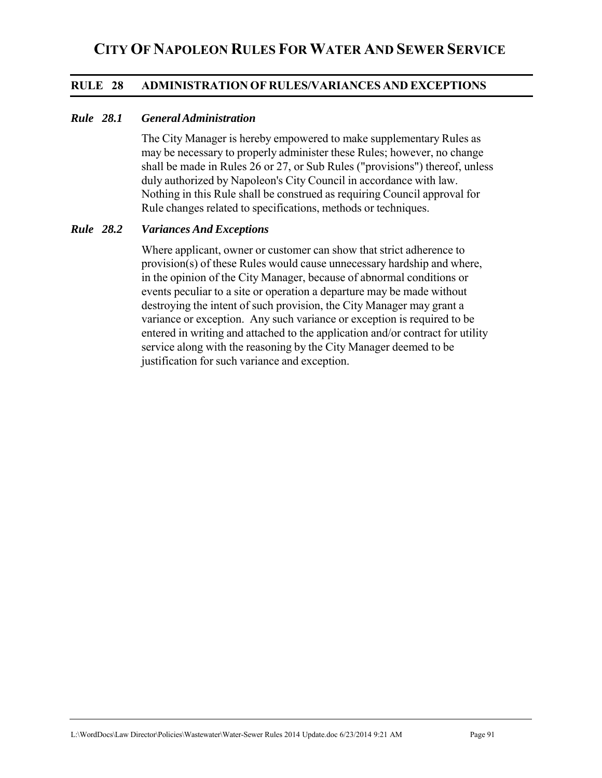## **RULE 28 ADMINISTRATION OF RULES/VARIANCES AND EXCEPTIONS**

#### *Rule 28.1 General Administration*

The City Manager is hereby empowered to make supplementary Rules as may be necessary to properly administer these Rules; however, no change shall be made in Rules 26 or 27, or Sub Rules ("provisions") thereof, unless duly authorized by Napoleon's City Council in accordance with law. Nothing in this Rule shall be construed as requiring Council approval for Rule changes related to specifications, methods or techniques.

#### *Rule 28.2 Variances And Exceptions*

Where applicant, owner or customer can show that strict adherence to provision(s) of these Rules would cause unnecessary hardship and where, in the opinion of the City Manager, because of abnormal conditions or events peculiar to a site or operation a departure may be made without destroying the intent of such provision, the City Manager may grant a variance or exception. Any such variance or exception is required to be entered in writing and attached to the application and/or contract for utility service along with the reasoning by the City Manager deemed to be justification for such variance and exception.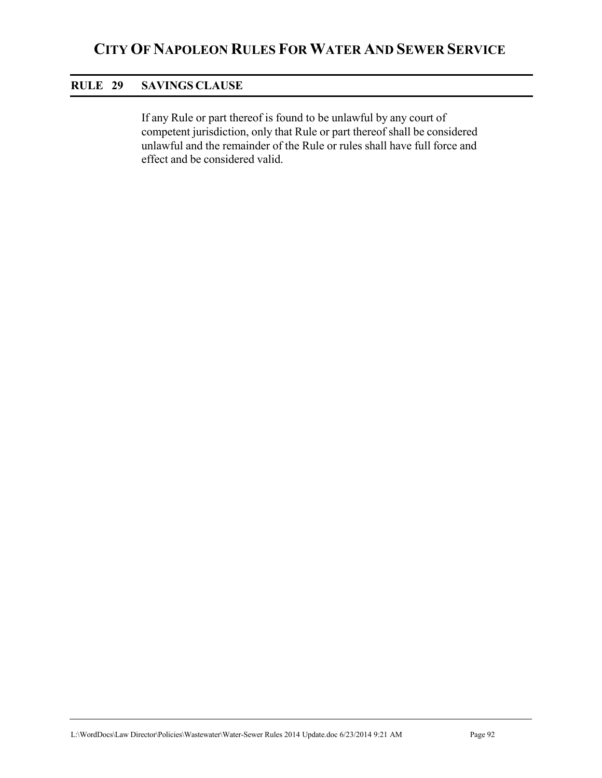## **RULE 29 SAVINGS CLAUSE**

If any Rule or part thereof is found to be unlawful by any court of competent jurisdiction, only that Rule or part thereof shall be considered unlawful and the remainder of the Rule or rules shall have full force and effect and be considered valid.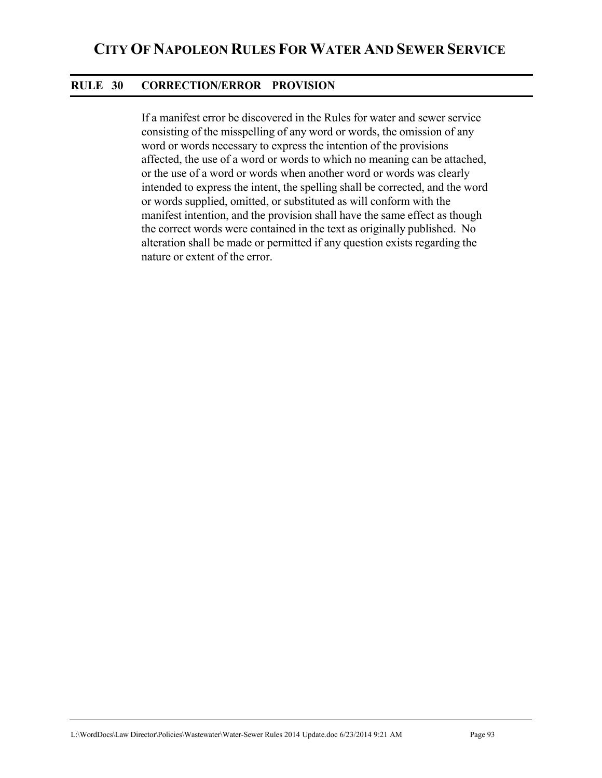## **RULE 30 CORRECTION/ERROR PROVISION**

If a manifest error be discovered in the Rules for water and sewer service consisting of the misspelling of any word or words, the omission of any word or words necessary to express the intention of the provisions affected, the use of a word or words to which no meaning can be attached, or the use of a word or words when another word or words was clearly intended to express the intent, the spelling shall be corrected, and the word or words supplied, omitted, or substituted as will conform with the manifest intention, and the provision shall have the same effect as though the correct words were contained in the text as originally published. No alteration shall be made or permitted if any question exists regarding the nature or extent of the error.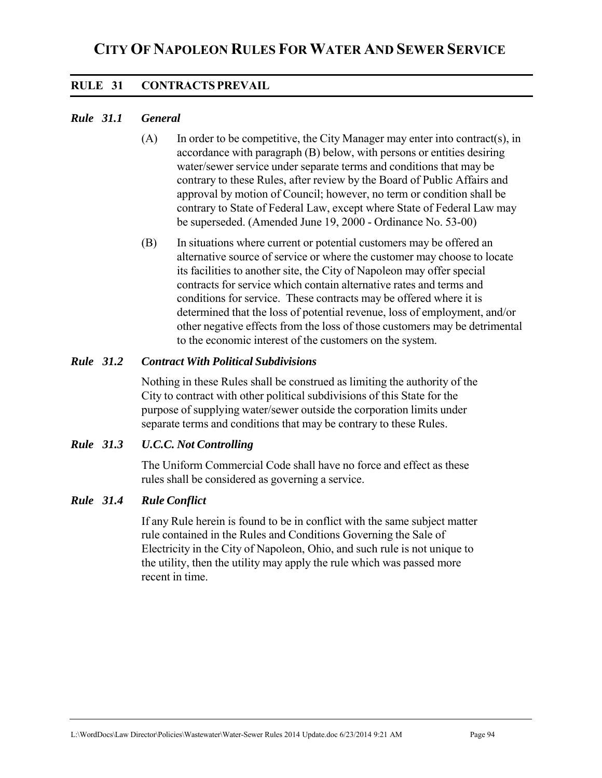# **RULE 31 CONTRACTS PREVAIL**

## *Rule 31.1 General*

- $(A)$  In order to be competitive, the City Manager may enter into contract(s), in accordance with paragraph (B) below, with persons or entities desiring water/sewer service under separate terms and conditions that may be contrary to these Rules, after review by the Board of Public Affairs and approval by motion of Council; however, no term or condition shall be contrary to State of Federal Law, except where State of Federal Law may be superseded. (Amended June 19, 2000 - Ordinance No. 53-00)
- (B) In situations where current or potential customers may be offered an alternative source of service or where the customer may choose to locate its facilities to another site, the City of Napoleon may offer special contracts for service which contain alternative rates and terms and conditions for service. These contracts may be offered where it is determined that the loss of potential revenue, loss of employment, and/or other negative effects from the loss of those customers may be detrimental to the economic interest of the customers on the system.

## *Rule 31.2 Contract With Political Subdivisions*

Nothing in these Rules shall be construed as limiting the authority of the City to contract with other political subdivisions of this State for the purpose of supplying water/sewer outside the corporation limits under separate terms and conditions that may be contrary to these Rules.

## *Rule 31.3 U.C.C. Not Controlling*

 The Uniform Commercial Code shall have no force and effect as these rules shall be considered as governing a service.

#### *Rule 31.4 Rule Conflict*

 If any Rule herein is found to be in conflict with the same subject matter rule contained in the Rules and Conditions Governing the Sale of Electricity in the City of Napoleon, Ohio, and such rule is not unique to the utility, then the utility may apply the rule which was passed more recent in time.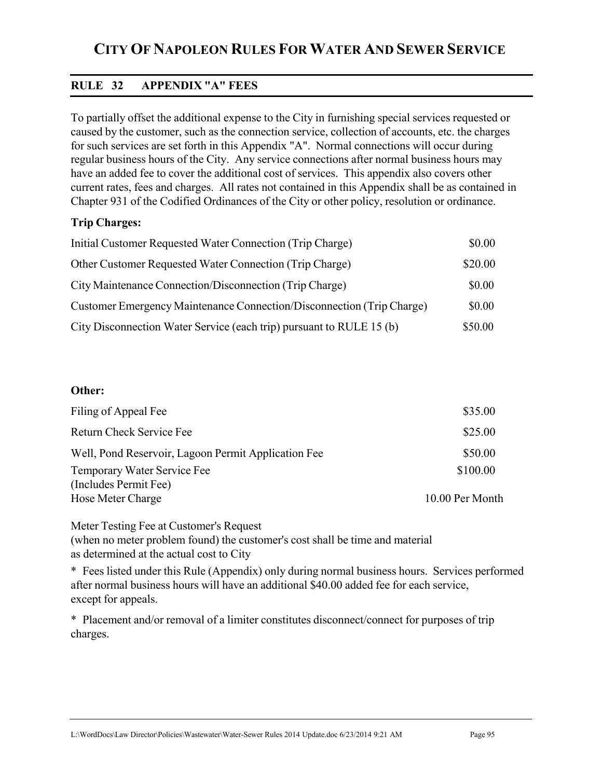# **RULE 32 APPENDIX "A" FEES**

To partially offset the additional expense to the City in furnishing special services requested or caused by the customer, such as the connection service, collection of accounts, etc. the charges for such services are set forth in this Appendix "A". Normal connections will occur during regular business hours of the City. Any service connections after normal business hours may have an added fee to cover the additional cost of services. This appendix also covers other current rates, fees and charges. All rates not contained in this Appendix shall be as contained in Chapter 931 of the Codified Ordinances of the City or other policy, resolution or ordinance.

## **Trip Charges:**

| Initial Customer Requested Water Connection (Trip Charge)             | \$0.00  |
|-----------------------------------------------------------------------|---------|
| Other Customer Requested Water Connection (Trip Charge)               | \$20.00 |
| City Maintenance Connection/Disconnection (Trip Charge)               | \$0.00  |
| Customer Emergency Maintenance Connection/Disconnection (Trip Charge) | \$0.00  |
| City Disconnection Water Service (each trip) pursuant to RULE 15 (b)  | \$50.00 |

#### **Other:**

| Filing of Appeal Fee                                 | \$35.00         |
|------------------------------------------------------|-----------------|
| Return Check Service Fee                             | \$25.00         |
| Well, Pond Reservoir, Lagoon Permit Application Fee  | \$50.00         |
| Temporary Water Service Fee<br>(Includes Permit Fee) | \$100.00        |
| Hose Meter Charge                                    | 10.00 Per Month |

Meter Testing Fee at Customer's Request

(when no meter problem found) the customer's cost shall be time and material as determined at the actual cost to City

\* Fees listed under this Rule (Appendix) only during normal business hours. Services performed after normal business hours will have an additional \$40.00 added fee for each service, except for appeals.

\* Placement and/or removal of a limiter constitutes disconnect/connect for purposes of trip charges.